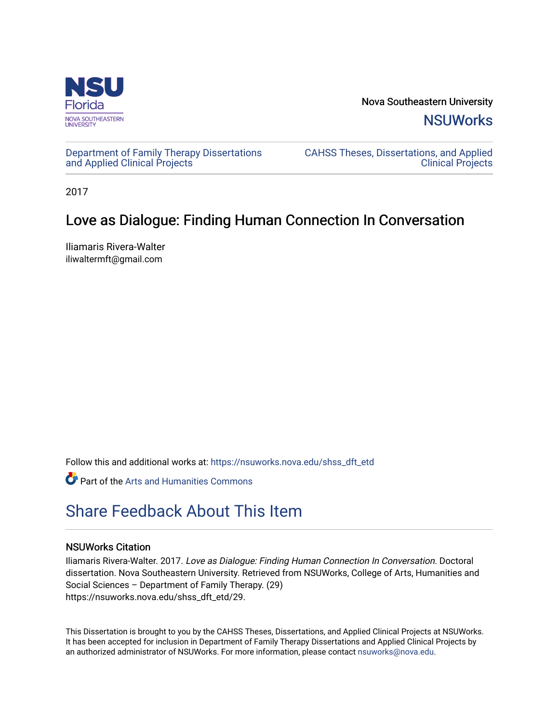

Nova Southeastern University **NSUWorks** 

[Department of Family Therapy Dissertations](https://nsuworks.nova.edu/shss_dft_etd) [and Applied Clinical Projects](https://nsuworks.nova.edu/shss_dft_etd)

[CAHSS Theses, Dissertations, and Applied](https://nsuworks.nova.edu/cahss_etd)  [Clinical Projects](https://nsuworks.nova.edu/cahss_etd) 

2017

## Love as Dialogue: Finding Human Connection In Conversation

Iliamaris Rivera-Walter iliwaltermft@gmail.com

Follow this and additional works at: [https://nsuworks.nova.edu/shss\\_dft\\_etd](https://nsuworks.nova.edu/shss_dft_etd?utm_source=nsuworks.nova.edu%2Fshss_dft_etd%2F29&utm_medium=PDF&utm_campaign=PDFCoverPages) 

Part of the [Arts and Humanities Commons](http://network.bepress.com/hgg/discipline/438?utm_source=nsuworks.nova.edu%2Fshss_dft_etd%2F29&utm_medium=PDF&utm_campaign=PDFCoverPages) 

# [Share Feedback About This Item](http://nsuworks.nova.edu/user_survey.html)

#### NSUWorks Citation

Iliamaris Rivera-Walter. 2017. Love as Dialogue: Finding Human Connection In Conversation. Doctoral dissertation. Nova Southeastern University. Retrieved from NSUWorks, College of Arts, Humanities and Social Sciences – Department of Family Therapy. (29) https://nsuworks.nova.edu/shss\_dft\_etd/29.

This Dissertation is brought to you by the CAHSS Theses, Dissertations, and Applied Clinical Projects at NSUWorks. It has been accepted for inclusion in Department of Family Therapy Dissertations and Applied Clinical Projects by an authorized administrator of NSUWorks. For more information, please contact [nsuworks@nova.edu](mailto:nsuworks@nova.edu).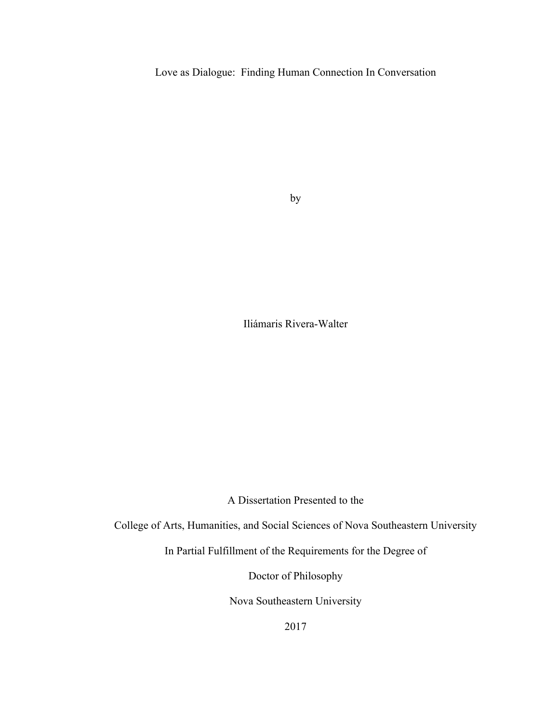Love as Dialogue: Finding Human Connection In Conversation

by

Iliámaris Rivera-Walter

A Dissertation Presented to the

College of Arts, Humanities, and Social Sciences of Nova Southeastern University

In Partial Fulfillment of the Requirements for the Degree of

Doctor of Philosophy

Nova Southeastern University

2017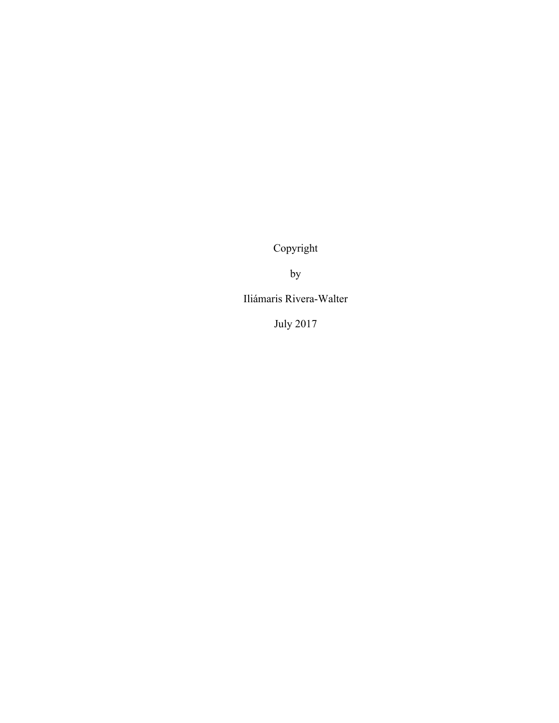Copyright

by

Iliámaris Rivera-Walter

July 2017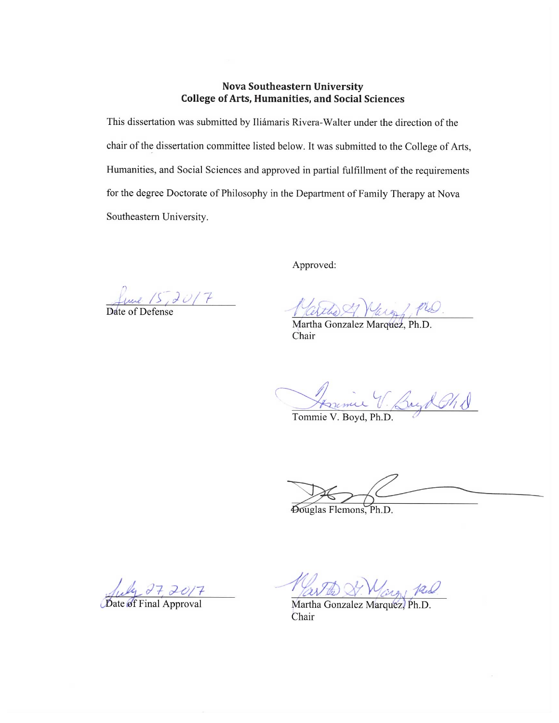#### **Nova Southeastern University College of Arts, Humanities, and Social Sciences**

This dissertation was submitted by Iliámaris Rivera-Walter under the direction of the chair of the dissertation committee listed below. It was submitted to the College of Arts, Humanities, and Social Sciences and approved in partial fulfillment of the requirements for the degree Doctorate of Philosophy in the Department of Family Therapy at Nova Southeastern University.

Approved:

une 15,2017

Verthe Murge PLO.

Chair

Jerimie V. Boyd Ghd

Tommie V. Boyd, Ph.D.

Douglas Flemons, Ph.D.

uly 27, 2017

Date of Final Approval

Varthe St. Margy 12.0

Martha Gonzalez Marquez, Ph.D. Chair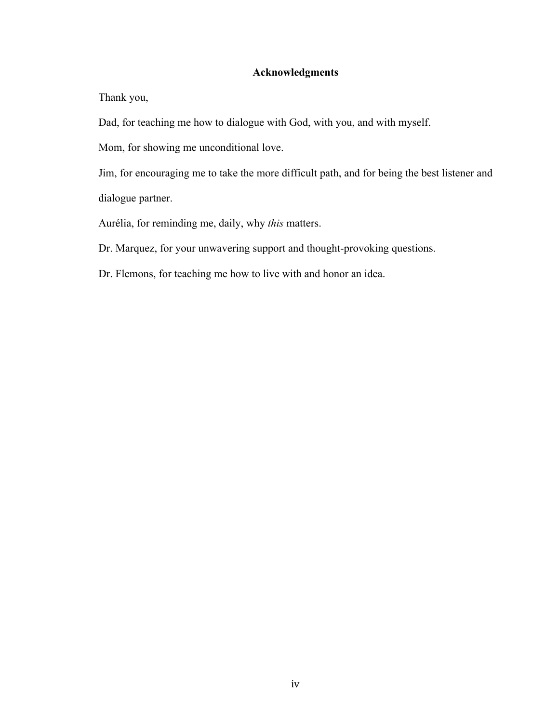#### **Acknowledgments**

Thank you,

Dad, for teaching me how to dialogue with God, with you, and with myself.

Mom, for showing me unconditional love.

Jim, for encouraging me to take the more difficult path, and for being the best listener and dialogue partner.

Aurélia, for reminding me, daily, why *this* matters.

Dr. Marquez, for your unwavering support and thought-provoking questions.

Dr. Flemons, for teaching me how to live with and honor an idea.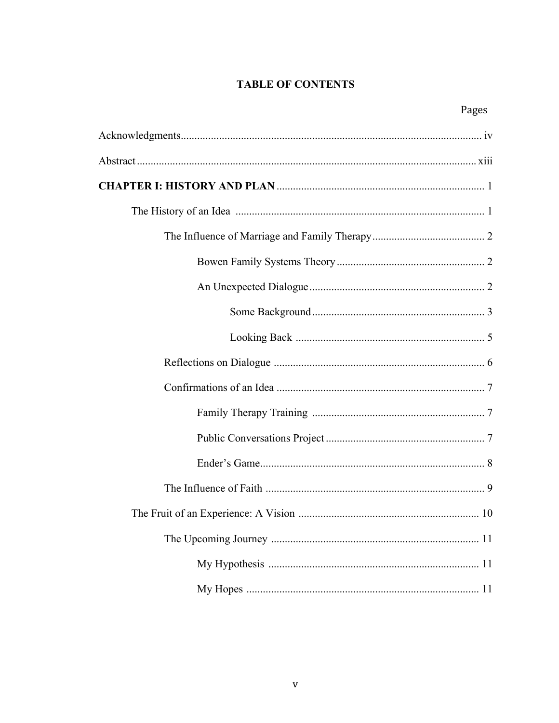### **TABLE OF CONTENTS**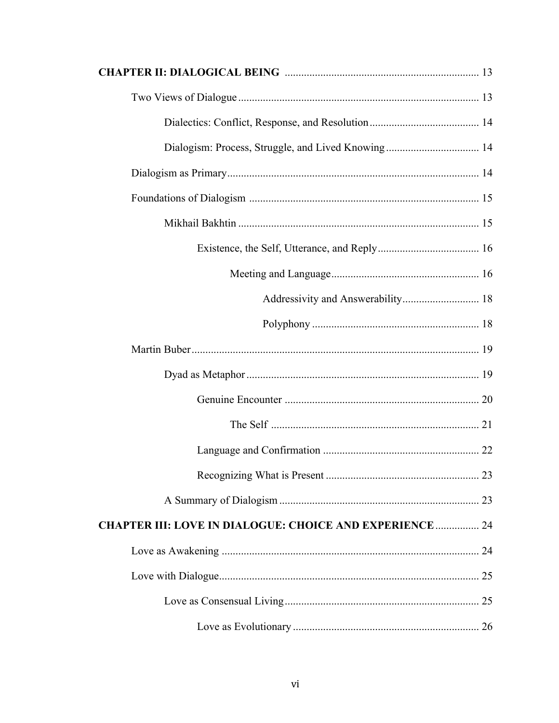| <b>CHAPTER III: LOVE IN DIALOGUE: CHOICE AND EXPERIENCE  24</b> |  |
|-----------------------------------------------------------------|--|
|                                                                 |  |
|                                                                 |  |
|                                                                 |  |
|                                                                 |  |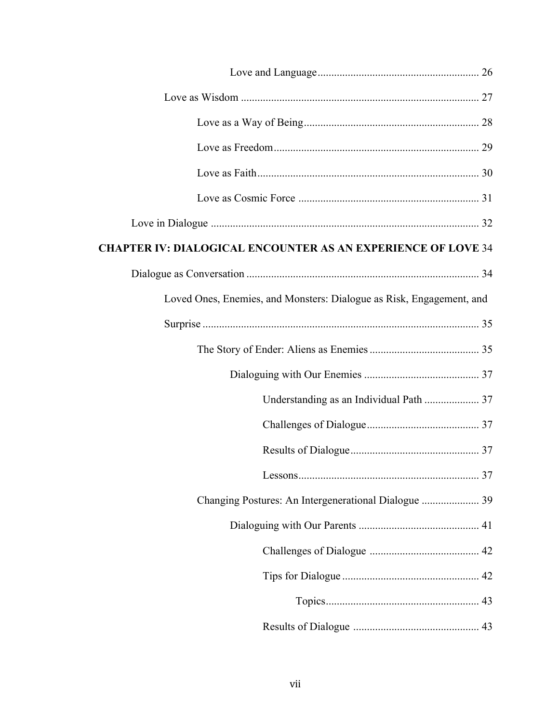| <b>CHAPTER IV: DIALOGICAL ENCOUNTER AS AN EXPERIENCE OF LOVE 34</b>  |  |
|----------------------------------------------------------------------|--|
|                                                                      |  |
| Loved Ones, Enemies, and Monsters: Dialogue as Risk, Engagement, and |  |
|                                                                      |  |
|                                                                      |  |
|                                                                      |  |
|                                                                      |  |
|                                                                      |  |
|                                                                      |  |
|                                                                      |  |
|                                                                      |  |
|                                                                      |  |
|                                                                      |  |
|                                                                      |  |
|                                                                      |  |
|                                                                      |  |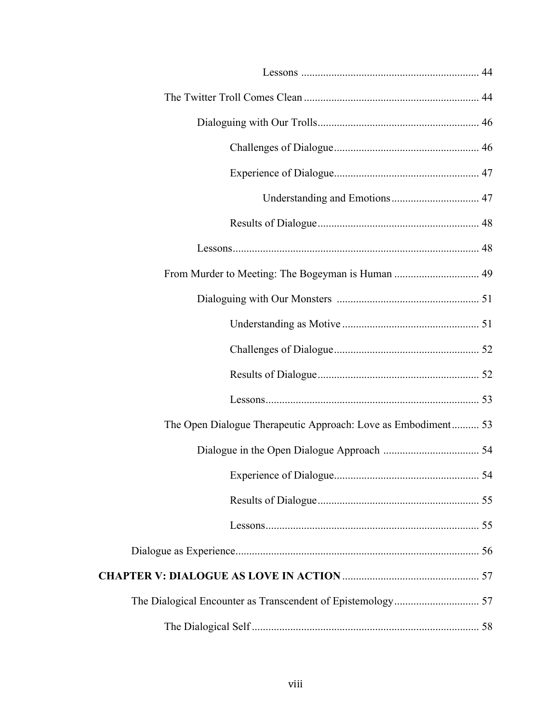| The Open Dialogue Therapeutic Approach: Love as Embodiment 53 |  |
|---------------------------------------------------------------|--|
|                                                               |  |
|                                                               |  |
|                                                               |  |
|                                                               |  |
|                                                               |  |
|                                                               |  |
|                                                               |  |
|                                                               |  |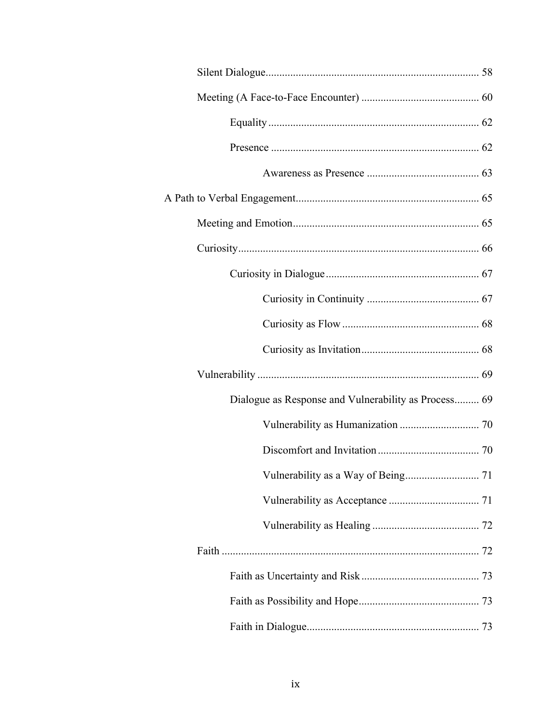| Dialogue as Response and Vulnerability as Process 69 |  |
|------------------------------------------------------|--|
|                                                      |  |
|                                                      |  |
|                                                      |  |
|                                                      |  |
|                                                      |  |
|                                                      |  |
|                                                      |  |
|                                                      |  |
|                                                      |  |
|                                                      |  |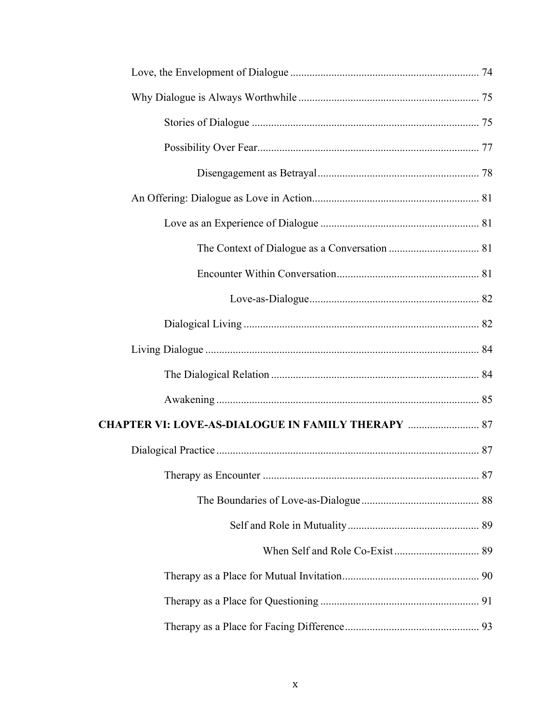| <b>CHAPTER VI: LOVE-AS-DIALOGUE IN FAMILY THERAPY  87</b> |  |
|-----------------------------------------------------------|--|
|                                                           |  |
|                                                           |  |
|                                                           |  |
|                                                           |  |
|                                                           |  |
|                                                           |  |
|                                                           |  |
|                                                           |  |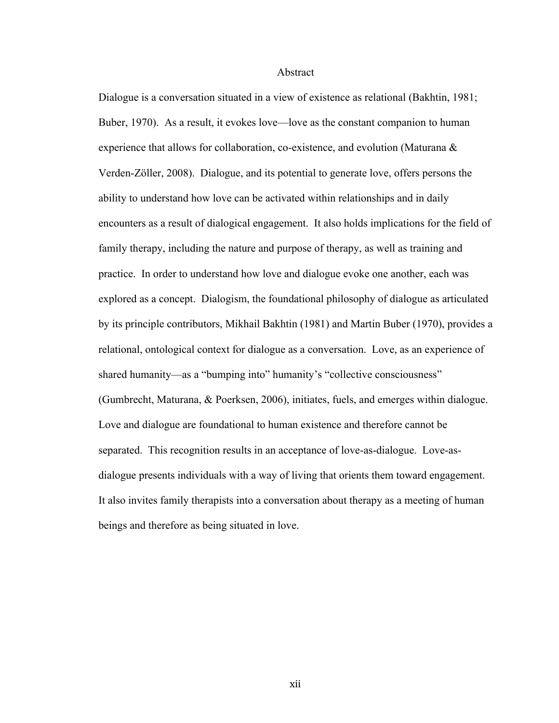#### Abstract

Dialogue is a conversation situated in a view of existence as relational (Bakhtin, 1981; Buber, 1970). As a result, it evokes love—love as the constant companion to human experience that allows for collaboration, co-existence, and evolution (Maturana & Verden-Zöller, 2008). Dialogue, and its potential to generate love, offers persons the ability to understand how love can be activated within relationships and in daily encounters as a result of dialogical engagement. It also holds implications for the field of family therapy, including the nature and purpose of therapy, as well as training and practice. In order to understand how love and dialogue evoke one another, each was explored as a concept. Dialogism, the foundational philosophy of dialogue as articulated by its principle contributors, Mikhail Bakhtin (1981) and Martin Buber (1970), provides a relational, ontological context for dialogue as a conversation. Love, as an experience of shared humanity—as a "bumping into" humanity's "collective consciousness" (Gumbrecht, Maturana, & Poerksen, 2006), initiates, fuels, and emerges within dialogue. Love and dialogue are foundational to human existence and therefore cannot be separated. This recognition results in an acceptance of love-as-dialogue. Love-asdialogue presents individuals with a way of living that orients them toward engagement. It also invites family therapists into a conversation about therapy as a meeting of human beings and therefore as being situated in love.

xii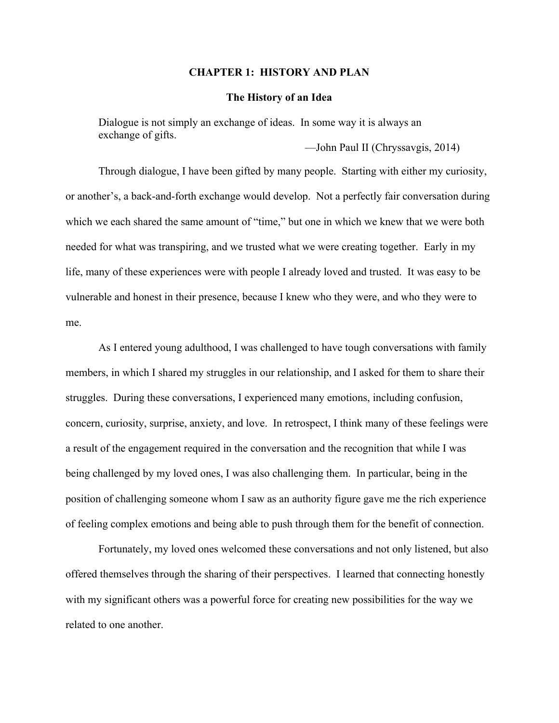#### **CHAPTER 1: HISTORY AND PLAN**

#### **The History of an Idea**

Dialogue is not simply an exchange of ideas. In some way it is always an exchange of gifts.

—John Paul II (Chryssavgis, 2014)

Through dialogue, I have been gifted by many people. Starting with either my curiosity, or another's, a back-and-forth exchange would develop. Not a perfectly fair conversation during which we each shared the same amount of "time," but one in which we knew that we were both needed for what was transpiring, and we trusted what we were creating together. Early in my life, many of these experiences were with people I already loved and trusted. It was easy to be vulnerable and honest in their presence, because I knew who they were, and who they were to me.

As I entered young adulthood, I was challenged to have tough conversations with family members, in which I shared my struggles in our relationship, and I asked for them to share their struggles. During these conversations, I experienced many emotions, including confusion, concern, curiosity, surprise, anxiety, and love. In retrospect, I think many of these feelings were a result of the engagement required in the conversation and the recognition that while I was being challenged by my loved ones, I was also challenging them. In particular, being in the position of challenging someone whom I saw as an authority figure gave me the rich experience of feeling complex emotions and being able to push through them for the benefit of connection.

Fortunately, my loved ones welcomed these conversations and not only listened, but also offered themselves through the sharing of their perspectives. I learned that connecting honestly with my significant others was a powerful force for creating new possibilities for the way we related to one another.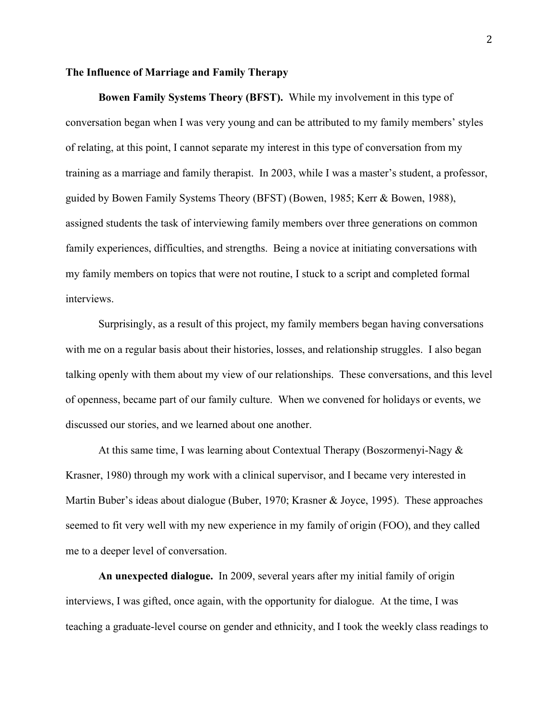#### **The Influence of Marriage and Family Therapy**

**Bowen Family Systems Theory (BFST).** While my involvement in this type of conversation began when I was very young and can be attributed to my family members' styles of relating, at this point, I cannot separate my interest in this type of conversation from my training as a marriage and family therapist. In 2003, while I was a master's student, a professor, guided by Bowen Family Systems Theory (BFST) (Bowen, 1985; Kerr & Bowen, 1988), assigned students the task of interviewing family members over three generations on common family experiences, difficulties, and strengths. Being a novice at initiating conversations with my family members on topics that were not routine, I stuck to a script and completed formal interviews.

Surprisingly, as a result of this project, my family members began having conversations with me on a regular basis about their histories, losses, and relationship struggles. I also began talking openly with them about my view of our relationships. These conversations, and this level of openness, became part of our family culture. When we convened for holidays or events, we discussed our stories, and we learned about one another.

At this same time, I was learning about Contextual Therapy (Boszormenyi-Nagy  $\&$ Krasner, 1980) through my work with a clinical supervisor, and I became very interested in Martin Buber's ideas about dialogue (Buber, 1970; Krasner & Joyce, 1995). These approaches seemed to fit very well with my new experience in my family of origin (FOO), and they called me to a deeper level of conversation.

**An unexpected dialogue.** In 2009, several years after my initial family of origin interviews, I was gifted, once again, with the opportunity for dialogue. At the time, I was teaching a graduate-level course on gender and ethnicity, and I took the weekly class readings to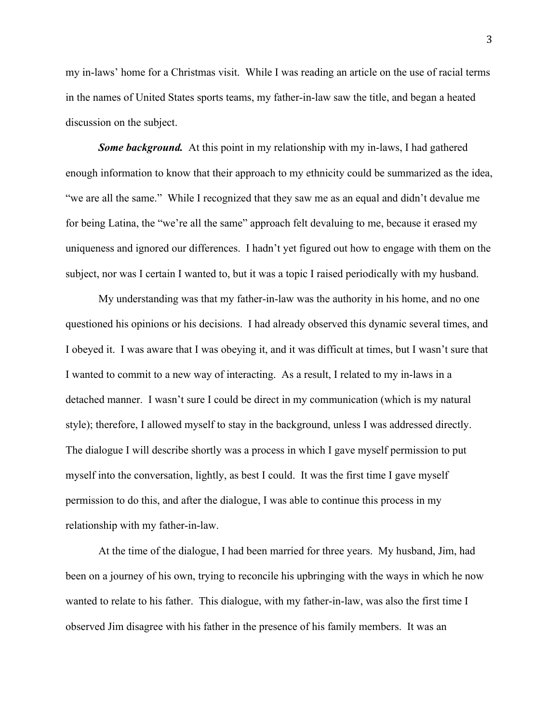my in-laws' home for a Christmas visit. While I was reading an article on the use of racial terms in the names of United States sports teams, my father-in-law saw the title, and began a heated discussion on the subject.

**Some background.** At this point in my relationship with my in-laws, I had gathered enough information to know that their approach to my ethnicity could be summarized as the idea, "we are all the same." While I recognized that they saw me as an equal and didn't devalue me for being Latina, the "we're all the same" approach felt devaluing to me, because it erased my uniqueness and ignored our differences. I hadn't yet figured out how to engage with them on the subject, nor was I certain I wanted to, but it was a topic I raised periodically with my husband.

My understanding was that my father-in-law was the authority in his home, and no one questioned his opinions or his decisions. I had already observed this dynamic several times, and I obeyed it. I was aware that I was obeying it, and it was difficult at times, but I wasn't sure that I wanted to commit to a new way of interacting. As a result, I related to my in-laws in a detached manner. I wasn't sure I could be direct in my communication (which is my natural style); therefore, I allowed myself to stay in the background, unless I was addressed directly. The dialogue I will describe shortly was a process in which I gave myself permission to put myself into the conversation, lightly, as best I could. It was the first time I gave myself permission to do this, and after the dialogue, I was able to continue this process in my relationship with my father-in-law.

At the time of the dialogue, I had been married for three years. My husband, Jim, had been on a journey of his own, trying to reconcile his upbringing with the ways in which he now wanted to relate to his father. This dialogue, with my father-in-law, was also the first time I observed Jim disagree with his father in the presence of his family members. It was an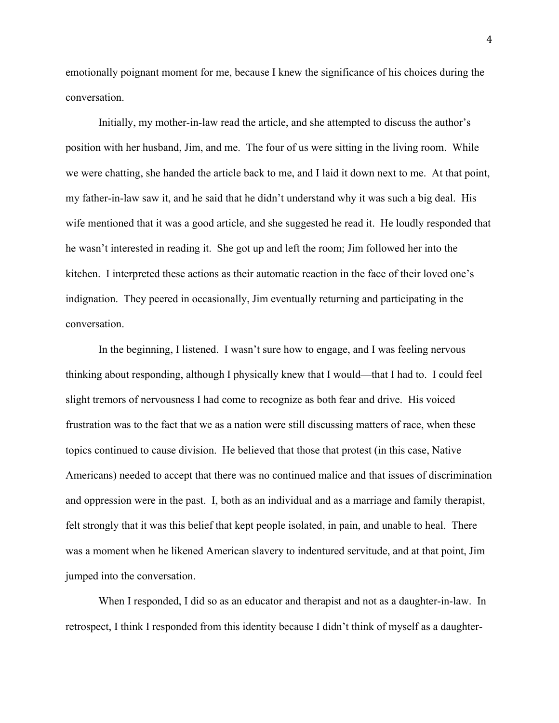emotionally poignant moment for me, because I knew the significance of his choices during the conversation.

Initially, my mother-in-law read the article, and she attempted to discuss the author's position with her husband, Jim, and me. The four of us were sitting in the living room. While we were chatting, she handed the article back to me, and I laid it down next to me. At that point, my father-in-law saw it, and he said that he didn't understand why it was such a big deal. His wife mentioned that it was a good article, and she suggested he read it. He loudly responded that he wasn't interested in reading it. She got up and left the room; Jim followed her into the kitchen. I interpreted these actions as their automatic reaction in the face of their loved one's indignation. They peered in occasionally, Jim eventually returning and participating in the conversation.

In the beginning, I listened. I wasn't sure how to engage, and I was feeling nervous thinking about responding, although I physically knew that I would—that I had to. I could feel slight tremors of nervousness I had come to recognize as both fear and drive. His voiced frustration was to the fact that we as a nation were still discussing matters of race, when these topics continued to cause division. He believed that those that protest (in this case, Native Americans) needed to accept that there was no continued malice and that issues of discrimination and oppression were in the past. I, both as an individual and as a marriage and family therapist, felt strongly that it was this belief that kept people isolated, in pain, and unable to heal. There was a moment when he likened American slavery to indentured servitude, and at that point, Jim jumped into the conversation.

When I responded, I did so as an educator and therapist and not as a daughter-in-law. In retrospect, I think I responded from this identity because I didn't think of myself as a daughter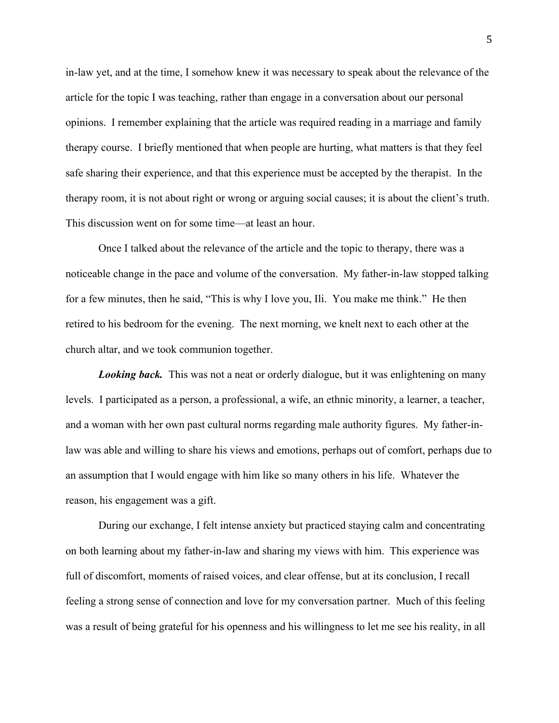in-law yet, and at the time, I somehow knew it was necessary to speak about the relevance of the article for the topic I was teaching, rather than engage in a conversation about our personal opinions. I remember explaining that the article was required reading in a marriage and family therapy course. I briefly mentioned that when people are hurting, what matters is that they feel safe sharing their experience, and that this experience must be accepted by the therapist. In the therapy room, it is not about right or wrong or arguing social causes; it is about the client's truth. This discussion went on for some time—at least an hour.

Once I talked about the relevance of the article and the topic to therapy, there was a noticeable change in the pace and volume of the conversation. My father-in-law stopped talking for a few minutes, then he said, "This is why I love you, Ili. You make me think." He then retired to his bedroom for the evening. The next morning, we knelt next to each other at the church altar, and we took communion together.

**Looking back.** This was not a neat or orderly dialogue, but it was enlightening on many levels. I participated as a person, a professional, a wife, an ethnic minority, a learner, a teacher, and a woman with her own past cultural norms regarding male authority figures. My father-inlaw was able and willing to share his views and emotions, perhaps out of comfort, perhaps due to an assumption that I would engage with him like so many others in his life. Whatever the reason, his engagement was a gift.

During our exchange, I felt intense anxiety but practiced staying calm and concentrating on both learning about my father-in-law and sharing my views with him. This experience was full of discomfort, moments of raised voices, and clear offense, but at its conclusion, I recall feeling a strong sense of connection and love for my conversation partner. Much of this feeling was a result of being grateful for his openness and his willingness to let me see his reality, in all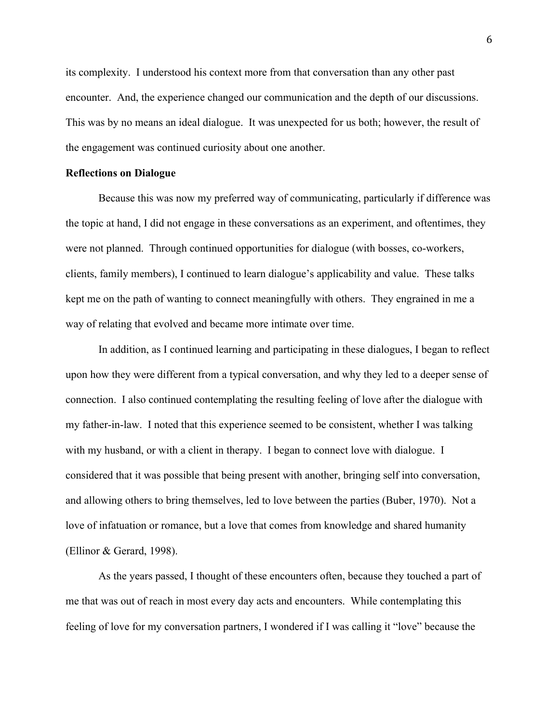its complexity. I understood his context more from that conversation than any other past encounter. And, the experience changed our communication and the depth of our discussions. This was by no means an ideal dialogue. It was unexpected for us both; however, the result of the engagement was continued curiosity about one another.

#### **Reflections on Dialogue**

Because this was now my preferred way of communicating, particularly if difference was the topic at hand, I did not engage in these conversations as an experiment, and oftentimes, they were not planned. Through continued opportunities for dialogue (with bosses, co-workers, clients, family members), I continued to learn dialogue's applicability and value. These talks kept me on the path of wanting to connect meaningfully with others. They engrained in me a way of relating that evolved and became more intimate over time.

In addition, as I continued learning and participating in these dialogues, I began to reflect upon how they were different from a typical conversation, and why they led to a deeper sense of connection. I also continued contemplating the resulting feeling of love after the dialogue with my father-in-law. I noted that this experience seemed to be consistent, whether I was talking with my husband, or with a client in therapy. I began to connect love with dialogue. I considered that it was possible that being present with another, bringing self into conversation, and allowing others to bring themselves, led to love between the parties (Buber, 1970). Not a love of infatuation or romance, but a love that comes from knowledge and shared humanity (Ellinor & Gerard, 1998).

As the years passed, I thought of these encounters often, because they touched a part of me that was out of reach in most every day acts and encounters. While contemplating this feeling of love for my conversation partners, I wondered if I was calling it "love" because the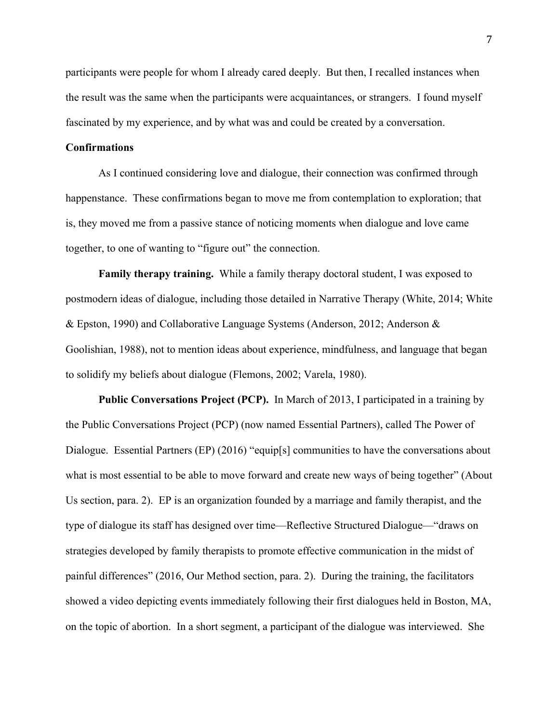participants were people for whom I already cared deeply. But then, I recalled instances when the result was the same when the participants were acquaintances, or strangers. I found myself fascinated by my experience, and by what was and could be created by a conversation.

#### **Confirmations**

As I continued considering love and dialogue, their connection was confirmed through happenstance. These confirmations began to move me from contemplation to exploration; that is, they moved me from a passive stance of noticing moments when dialogue and love came together, to one of wanting to "figure out" the connection.

**Family therapy training.** While a family therapy doctoral student, I was exposed to postmodern ideas of dialogue, including those detailed in Narrative Therapy (White, 2014; White & Epston, 1990) and Collaborative Language Systems (Anderson, 2012; Anderson & Goolishian, 1988), not to mention ideas about experience, mindfulness, and language that began to solidify my beliefs about dialogue (Flemons, 2002; Varela, 1980).

**Public Conversations Project (PCP).** In March of 2013, I participated in a training by the Public Conversations Project (PCP) (now named Essential Partners), called The Power of Dialogue. Essential Partners (EP) (2016) "equip[s] communities to have the conversations about what is most essential to be able to move forward and create new ways of being together" (About Us section, para. 2). EP is an organization founded by a marriage and family therapist, and the type of dialogue its staff has designed over time—Reflective Structured Dialogue—"draws on strategies developed by family therapists to promote effective communication in the midst of painful differences" (2016, Our Method section, para. 2). During the training, the facilitators showed a video depicting events immediately following their first dialogues held in Boston, MA, on the topic of abortion. In a short segment, a participant of the dialogue was interviewed. She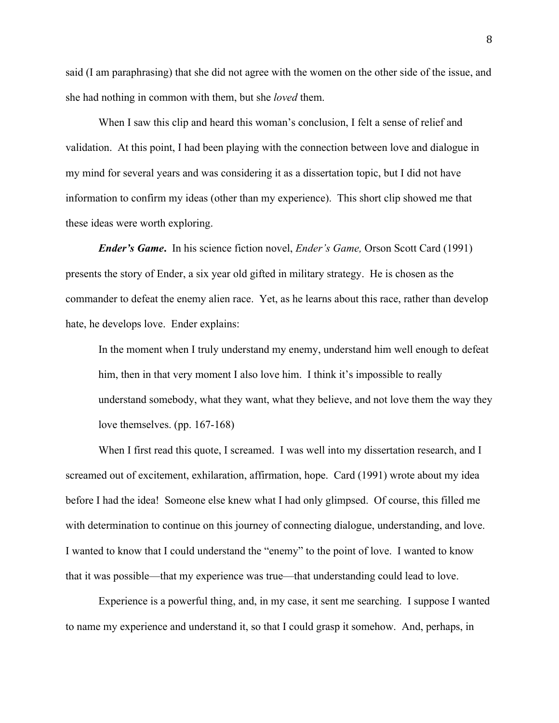said (I am paraphrasing) that she did not agree with the women on the other side of the issue, and she had nothing in common with them, but she *loved* them.

When I saw this clip and heard this woman's conclusion, I felt a sense of relief and validation. At this point, I had been playing with the connection between love and dialogue in my mind for several years and was considering it as a dissertation topic, but I did not have information to confirm my ideas (other than my experience). This short clip showed me that these ideas were worth exploring.

*Ender's Game***.** In his science fiction novel, *Ender's Game,* Orson Scott Card (1991) presents the story of Ender, a six year old gifted in military strategy. He is chosen as the commander to defeat the enemy alien race. Yet, as he learns about this race, rather than develop hate, he develops love. Ender explains:

In the moment when I truly understand my enemy, understand him well enough to defeat him, then in that very moment I also love him. I think it's impossible to really understand somebody, what they want, what they believe, and not love them the way they love themselves. (pp. 167-168)

When I first read this quote, I screamed. I was well into my dissertation research, and I screamed out of excitement, exhilaration, affirmation, hope. Card (1991) wrote about my idea before I had the idea! Someone else knew what I had only glimpsed. Of course, this filled me with determination to continue on this journey of connecting dialogue, understanding, and love. I wanted to know that I could understand the "enemy" to the point of love. I wanted to know that it was possible—that my experience was true—that understanding could lead to love.

Experience is a powerful thing, and, in my case, it sent me searching. I suppose I wanted to name my experience and understand it, so that I could grasp it somehow. And, perhaps, in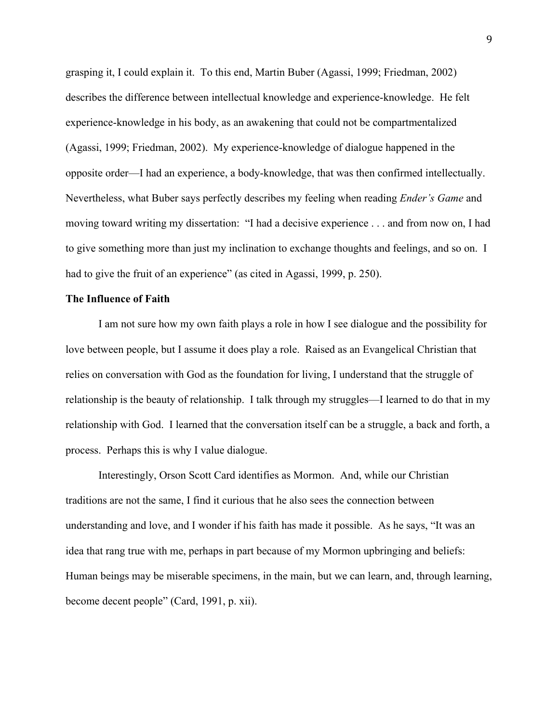grasping it, I could explain it. To this end, Martin Buber (Agassi, 1999; Friedman, 2002) describes the difference between intellectual knowledge and experience-knowledge. He felt experience-knowledge in his body, as an awakening that could not be compartmentalized (Agassi, 1999; Friedman, 2002). My experience-knowledge of dialogue happened in the opposite order—I had an experience, a body-knowledge, that was then confirmed intellectually. Nevertheless, what Buber says perfectly describes my feeling when reading *Ender's Game* and moving toward writing my dissertation: "I had a decisive experience . . . and from now on, I had to give something more than just my inclination to exchange thoughts and feelings, and so on. I had to give the fruit of an experience" (as cited in Agassi, 1999, p. 250).

#### **The Influence of Faith**

I am not sure how my own faith plays a role in how I see dialogue and the possibility for love between people, but I assume it does play a role. Raised as an Evangelical Christian that relies on conversation with God as the foundation for living, I understand that the struggle of relationship is the beauty of relationship. I talk through my struggles—I learned to do that in my relationship with God. I learned that the conversation itself can be a struggle, a back and forth, a process. Perhaps this is why I value dialogue.

Interestingly, Orson Scott Card identifies as Mormon. And, while our Christian traditions are not the same, I find it curious that he also sees the connection between understanding and love, and I wonder if his faith has made it possible. As he says, "It was an idea that rang true with me, perhaps in part because of my Mormon upbringing and beliefs: Human beings may be miserable specimens, in the main, but we can learn, and, through learning, become decent people" (Card, 1991, p. xii).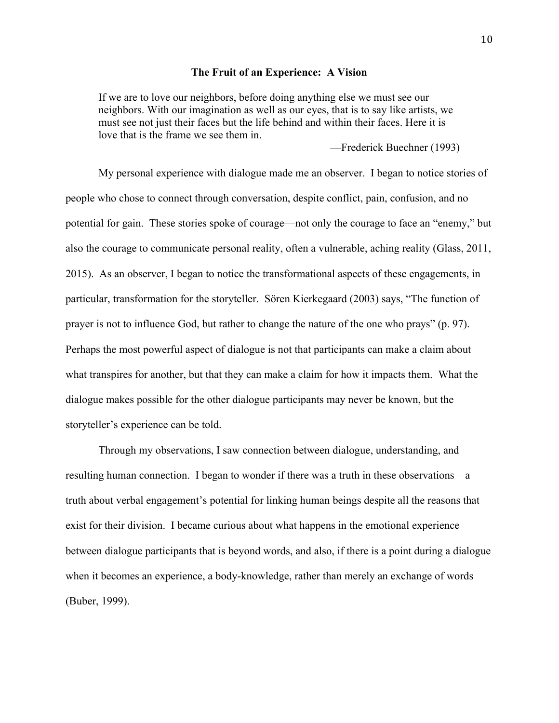#### **The Fruit of an Experience: A Vision**

If we are to love our neighbors, before doing anything else we must see our neighbors. With our imagination as well as our eyes, that is to say like artists, we must see not just their faces but the life behind and within their faces. Here it is love that is the frame we see them in.

—Frederick Buechner (1993)

My personal experience with dialogue made me an observer. I began to notice stories of people who chose to connect through conversation, despite conflict, pain, confusion, and no potential for gain. These stories spoke of courage—not only the courage to face an "enemy," but also the courage to communicate personal reality, often a vulnerable, aching reality (Glass, 2011, 2015). As an observer, I began to notice the transformational aspects of these engagements, in particular, transformation for the storyteller. Sören Kierkegaard (2003) says, "The function of prayer is not to influence God, but rather to change the nature of the one who prays" (p. 97). Perhaps the most powerful aspect of dialogue is not that participants can make a claim about what transpires for another, but that they can make a claim for how it impacts them. What the dialogue makes possible for the other dialogue participants may never be known, but the storyteller's experience can be told.

Through my observations, I saw connection between dialogue, understanding, and resulting human connection. I began to wonder if there was a truth in these observations—a truth about verbal engagement's potential for linking human beings despite all the reasons that exist for their division. I became curious about what happens in the emotional experience between dialogue participants that is beyond words, and also, if there is a point during a dialogue when it becomes an experience, a body-knowledge, rather than merely an exchange of words (Buber, 1999).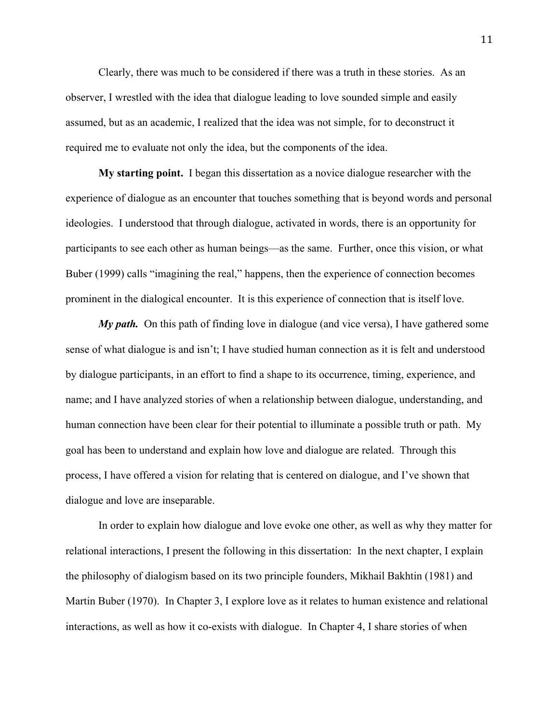Clearly, there was much to be considered if there was a truth in these stories. As an observer, I wrestled with the idea that dialogue leading to love sounded simple and easily assumed, but as an academic, I realized that the idea was not simple, for to deconstruct it required me to evaluate not only the idea, but the components of the idea.

**My starting point.** I began this dissertation as a novice dialogue researcher with the experience of dialogue as an encounter that touches something that is beyond words and personal ideologies. I understood that through dialogue, activated in words, there is an opportunity for participants to see each other as human beings—as the same. Further, once this vision, or what Buber (1999) calls "imagining the real," happens, then the experience of connection becomes prominent in the dialogical encounter. It is this experience of connection that is itself love.

*My path.* On this path of finding love in dialogue (and vice versa), I have gathered some sense of what dialogue is and isn't; I have studied human connection as it is felt and understood by dialogue participants, in an effort to find a shape to its occurrence, timing, experience, and name; and I have analyzed stories of when a relationship between dialogue, understanding, and human connection have been clear for their potential to illuminate a possible truth or path. My goal has been to understand and explain how love and dialogue are related. Through this process, I have offered a vision for relating that is centered on dialogue, and I've shown that dialogue and love are inseparable.

In order to explain how dialogue and love evoke one other, as well as why they matter for relational interactions, I present the following in this dissertation: In the next chapter, I explain the philosophy of dialogism based on its two principle founders, Mikhail Bakhtin (1981) and Martin Buber (1970). In Chapter 3, I explore love as it relates to human existence and relational interactions, as well as how it co-exists with dialogue. In Chapter 4, I share stories of when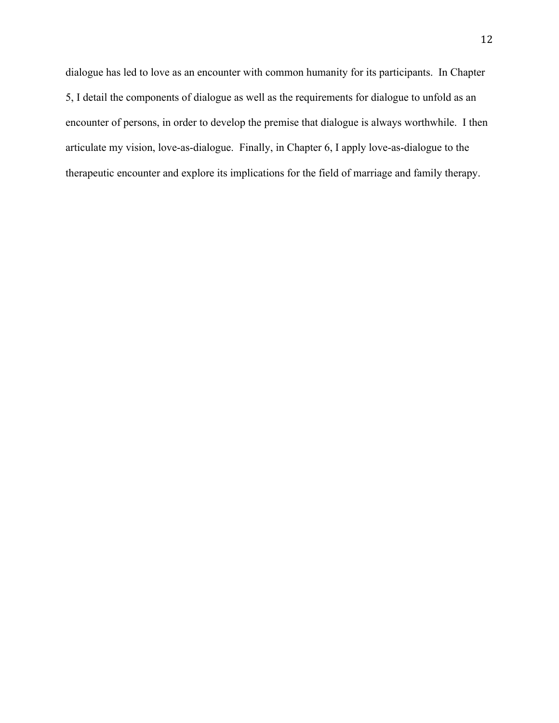dialogue has led to love as an encounter with common humanity for its participants. In Chapter 5, I detail the components of dialogue as well as the requirements for dialogue to unfold as an encounter of persons, in order to develop the premise that dialogue is always worthwhile. I then articulate my vision, love-as-dialogue. Finally, in Chapter 6, I apply love-as-dialogue to the therapeutic encounter and explore its implications for the field of marriage and family therapy.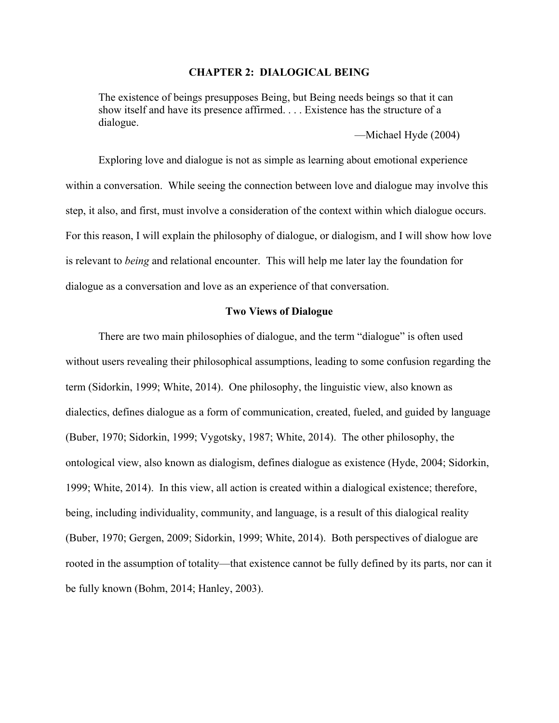#### **CHAPTER 2: DIALOGICAL BEING**

The existence of beings presupposes Being, but Being needs beings so that it can show itself and have its presence affirmed. . . . Existence has the structure of a dialogue.

—Michael Hyde (2004)

Exploring love and dialogue is not as simple as learning about emotional experience within a conversation. While seeing the connection between love and dialogue may involve this step, it also, and first, must involve a consideration of the context within which dialogue occurs. For this reason, I will explain the philosophy of dialogue, or dialogism, and I will show how love is relevant to *being* and relational encounter. This will help me later lay the foundation for dialogue as a conversation and love as an experience of that conversation.

#### **Two Views of Dialogue**

There are two main philosophies of dialogue, and the term "dialogue" is often used without users revealing their philosophical assumptions, leading to some confusion regarding the term (Sidorkin, 1999; White, 2014). One philosophy, the linguistic view, also known as dialectics, defines dialogue as a form of communication, created, fueled, and guided by language (Buber, 1970; Sidorkin, 1999; Vygotsky, 1987; White, 2014). The other philosophy, the ontological view, also known as dialogism, defines dialogue as existence (Hyde, 2004; Sidorkin, 1999; White, 2014). In this view, all action is created within a dialogical existence; therefore, being, including individuality, community, and language, is a result of this dialogical reality (Buber, 1970; Gergen, 2009; Sidorkin, 1999; White, 2014). Both perspectives of dialogue are rooted in the assumption of totality—that existence cannot be fully defined by its parts, nor can it be fully known (Bohm, 2014; Hanley, 2003).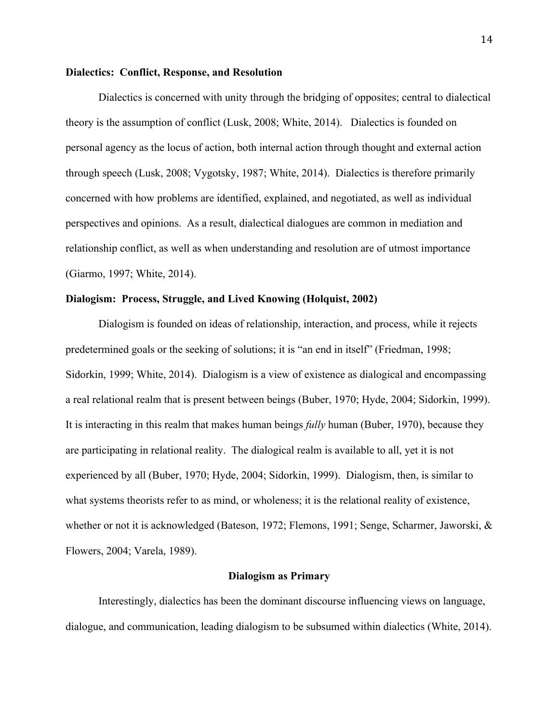#### **Dialectics: Conflict, Response, and Resolution**

Dialectics is concerned with unity through the bridging of opposites; central to dialectical theory is the assumption of conflict (Lusk, 2008; White, 2014). Dialectics is founded on personal agency as the locus of action, both internal action through thought and external action through speech (Lusk, 2008; Vygotsky, 1987; White, 2014). Dialectics is therefore primarily concerned with how problems are identified, explained, and negotiated, as well as individual perspectives and opinions. As a result, dialectical dialogues are common in mediation and relationship conflict, as well as when understanding and resolution are of utmost importance (Giarmo, 1997; White, 2014).

#### **Dialogism: Process, Struggle, and Lived Knowing (Holquist, 2002)**

Dialogism is founded on ideas of relationship, interaction, and process, while it rejects predetermined goals or the seeking of solutions; it is "an end in itself" (Friedman, 1998; Sidorkin, 1999; White, 2014). Dialogism is a view of existence as dialogical and encompassing a real relational realm that is present between beings (Buber, 1970; Hyde, 2004; Sidorkin, 1999). It is interacting in this realm that makes human beings *fully* human (Buber, 1970), because they are participating in relational reality. The dialogical realm is available to all, yet it is not experienced by all (Buber, 1970; Hyde, 2004; Sidorkin, 1999). Dialogism, then, is similar to what systems theorists refer to as mind, or wholeness; it is the relational reality of existence, whether or not it is acknowledged (Bateson, 1972; Flemons, 1991; Senge, Scharmer, Jaworski, & Flowers, 2004; Varela, 1989).

#### **Dialogism as Primary**

Interestingly, dialectics has been the dominant discourse influencing views on language, dialogue, and communication, leading dialogism to be subsumed within dialectics (White, 2014).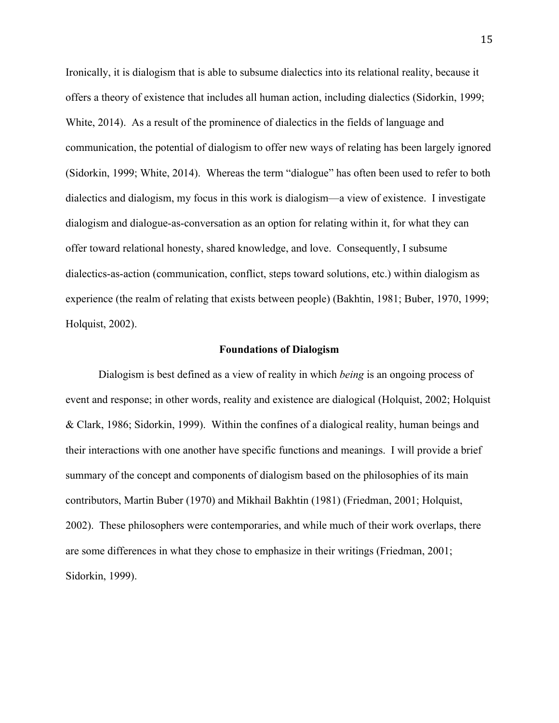Ironically, it is dialogism that is able to subsume dialectics into its relational reality, because it offers a theory of existence that includes all human action, including dialectics (Sidorkin, 1999; White, 2014). As a result of the prominence of dialectics in the fields of language and communication, the potential of dialogism to offer new ways of relating has been largely ignored (Sidorkin, 1999; White, 2014). Whereas the term "dialogue" has often been used to refer to both dialectics and dialogism, my focus in this work is dialogism—a view of existence. I investigate dialogism and dialogue-as-conversation as an option for relating within it, for what they can offer toward relational honesty, shared knowledge, and love. Consequently, I subsume dialectics-as-action (communication, conflict, steps toward solutions, etc.) within dialogism as experience (the realm of relating that exists between people) (Bakhtin, 1981; Buber, 1970, 1999; Holquist, 2002).

#### **Foundations of Dialogism**

Dialogism is best defined as a view of reality in which *being* is an ongoing process of event and response; in other words, reality and existence are dialogical (Holquist, 2002; Holquist & Clark, 1986; Sidorkin, 1999). Within the confines of a dialogical reality, human beings and their interactions with one another have specific functions and meanings. I will provide a brief summary of the concept and components of dialogism based on the philosophies of its main contributors, Martin Buber (1970) and Mikhail Bakhtin (1981) (Friedman, 2001; Holquist, 2002). These philosophers were contemporaries, and while much of their work overlaps, there are some differences in what they chose to emphasize in their writings (Friedman, 2001; Sidorkin, 1999).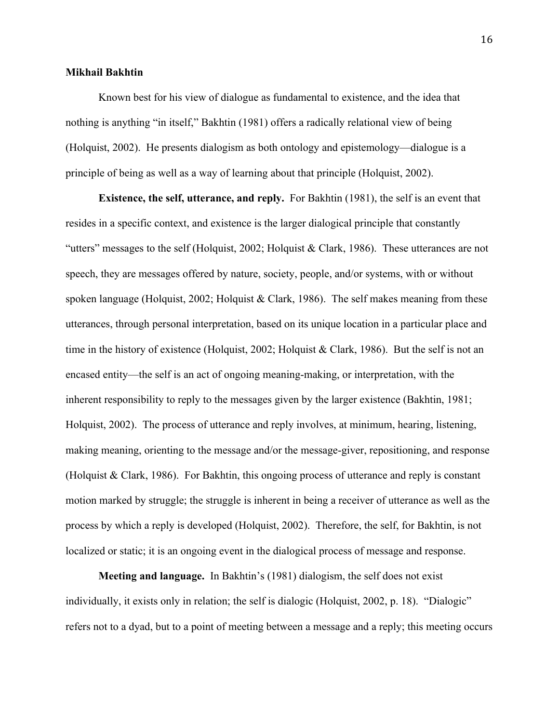#### **Mikhail Bakhtin**

Known best for his view of dialogue as fundamental to existence, and the idea that nothing is anything "in itself," Bakhtin (1981) offers a radically relational view of being (Holquist, 2002). He presents dialogism as both ontology and epistemology—dialogue is a principle of being as well as a way of learning about that principle (Holquist, 2002).

**Existence, the self, utterance, and reply.** For Bakhtin (1981), the self is an event that resides in a specific context, and existence is the larger dialogical principle that constantly "utters" messages to the self (Holquist, 2002; Holquist & Clark, 1986). These utterances are not speech, they are messages offered by nature, society, people, and/or systems, with or without spoken language (Holquist, 2002; Holquist & Clark, 1986). The self makes meaning from these utterances, through personal interpretation, based on its unique location in a particular place and time in the history of existence (Holquist, 2002; Holquist & Clark, 1986). But the self is not an encased entity—the self is an act of ongoing meaning-making, or interpretation, with the inherent responsibility to reply to the messages given by the larger existence (Bakhtin, 1981; Holquist, 2002). The process of utterance and reply involves, at minimum, hearing, listening, making meaning, orienting to the message and/or the message-giver, repositioning, and response (Holquist & Clark, 1986). For Bakhtin, this ongoing process of utterance and reply is constant motion marked by struggle; the struggle is inherent in being a receiver of utterance as well as the process by which a reply is developed (Holquist, 2002). Therefore, the self, for Bakhtin, is not localized or static; it is an ongoing event in the dialogical process of message and response.

**Meeting and language.** In Bakhtin's (1981) dialogism, the self does not exist individually, it exists only in relation; the self is dialogic (Holquist, 2002, p. 18). "Dialogic" refers not to a dyad, but to a point of meeting between a message and a reply; this meeting occurs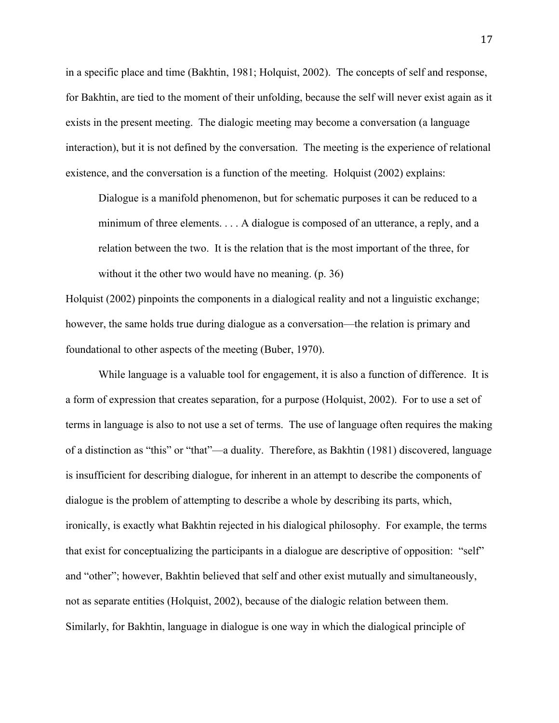in a specific place and time (Bakhtin, 1981; Holquist, 2002). The concepts of self and response, for Bakhtin, are tied to the moment of their unfolding, because the self will never exist again as it exists in the present meeting. The dialogic meeting may become a conversation (a language interaction), but it is not defined by the conversation. The meeting is the experience of relational existence, and the conversation is a function of the meeting. Holquist (2002) explains:

Dialogue is a manifold phenomenon, but for schematic purposes it can be reduced to a minimum of three elements. . . . A dialogue is composed of an utterance, a reply, and a relation between the two. It is the relation that is the most important of the three, for without it the other two would have no meaning. (p. 36)

Holquist (2002) pinpoints the components in a dialogical reality and not a linguistic exchange; however, the same holds true during dialogue as a conversation—the relation is primary and foundational to other aspects of the meeting (Buber, 1970).

While language is a valuable tool for engagement, it is also a function of difference. It is a form of expression that creates separation, for a purpose (Holquist, 2002). For to use a set of terms in language is also to not use a set of terms. The use of language often requires the making of a distinction as "this" or "that"—a duality. Therefore, as Bakhtin (1981) discovered, language is insufficient for describing dialogue, for inherent in an attempt to describe the components of dialogue is the problem of attempting to describe a whole by describing its parts, which, ironically, is exactly what Bakhtin rejected in his dialogical philosophy. For example, the terms that exist for conceptualizing the participants in a dialogue are descriptive of opposition: "self" and "other"; however, Bakhtin believed that self and other exist mutually and simultaneously, not as separate entities (Holquist, 2002), because of the dialogic relation between them. Similarly, for Bakhtin, language in dialogue is one way in which the dialogical principle of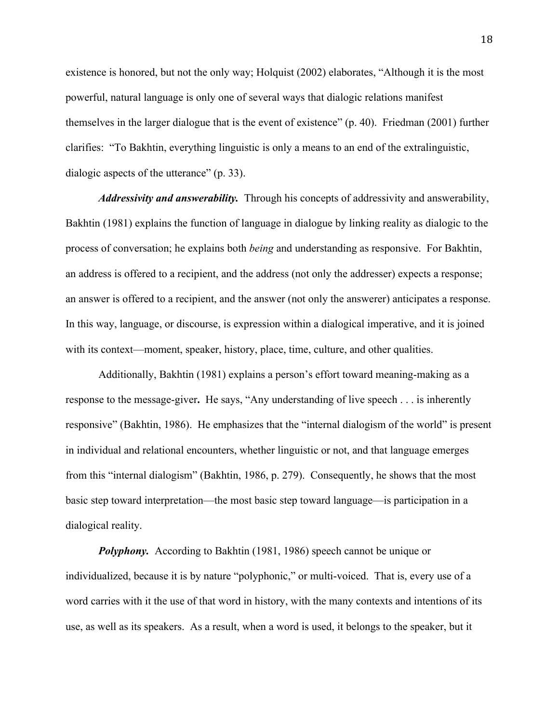existence is honored, but not the only way; Holquist (2002) elaborates, "Although it is the most powerful, natural language is only one of several ways that dialogic relations manifest themselves in the larger dialogue that is the event of existence" (p. 40). Friedman (2001) further clarifies: "To Bakhtin, everything linguistic is only a means to an end of the extralinguistic, dialogic aspects of the utterance" (p. 33).

*Addressivity and answerability.* Through his concepts of addressivity and answerability, Bakhtin (1981) explains the function of language in dialogue by linking reality as dialogic to the process of conversation; he explains both *being* and understanding as responsive. For Bakhtin, an address is offered to a recipient, and the address (not only the addresser) expects a response; an answer is offered to a recipient, and the answer (not only the answerer) anticipates a response. In this way, language, or discourse, is expression within a dialogical imperative, and it is joined with its context—moment, speaker, history, place, time, culture, and other qualities.

Additionally, Bakhtin (1981) explains a person's effort toward meaning-making as a response to the message-giver**.** He says, "Any understanding of live speech . . . is inherently responsive" (Bakhtin, 1986). He emphasizes that the "internal dialogism of the world" is present in individual and relational encounters, whether linguistic or not, and that language emerges from this "internal dialogism" (Bakhtin, 1986, p. 279). Consequently, he shows that the most basic step toward interpretation—the most basic step toward language—is participation in a dialogical reality.

*Polyphony.* According to Bakhtin (1981, 1986) speech cannot be unique or individualized, because it is by nature "polyphonic," or multi-voiced. That is, every use of a word carries with it the use of that word in history, with the many contexts and intentions of its use, as well as its speakers. As a result, when a word is used, it belongs to the speaker, but it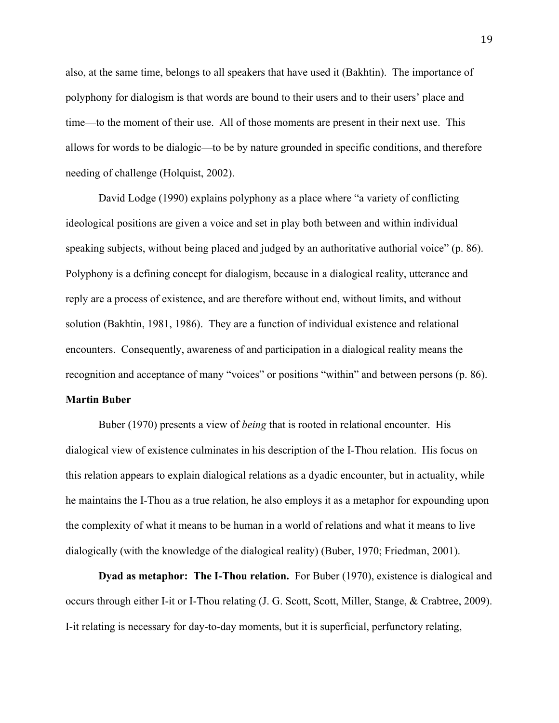also, at the same time, belongs to all speakers that have used it (Bakhtin). The importance of polyphony for dialogism is that words are bound to their users and to their users' place and time—to the moment of their use. All of those moments are present in their next use. This allows for words to be dialogic—to be by nature grounded in specific conditions, and therefore needing of challenge (Holquist, 2002).

David Lodge (1990) explains polyphony as a place where "a variety of conflicting ideological positions are given a voice and set in play both between and within individual speaking subjects, without being placed and judged by an authoritative authorial voice" (p. 86). Polyphony is a defining concept for dialogism, because in a dialogical reality, utterance and reply are a process of existence, and are therefore without end, without limits, and without solution (Bakhtin, 1981, 1986). They are a function of individual existence and relational encounters. Consequently, awareness of and participation in a dialogical reality means the recognition and acceptance of many "voices" or positions "within" and between persons (p. 86).

#### **Martin Buber**

Buber (1970) presents a view of *being* that is rooted in relational encounter.His dialogical view of existence culminates in his description of the I-Thou relation. His focus on this relation appears to explain dialogical relations as a dyadic encounter, but in actuality, while he maintains the I-Thou as a true relation, he also employs it as a metaphor for expounding upon the complexity of what it means to be human in a world of relations and what it means to live dialogically (with the knowledge of the dialogical reality) (Buber, 1970; Friedman, 2001).

**Dyad as metaphor: The I-Thou relation.** For Buber (1970), existence is dialogical and occurs through either I-it or I-Thou relating (J. G. Scott, Scott, Miller, Stange, & Crabtree, 2009). I-it relating is necessary for day-to-day moments, but it is superficial, perfunctory relating,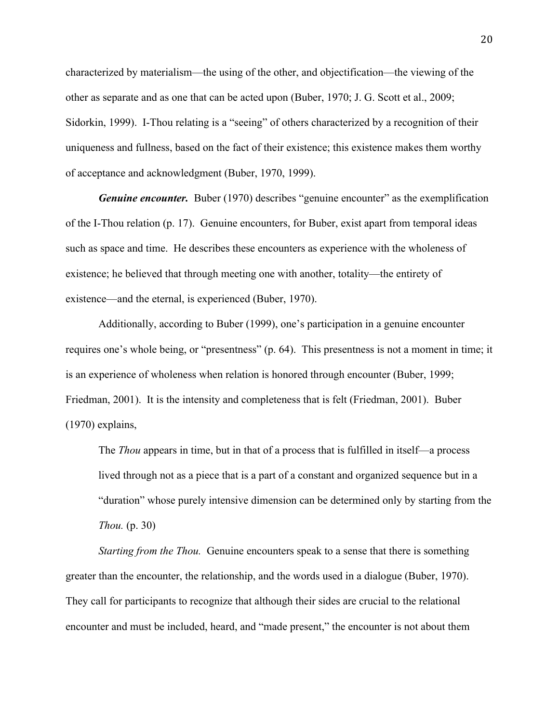characterized by materialism—the using of the other, and objectification—the viewing of the other as separate and as one that can be acted upon (Buber, 1970; J. G. Scott et al., 2009; Sidorkin, 1999). I-Thou relating is a "seeing" of others characterized by a recognition of their uniqueness and fullness, based on the fact of their existence; this existence makes them worthy of acceptance and acknowledgment (Buber, 1970, 1999).

*Genuine encounter.* Buber (1970) describes "genuine encounter" as the exemplification of the I-Thou relation (p. 17). Genuine encounters, for Buber, exist apart from temporal ideas such as space and time. He describes these encounters as experience with the wholeness of existence; he believed that through meeting one with another, totality—the entirety of existence—and the eternal, is experienced (Buber, 1970).

Additionally, according to Buber (1999), one's participation in a genuine encounter requires one's whole being, or "presentness" (p. 64). This presentness is not a moment in time; it is an experience of wholeness when relation is honored through encounter (Buber, 1999; Friedman, 2001). It is the intensity and completeness that is felt (Friedman, 2001). Buber (1970) explains,

The *Thou* appears in time, but in that of a process that is fulfilled in itself—a process lived through not as a piece that is a part of a constant and organized sequence but in a "duration" whose purely intensive dimension can be determined only by starting from the *Thou.* (p. 30)

*Starting from the Thou.* Genuine encounters speak to a sense that there is something greater than the encounter, the relationship, and the words used in a dialogue (Buber, 1970). They call for participants to recognize that although their sides are crucial to the relational encounter and must be included, heard, and "made present," the encounter is not about them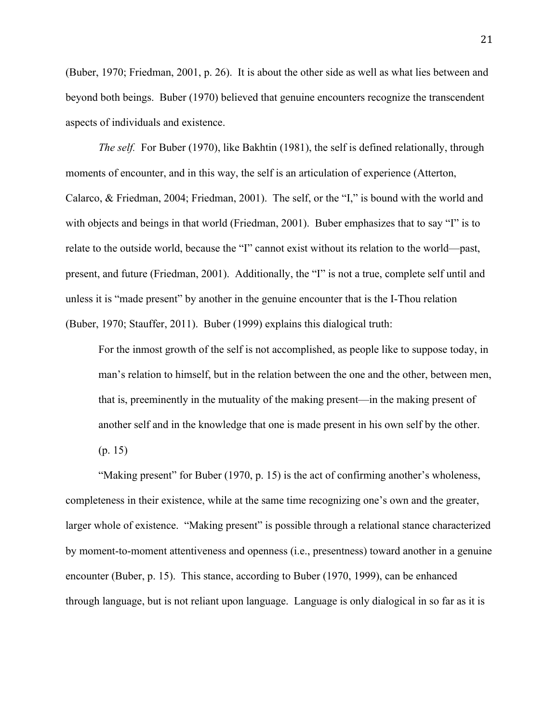(Buber, 1970; Friedman, 2001, p. 26). It is about the other side as well as what lies between and beyond both beings. Buber (1970) believed that genuine encounters recognize the transcendent aspects of individuals and existence.

*The self.* For Buber (1970), like Bakhtin (1981), the self is defined relationally, through moments of encounter, and in this way, the self is an articulation of experience (Atterton, Calarco, & Friedman, 2004; Friedman, 2001). The self, or the "I," is bound with the world and with objects and beings in that world (Friedman, 2001). Buber emphasizes that to say "I" is to relate to the outside world, because the "I" cannot exist without its relation to the world—past, present, and future (Friedman, 2001). Additionally, the "I" is not a true, complete self until and unless it is "made present" by another in the genuine encounter that is the I-Thou relation (Buber, 1970; Stauffer, 2011). Buber (1999) explains this dialogical truth:

For the inmost growth of the self is not accomplished, as people like to suppose today, in man's relation to himself, but in the relation between the one and the other, between men, that is, preeminently in the mutuality of the making present—in the making present of another self and in the knowledge that one is made present in his own self by the other. (p. 15)

"Making present" for Buber (1970, p. 15) is the act of confirming another's wholeness, completeness in their existence, while at the same time recognizing one's own and the greater, larger whole of existence. "Making present" is possible through a relational stance characterized by moment-to-moment attentiveness and openness (i.e., presentness) toward another in a genuine encounter (Buber, p. 15). This stance, according to Buber (1970, 1999), can be enhanced through language, but is not reliant upon language. Language is only dialogical in so far as it is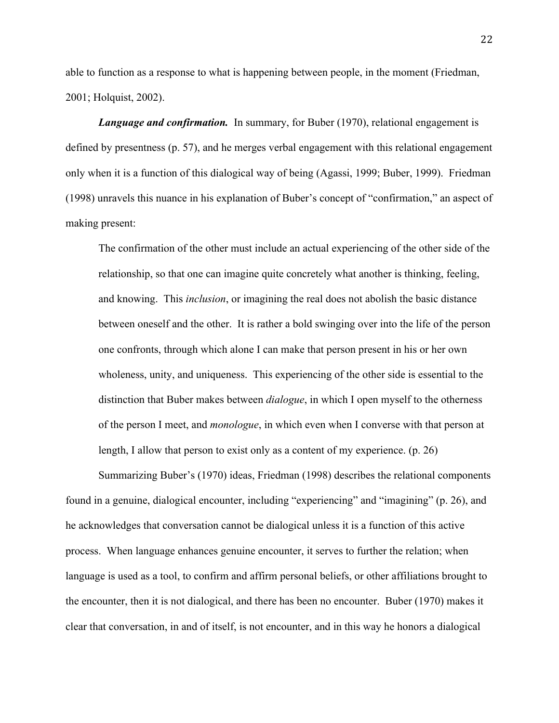able to function as a response to what is happening between people, in the moment (Friedman, 2001; Holquist, 2002).

*Language and confirmation.* In summary, for Buber (1970), relational engagement is defined by presentness (p. 57), and he merges verbal engagement with this relational engagement only when it is a function of this dialogical way of being (Agassi, 1999; Buber, 1999). Friedman (1998) unravels this nuance in his explanation of Buber's concept of "confirmation," an aspect of making present:

The confirmation of the other must include an actual experiencing of the other side of the relationship, so that one can imagine quite concretely what another is thinking, feeling, and knowing. This *inclusion*, or imagining the real does not abolish the basic distance between oneself and the other. It is rather a bold swinging over into the life of the person one confronts, through which alone I can make that person present in his or her own wholeness, unity, and uniqueness. This experiencing of the other side is essential to the distinction that Buber makes between *dialogue*, in which I open myself to the otherness of the person I meet, and *monologue*, in which even when I converse with that person at length, I allow that person to exist only as a content of my experience. (p. 26)

Summarizing Buber's (1970) ideas, Friedman (1998) describes the relational components found in a genuine, dialogical encounter, including "experiencing" and "imagining" (p. 26), and he acknowledges that conversation cannot be dialogical unless it is a function of this active process. When language enhances genuine encounter, it serves to further the relation; when language is used as a tool, to confirm and affirm personal beliefs, or other affiliations brought to the encounter, then it is not dialogical, and there has been no encounter. Buber (1970) makes it clear that conversation, in and of itself, is not encounter, and in this way he honors a dialogical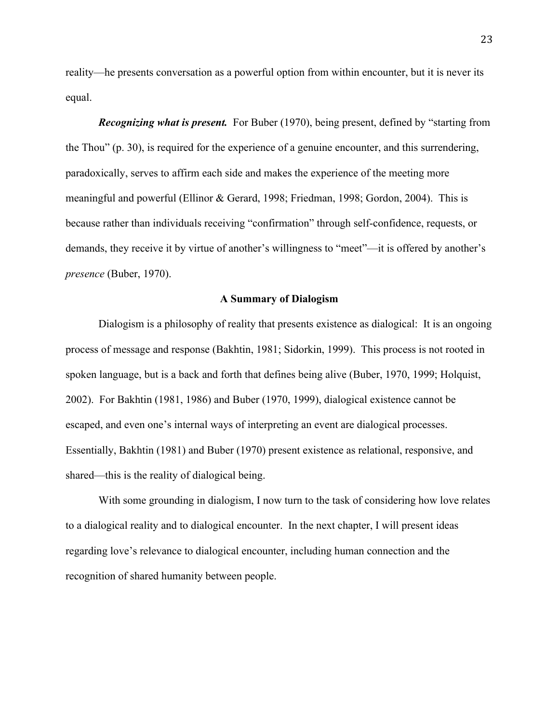reality—he presents conversation as a powerful option from within encounter, but it is never its equal.

*Recognizing what is present.* For Buber (1970), being present, defined by "starting from the Thou" (p. 30), is required for the experience of a genuine encounter, and this surrendering, paradoxically, serves to affirm each side and makes the experience of the meeting more meaningful and powerful (Ellinor & Gerard, 1998; Friedman, 1998; Gordon, 2004). This is because rather than individuals receiving "confirmation" through self-confidence, requests, or demands, they receive it by virtue of another's willingness to "meet"—it is offered by another's *presence* (Buber, 1970).

#### **A Summary of Dialogism**

Dialogism is a philosophy of reality that presents existence as dialogical: It is an ongoing process of message and response (Bakhtin, 1981; Sidorkin, 1999). This process is not rooted in spoken language, but is a back and forth that defines being alive (Buber, 1970, 1999; Holquist, 2002). For Bakhtin (1981, 1986) and Buber (1970, 1999), dialogical existence cannot be escaped, and even one's internal ways of interpreting an event are dialogical processes. Essentially, Bakhtin (1981) and Buber (1970) present existence as relational, responsive, and shared—this is the reality of dialogical being.

With some grounding in dialogism, I now turn to the task of considering how love relates to a dialogical reality and to dialogical encounter. In the next chapter, I will present ideas regarding love's relevance to dialogical encounter, including human connection and the recognition of shared humanity between people.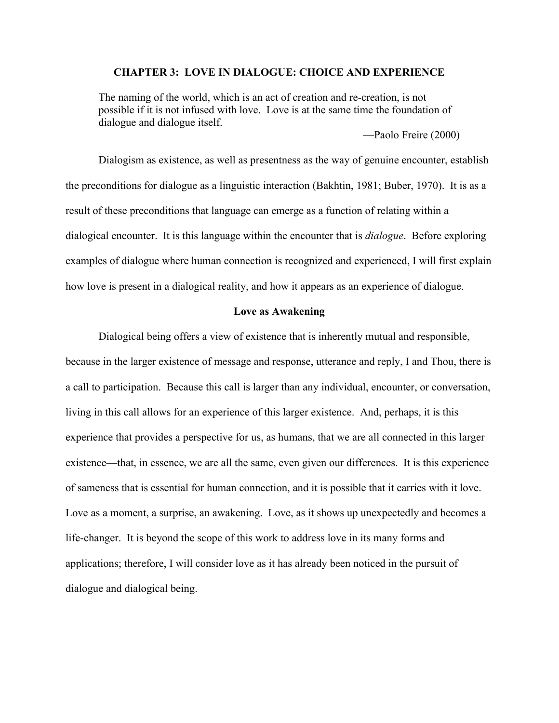# **CHAPTER 3: LOVE IN DIALOGUE: CHOICE AND EXPERIENCE**

The naming of the world, which is an act of creation and re-creation, is not possible if it is not infused with love. Love is at the same time the foundation of dialogue and dialogue itself.

—Paolo Freire (2000)

Dialogism as existence, as well as presentness as the way of genuine encounter, establish the preconditions for dialogue as a linguistic interaction (Bakhtin, 1981; Buber, 1970). It is as a result of these preconditions that language can emerge as a function of relating within a dialogical encounter. It is this language within the encounter that is *dialogue*. Before exploring examples of dialogue where human connection is recognized and experienced, I will first explain how love is present in a dialogical reality, and how it appears as an experience of dialogue.

### **Love as Awakening**

Dialogical being offers a view of existence that is inherently mutual and responsible, because in the larger existence of message and response, utterance and reply, I and Thou, there is a call to participation. Because this call is larger than any individual, encounter, or conversation, living in this call allows for an experience of this larger existence. And, perhaps, it is this experience that provides a perspective for us, as humans, that we are all connected in this larger existence—that, in essence, we are all the same, even given our differences. It is this experience of sameness that is essential for human connection, and it is possible that it carries with it love. Love as a moment, a surprise, an awakening. Love, as it shows up unexpectedly and becomes a life-changer. It is beyond the scope of this work to address love in its many forms and applications; therefore, I will consider love as it has already been noticed in the pursuit of dialogue and dialogical being.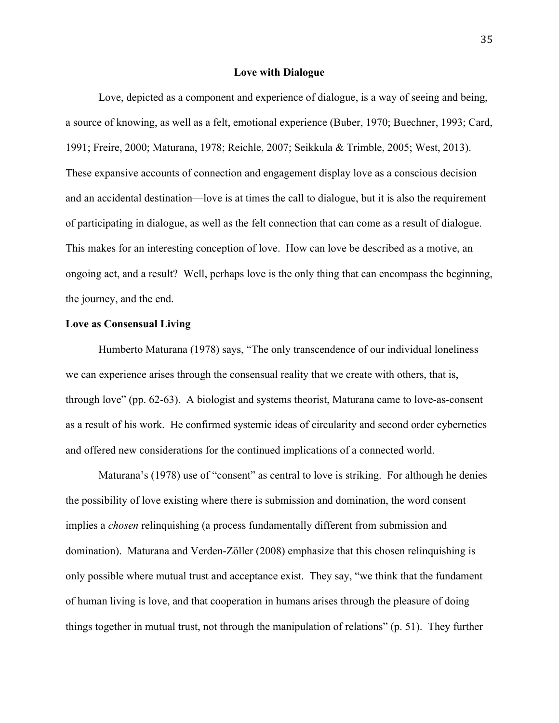### **Love with Dialogue**

Love, depicted as a component and experience of dialogue, is a way of seeing and being, a source of knowing, as well as a felt, emotional experience (Buber, 1970; Buechner, 1993; Card, 1991; Freire, 2000; Maturana, 1978; Reichle, 2007; Seikkula & Trimble, 2005; West, 2013). These expansive accounts of connection and engagement display love as a conscious decision and an accidental destination—love is at times the call to dialogue, but it is also the requirement of participating in dialogue, as well as the felt connection that can come as a result of dialogue. This makes for an interesting conception of love. How can love be described as a motive, an ongoing act, and a result? Well, perhaps love is the only thing that can encompass the beginning, the journey, and the end.

# **Love as Consensual Living**

Humberto Maturana (1978) says, "The only transcendence of our individual loneliness we can experience arises through the consensual reality that we create with others, that is, through love" (pp. 62-63). A biologist and systems theorist, Maturana came to love-as-consent as a result of his work. He confirmed systemic ideas of circularity and second order cybernetics and offered new considerations for the continued implications of a connected world.

Maturana's (1978) use of "consent" as central to love is striking. For although he denies the possibility of love existing where there is submission and domination, the word consent implies a *chosen* relinquishing (a process fundamentally different from submission and domination). Maturana and Verden-Zöller (2008) emphasize that this chosen relinquishing is only possible where mutual trust and acceptance exist. They say, "we think that the fundament of human living is love, and that cooperation in humans arises through the pleasure of doing things together in mutual trust, not through the manipulation of relations" (p. 51). They further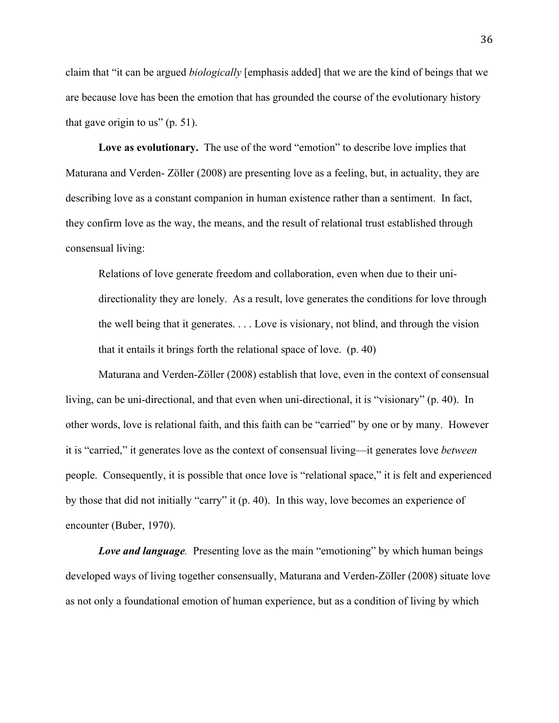claim that "it can be argued *biologically* [emphasis added] that we are the kind of beings that we are because love has been the emotion that has grounded the course of the evolutionary history that gave origin to us" (p. 51).

**Love as evolutionary.** The use of the word "emotion" to describe love implies that Maturana and Verden- Zöller (2008) are presenting love as a feeling, but, in actuality, they are describing love as a constant companion in human existence rather than a sentiment. In fact, they confirm love as the way, the means, and the result of relational trust established through consensual living:

Relations of love generate freedom and collaboration, even when due to their unidirectionality they are lonely. As a result, love generates the conditions for love through the well being that it generates. . . . Love is visionary, not blind, and through the vision that it entails it brings forth the relational space of love. (p. 40)

Maturana and Verden-Zöller (2008) establish that love, even in the context of consensual living, can be uni-directional, and that even when uni-directional, it is "visionary" (p. 40). In other words, love is relational faith, and this faith can be "carried" by one or by many. However it is "carried," it generates love as the context of consensual living—it generates love *between*  people. Consequently, it is possible that once love is "relational space," it is felt and experienced by those that did not initially "carry" it (p. 40). In this way, love becomes an experience of encounter (Buber, 1970).

*Love and language.* Presenting love as the main "emotioning" by which human beings developed ways of living together consensually, Maturana and Verden-Zöller (2008) situate love as not only a foundational emotion of human experience, but as a condition of living by which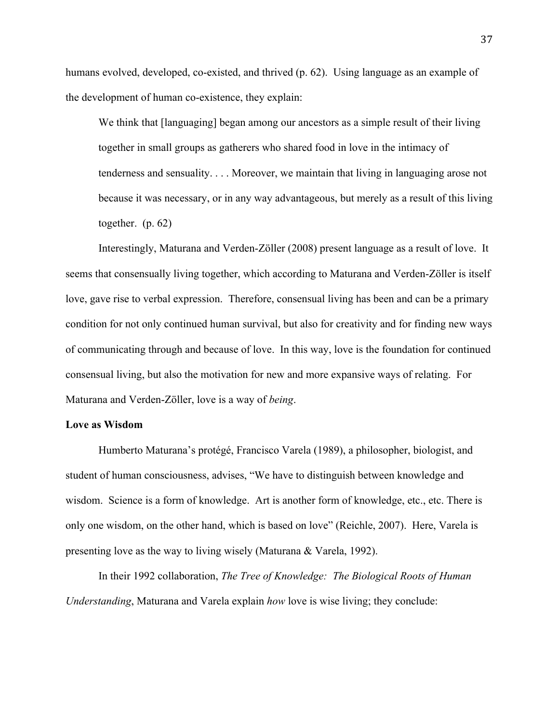humans evolved, developed, co-existed, and thrived (p. 62). Using language as an example of the development of human co-existence, they explain:

We think that [languaging] began among our ancestors as a simple result of their living together in small groups as gatherers who shared food in love in the intimacy of tenderness and sensuality. . . . Moreover, we maintain that living in languaging arose not because it was necessary, or in any way advantageous, but merely as a result of this living together. (p. 62)

Interestingly, Maturana and Verden-Zöller (2008) present language as a result of love. It seems that consensually living together, which according to Maturana and Verden-Zöller is itself love, gave rise to verbal expression. Therefore, consensual living has been and can be a primary condition for not only continued human survival, but also for creativity and for finding new ways of communicating through and because of love. In this way, love is the foundation for continued consensual living, but also the motivation for new and more expansive ways of relating. For Maturana and Verden-Zöller, love is a way of *being*.

### **Love as Wisdom**

Humberto Maturana's protégé, Francisco Varela (1989), a philosopher, biologist, and student of human consciousness, advises, "We have to distinguish between knowledge and wisdom. Science is a form of knowledge. Art is another form of knowledge, etc., etc. There is only one wisdom, on the other hand, which is based on love" (Reichle, 2007). Here, Varela is presenting love as the way to living wisely (Maturana & Varela, 1992).

In their 1992 collaboration, *The Tree of Knowledge: The Biological Roots of Human Understanding*, Maturana and Varela explain *how* love is wise living; they conclude: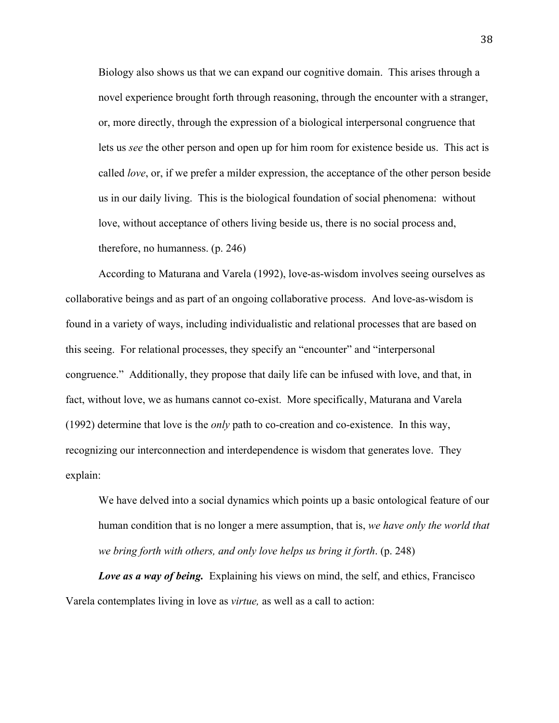Biology also shows us that we can expand our cognitive domain. This arises through a novel experience brought forth through reasoning, through the encounter with a stranger, or, more directly, through the expression of a biological interpersonal congruence that lets us *see* the other person and open up for him room for existence beside us. This act is called *love*, or, if we prefer a milder expression, the acceptance of the other person beside us in our daily living. This is the biological foundation of social phenomena: without love, without acceptance of others living beside us, there is no social process and, therefore, no humanness. (p. 246)

According to Maturana and Varela (1992), love-as-wisdom involves seeing ourselves as collaborative beings and as part of an ongoing collaborative process. And love-as-wisdom is found in a variety of ways, including individualistic and relational processes that are based on this seeing. For relational processes, they specify an "encounter" and "interpersonal congruence." Additionally, they propose that daily life can be infused with love, and that, in fact, without love, we as humans cannot co-exist. More specifically, Maturana and Varela (1992) determine that love is the *only* path to co-creation and co-existence. In this way, recognizing our interconnection and interdependence is wisdom that generates love. They explain:

We have delved into a social dynamics which points up a basic ontological feature of our human condition that is no longer a mere assumption, that is, *we have only the world that we bring forth with others, and only love helps us bring it forth*. (p. 248)

*Love as a way of being.* Explaining his views on mind, the self, and ethics, Francisco Varela contemplates living in love as *virtue,* as well as a call to action: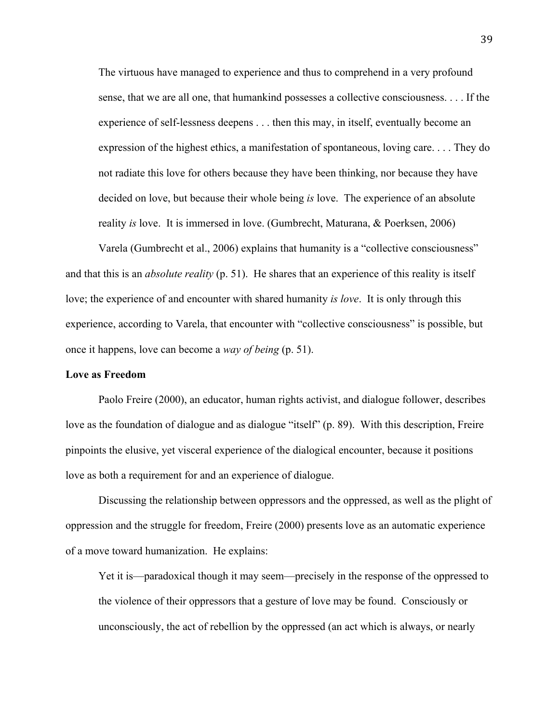The virtuous have managed to experience and thus to comprehend in a very profound sense, that we are all one, that humankind possesses a collective consciousness. . . . If the experience of self-lessness deepens . . . then this may, in itself, eventually become an expression of the highest ethics, a manifestation of spontaneous, loving care. . . . They do not radiate this love for others because they have been thinking, nor because they have decided on love, but because their whole being *is* love. The experience of an absolute reality *is* love. It is immersed in love. (Gumbrecht, Maturana, & Poerksen, 2006)

Varela (Gumbrecht et al., 2006) explains that humanity is a "collective consciousness" and that this is an *absolute reality* (p. 51). He shares that an experience of this reality is itself love; the experience of and encounter with shared humanity *is love*. It is only through this experience, according to Varela, that encounter with "collective consciousness" is possible, but once it happens, love can become a *way of being* (p. 51).

## **Love as Freedom**

Paolo Freire (2000), an educator, human rights activist, and dialogue follower, describes love as the foundation of dialogue and as dialogue "itself" (p. 89). With this description, Freire pinpoints the elusive, yet visceral experience of the dialogical encounter, because it positions love as both a requirement for and an experience of dialogue.

Discussing the relationship between oppressors and the oppressed, as well as the plight of oppression and the struggle for freedom, Freire (2000) presents love as an automatic experience of a move toward humanization. He explains:

Yet it is—paradoxical though it may seem—precisely in the response of the oppressed to the violence of their oppressors that a gesture of love may be found. Consciously or unconsciously, the act of rebellion by the oppressed (an act which is always, or nearly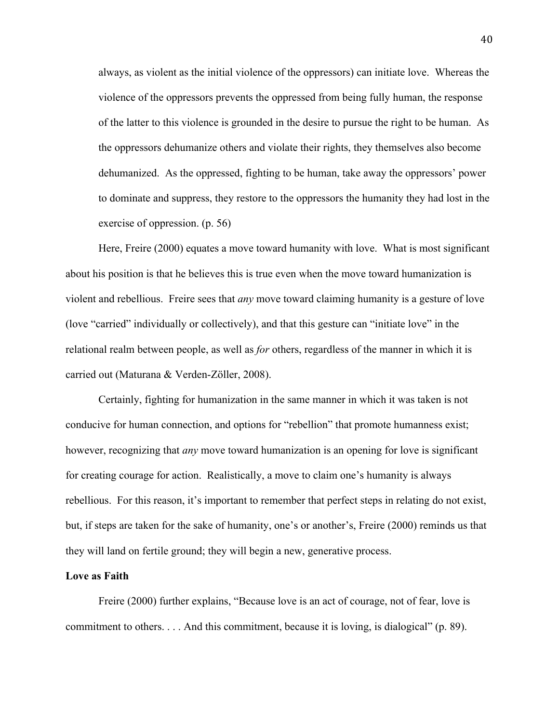always, as violent as the initial violence of the oppressors) can initiate love. Whereas the violence of the oppressors prevents the oppressed from being fully human, the response of the latter to this violence is grounded in the desire to pursue the right to be human. As the oppressors dehumanize others and violate their rights, they themselves also become dehumanized. As the oppressed, fighting to be human, take away the oppressors' power to dominate and suppress, they restore to the oppressors the humanity they had lost in the exercise of oppression. (p. 56)

Here, Freire (2000) equates a move toward humanity with love. What is most significant about his position is that he believes this is true even when the move toward humanization is violent and rebellious. Freire sees that *any* move toward claiming humanity is a gesture of love (love "carried" individually or collectively), and that this gesture can "initiate love" in the relational realm between people, as well as *for* others, regardless of the manner in which it is carried out (Maturana & Verden-Zöller, 2008).

Certainly, fighting for humanization in the same manner in which it was taken is not conducive for human connection, and options for "rebellion" that promote humanness exist; however, recognizing that *any* move toward humanization is an opening for love is significant for creating courage for action. Realistically, a move to claim one's humanity is always rebellious. For this reason, it's important to remember that perfect steps in relating do not exist, but, if steps are taken for the sake of humanity, one's or another's, Freire (2000) reminds us that they will land on fertile ground; they will begin a new, generative process.

### **Love as Faith**

Freire (2000) further explains, "Because love is an act of courage, not of fear, love is commitment to others. . . . And this commitment, because it is loving, is dialogical" (p. 89).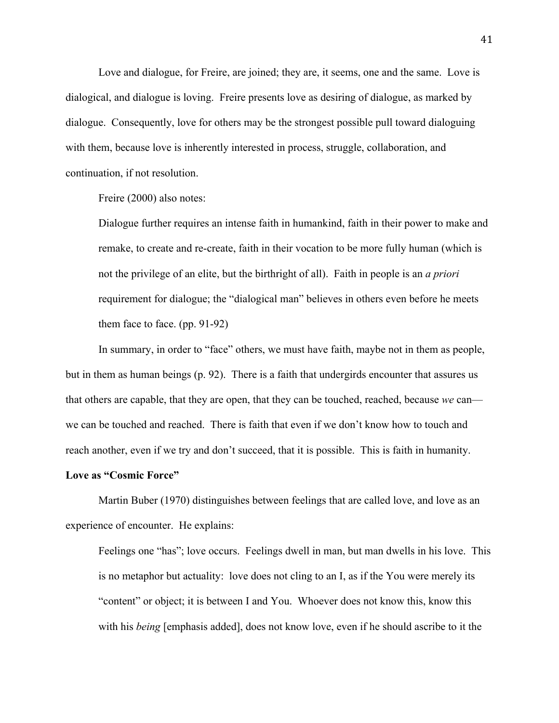Love and dialogue, for Freire, are joined; they are, it seems, one and the same. Love is dialogical, and dialogue is loving. Freire presents love as desiring of dialogue, as marked by dialogue. Consequently, love for others may be the strongest possible pull toward dialoguing with them, because love is inherently interested in process, struggle, collaboration, and continuation, if not resolution.

Freire (2000) also notes:

Dialogue further requires an intense faith in humankind, faith in their power to make and remake, to create and re-create, faith in their vocation to be more fully human (which is not the privilege of an elite, but the birthright of all). Faith in people is an *a priori*  requirement for dialogue; the "dialogical man" believes in others even before he meets them face to face. (pp. 91-92)

In summary, in order to "face" others, we must have faith, maybe not in them as people, but in them as human beings (p. 92). There is a faith that undergirds encounter that assures us that others are capable, that they are open, that they can be touched, reached, because *we* can we can be touched and reached. There is faith that even if we don't know how to touch and reach another, even if we try and don't succeed, that it is possible. This is faith in humanity.

### **Love as "Cosmic Force"**

Martin Buber (1970) distinguishes between feelings that are called love, and love as an experience of encounter. He explains:

Feelings one "has"; love occurs. Feelings dwell in man, but man dwells in his love. This is no metaphor but actuality: love does not cling to an I, as if the You were merely its "content" or object; it is between I and You. Whoever does not know this, know this with his *being* [emphasis added], does not know love, even if he should ascribe to it the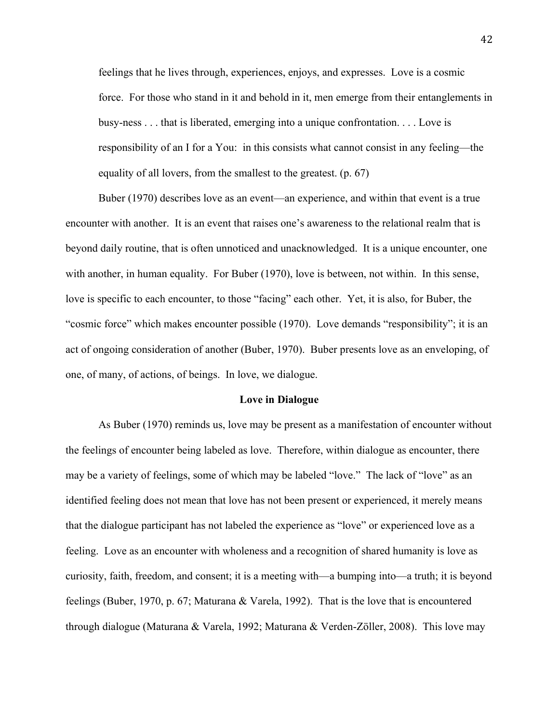feelings that he lives through, experiences, enjoys, and expresses. Love is a cosmic force. For those who stand in it and behold in it, men emerge from their entanglements in busy-ness . . . that is liberated, emerging into a unique confrontation. . . . Love is responsibility of an I for a You: in this consists what cannot consist in any feeling—the equality of all lovers, from the smallest to the greatest. (p. 67)

Buber (1970) describes love as an event—an experience, and within that event is a true encounter with another. It is an event that raises one's awareness to the relational realm that is beyond daily routine, that is often unnoticed and unacknowledged. It is a unique encounter, one with another, in human equality. For Buber (1970), love is between, not within. In this sense, love is specific to each encounter, to those "facing" each other. Yet, it is also, for Buber, the "cosmic force" which makes encounter possible (1970). Love demands "responsibility"; it is an act of ongoing consideration of another (Buber, 1970). Buber presents love as an enveloping, of one, of many, of actions, of beings. In love, we dialogue.

#### **Love in Dialogue**

As Buber (1970) reminds us, love may be present as a manifestation of encounter without the feelings of encounter being labeled as love. Therefore, within dialogue as encounter, there may be a variety of feelings, some of which may be labeled "love." The lack of "love" as an identified feeling does not mean that love has not been present or experienced, it merely means that the dialogue participant has not labeled the experience as "love" or experienced love as a feeling. Love as an encounter with wholeness and a recognition of shared humanity is love as curiosity, faith, freedom, and consent; it is a meeting with—a bumping into—a truth; it is beyond feelings (Buber, 1970, p. 67; Maturana & Varela, 1992). That is the love that is encountered through dialogue (Maturana & Varela, 1992; Maturana & Verden-Zöller, 2008). This love may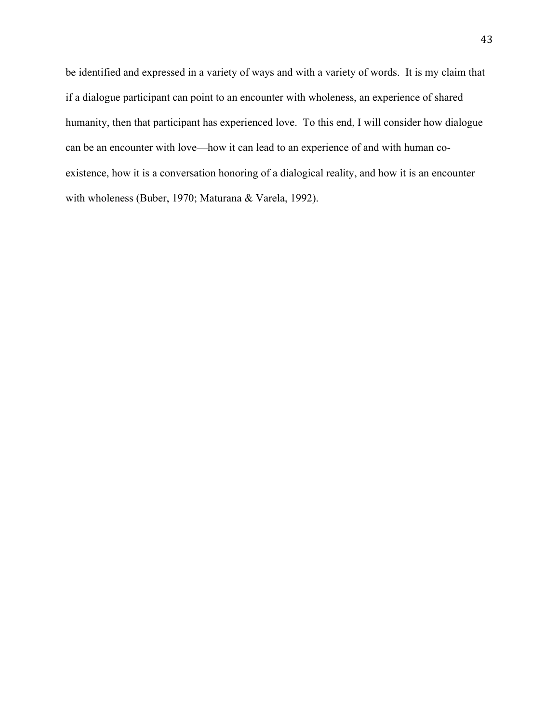be identified and expressed in a variety of ways and with a variety of words. It is my claim that if a dialogue participant can point to an encounter with wholeness, an experience of shared humanity, then that participant has experienced love. To this end, I will consider how dialogue can be an encounter with love—how it can lead to an experience of and with human coexistence, how it is a conversation honoring of a dialogical reality, and how it is an encounter with wholeness (Buber, 1970; Maturana & Varela, 1992).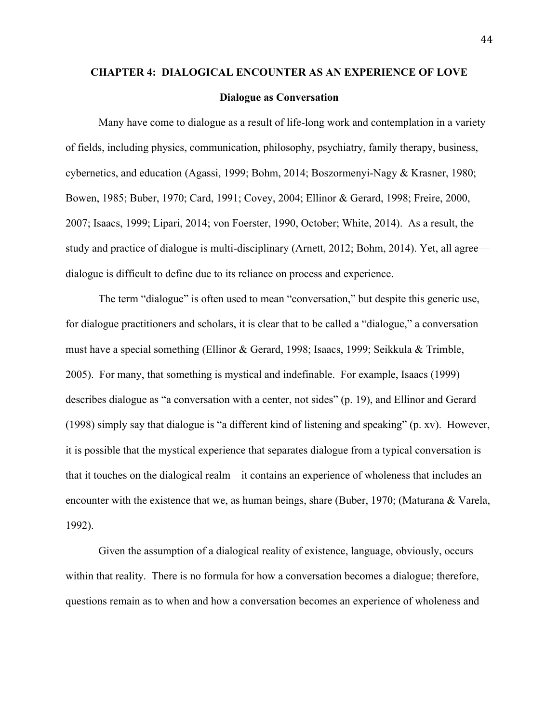# **CHAPTER 4: DIALOGICAL ENCOUNTER AS AN EXPERIENCE OF LOVE**

## **Dialogue as Conversation**

Many have come to dialogue as a result of life-long work and contemplation in a variety of fields, including physics, communication, philosophy, psychiatry, family therapy, business, cybernetics, and education (Agassi, 1999; Bohm, 2014; Boszormenyi-Nagy & Krasner, 1980; Bowen, 1985; Buber, 1970; Card, 1991; Covey, 2004; Ellinor & Gerard, 1998; Freire, 2000, 2007; Isaacs, 1999; Lipari, 2014; von Foerster, 1990, October; White, 2014). As a result, the study and practice of dialogue is multi-disciplinary (Arnett, 2012; Bohm, 2014). Yet, all agree dialogue is difficult to define due to its reliance on process and experience.

The term "dialogue" is often used to mean "conversation," but despite this generic use, for dialogue practitioners and scholars, it is clear that to be called a "dialogue," a conversation must have a special something (Ellinor & Gerard, 1998; Isaacs, 1999; Seikkula & Trimble, 2005). For many, that something is mystical and indefinable. For example, Isaacs (1999) describes dialogue as "a conversation with a center, not sides" (p. 19), and Ellinor and Gerard (1998) simply say that dialogue is "a different kind of listening and speaking" (p. xv). However, it is possible that the mystical experience that separates dialogue from a typical conversation is that it touches on the dialogical realm—it contains an experience of wholeness that includes an encounter with the existence that we, as human beings, share (Buber, 1970; (Maturana & Varela, 1992).

Given the assumption of a dialogical reality of existence, language, obviously, occurs within that reality. There is no formula for how a conversation becomes a dialogue; therefore, questions remain as to when and how a conversation becomes an experience of wholeness and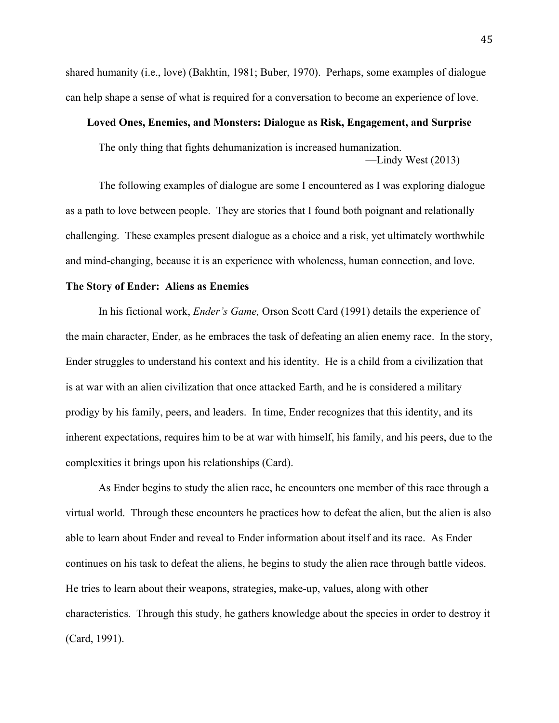shared humanity (i.e., love) (Bakhtin, 1981; Buber, 1970). Perhaps, some examples of dialogue can help shape a sense of what is required for a conversation to become an experience of love.

### **Loved Ones, Enemies, and Monsters: Dialogue as Risk, Engagement, and Surprise**

The only thing that fights dehumanization is increased humanization. —Lindy West (2013)

The following examples of dialogue are some I encountered as I was exploring dialogue as a path to love between people. They are stories that I found both poignant and relationally challenging. These examples present dialogue as a choice and a risk, yet ultimately worthwhile and mind-changing, because it is an experience with wholeness, human connection, and love.

## **The Story of Ender: Aliens as Enemies**

In his fictional work, *Ender's Game,* Orson Scott Card (1991) details the experience of the main character, Ender, as he embraces the task of defeating an alien enemy race. In the story, Ender struggles to understand his context and his identity. He is a child from a civilization that is at war with an alien civilization that once attacked Earth, and he is considered a military prodigy by his family, peers, and leaders. In time, Ender recognizes that this identity, and its inherent expectations, requires him to be at war with himself, his family, and his peers, due to the complexities it brings upon his relationships (Card).

As Ender begins to study the alien race, he encounters one member of this race through a virtual world. Through these encounters he practices how to defeat the alien, but the alien is also able to learn about Ender and reveal to Ender information about itself and its race. As Ender continues on his task to defeat the aliens, he begins to study the alien race through battle videos. He tries to learn about their weapons, strategies, make-up, values, along with other characteristics. Through this study, he gathers knowledge about the species in order to destroy it (Card, 1991).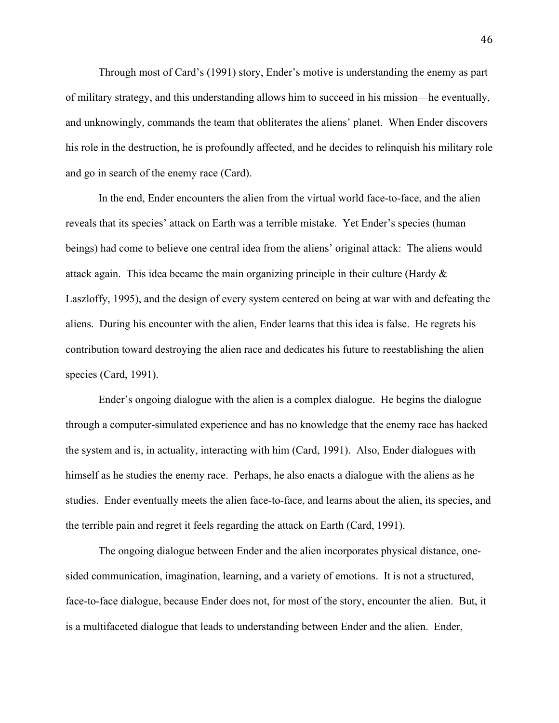Through most of Card's (1991) story, Ender's motive is understanding the enemy as part of military strategy, and this understanding allows him to succeed in his mission—he eventually, and unknowingly, commands the team that obliterates the aliens' planet. When Ender discovers his role in the destruction, he is profoundly affected, and he decides to relinquish his military role and go in search of the enemy race (Card).

In the end, Ender encounters the alien from the virtual world face-to-face, and the alien reveals that its species' attack on Earth was a terrible mistake. Yet Ender's species (human beings) had come to believe one central idea from the aliens' original attack: The aliens would attack again. This idea became the main organizing principle in their culture (Hardy  $\&$ Laszloffy, 1995), and the design of every system centered on being at war with and defeating the aliens. During his encounter with the alien, Ender learns that this idea is false. He regrets his contribution toward destroying the alien race and dedicates his future to reestablishing the alien species (Card, 1991).

Ender's ongoing dialogue with the alien is a complex dialogue. He begins the dialogue through a computer-simulated experience and has no knowledge that the enemy race has hacked the system and is, in actuality, interacting with him (Card, 1991). Also, Ender dialogues with himself as he studies the enemy race. Perhaps, he also enacts a dialogue with the aliens as he studies. Ender eventually meets the alien face-to-face, and learns about the alien, its species, and the terrible pain and regret it feels regarding the attack on Earth (Card, 1991).

The ongoing dialogue between Ender and the alien incorporates physical distance, onesided communication, imagination, learning, and a variety of emotions. It is not a structured, face-to-face dialogue, because Ender does not, for most of the story, encounter the alien. But, it is a multifaceted dialogue that leads to understanding between Ender and the alien. Ender,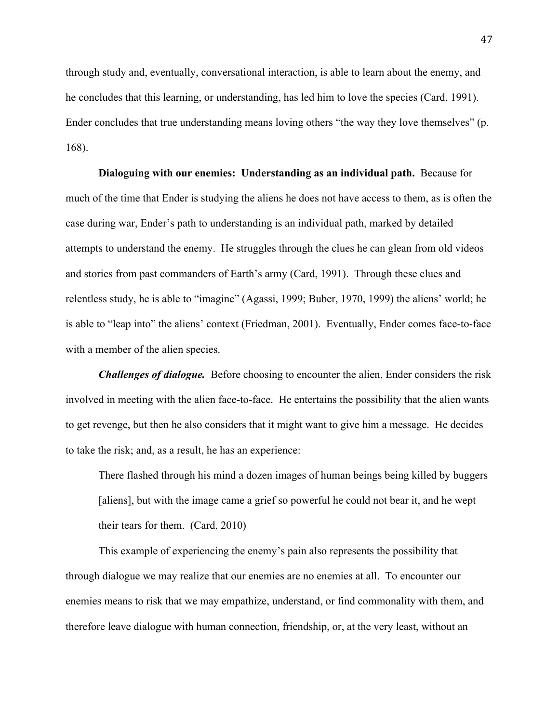through study and, eventually, conversational interaction, is able to learn about the enemy, and he concludes that this learning, or understanding, has led him to love the species (Card, 1991). Ender concludes that true understanding means loving others "the way they love themselves" (p. 168).

**Dialoguing with our enemies: Understanding as an individual path.** Because for much of the time that Ender is studying the aliens he does not have access to them, as is often the case during war, Ender's path to understanding is an individual path, marked by detailed attempts to understand the enemy. He struggles through the clues he can glean from old videos and stories from past commanders of Earth's army (Card, 1991). Through these clues and relentless study, he is able to "imagine" (Agassi, 1999; Buber, 1970, 1999) the aliens' world; he is able to "leap into" the aliens' context (Friedman, 2001). Eventually, Ender comes face-to-face with a member of the alien species.

*Challenges of dialogue.* Before choosing to encounter the alien, Ender considers the risk involved in meeting with the alien face-to-face. He entertains the possibility that the alien wants to get revenge, but then he also considers that it might want to give him a message. He decides to take the risk; and, as a result, he has an experience:

There flashed through his mind a dozen images of human beings being killed by buggers [aliens], but with the image came a grief so powerful he could not bear it, and he wept their tears for them. (Card, 2010)

This example of experiencing the enemy's pain also represents the possibility that through dialogue we may realize that our enemies are no enemies at all. To encounter our enemies means to risk that we may empathize, understand, or find commonality with them, and therefore leave dialogue with human connection, friendship, or, at the very least, without an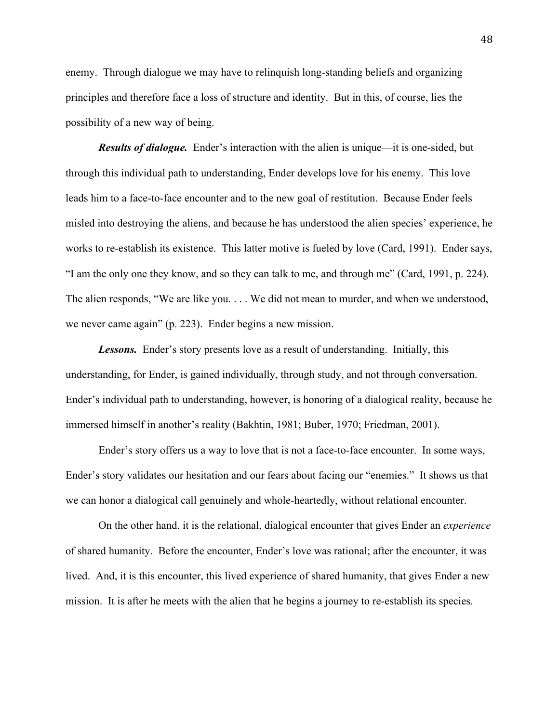enemy. Through dialogue we may have to relinquish long-standing beliefs and organizing principles and therefore face a loss of structure and identity. But in this, of course, lies the possibility of a new way of being.

*Results of dialogue.* Ender's interaction with the alien is unique—it is one-sided, but through this individual path to understanding, Ender develops love for his enemy. This love leads him to a face-to-face encounter and to the new goal of restitution. Because Ender feels misled into destroying the aliens, and because he has understood the alien species' experience, he works to re-establish its existence. This latter motive is fueled by love (Card, 1991). Ender says, "I am the only one they know, and so they can talk to me, and through me" (Card, 1991, p. 224). The alien responds, "We are like you. . . . We did not mean to murder, and when we understood, we never came again" (p. 223). Ender begins a new mission.

**Lessons.** Ender's story presents love as a result of understanding. Initially, this understanding, for Ender, is gained individually, through study, and not through conversation. Ender's individual path to understanding, however, is honoring of a dialogical reality, because he immersed himself in another's reality (Bakhtin, 1981; Buber, 1970; Friedman, 2001).

Ender's story offers us a way to love that is not a face-to-face encounter. In some ways, Ender's story validates our hesitation and our fears about facing our "enemies." It shows us that we can honor a dialogical call genuinely and whole-heartedly, without relational encounter.

On the other hand, it is the relational, dialogical encounter that gives Ender an *experience* of shared humanity. Before the encounter, Ender's love was rational; after the encounter, it was lived. And, it is this encounter, this lived experience of shared humanity, that gives Ender a new mission. It is after he meets with the alien that he begins a journey to re-establish its species.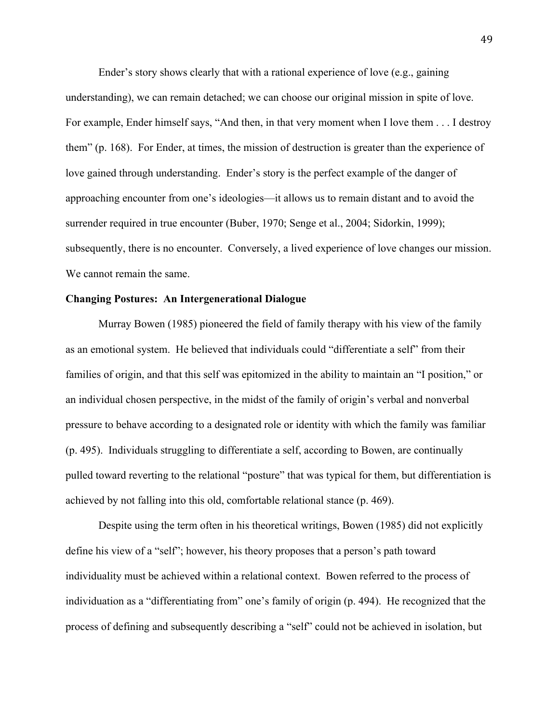Ender's story shows clearly that with a rational experience of love (e.g., gaining understanding), we can remain detached; we can choose our original mission in spite of love. For example, Ender himself says, "And then, in that very moment when I love them . . . I destroy them" (p. 168). For Ender, at times, the mission of destruction is greater than the experience of love gained through understanding. Ender's story is the perfect example of the danger of approaching encounter from one's ideologies—it allows us to remain distant and to avoid the surrender required in true encounter (Buber, 1970; Senge et al., 2004; Sidorkin, 1999); subsequently, there is no encounter. Conversely, a lived experience of love changes our mission. We cannot remain the same.

# **Changing Postures: An Intergenerational Dialogue**

Murray Bowen (1985) pioneered the field of family therapy with his view of the family as an emotional system. He believed that individuals could "differentiate a self" from their families of origin, and that this self was epitomized in the ability to maintain an "I position," or an individual chosen perspective, in the midst of the family of origin's verbal and nonverbal pressure to behave according to a designated role or identity with which the family was familiar (p. 495). Individuals struggling to differentiate a self, according to Bowen, are continually pulled toward reverting to the relational "posture" that was typical for them, but differentiation is achieved by not falling into this old, comfortable relational stance (p. 469).

Despite using the term often in his theoretical writings, Bowen (1985) did not explicitly define his view of a "self"; however, his theory proposes that a person's path toward individuality must be achieved within a relational context. Bowen referred to the process of individuation as a "differentiating from" one's family of origin (p. 494). He recognized that the process of defining and subsequently describing a "self" could not be achieved in isolation, but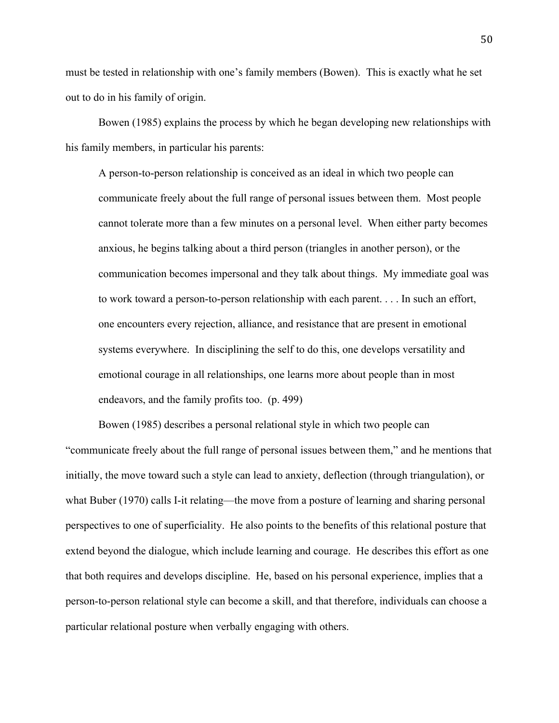must be tested in relationship with one's family members (Bowen). This is exactly what he set out to do in his family of origin.

Bowen (1985) explains the process by which he began developing new relationships with his family members, in particular his parents:

A person-to-person relationship is conceived as an ideal in which two people can communicate freely about the full range of personal issues between them. Most people cannot tolerate more than a few minutes on a personal level. When either party becomes anxious, he begins talking about a third person (triangles in another person), or the communication becomes impersonal and they talk about things. My immediate goal was to work toward a person-to-person relationship with each parent. . . . In such an effort, one encounters every rejection, alliance, and resistance that are present in emotional systems everywhere. In disciplining the self to do this, one develops versatility and emotional courage in all relationships, one learns more about people than in most endeavors, and the family profits too. (p. 499)

Bowen (1985) describes a personal relational style in which two people can "communicate freely about the full range of personal issues between them," and he mentions that initially, the move toward such a style can lead to anxiety, deflection (through triangulation), or what Buber (1970) calls I-it relating—the move from a posture of learning and sharing personal perspectives to one of superficiality. He also points to the benefits of this relational posture that extend beyond the dialogue, which include learning and courage. He describes this effort as one that both requires and develops discipline. He, based on his personal experience, implies that a person-to-person relational style can become a skill, and that therefore, individuals can choose a particular relational posture when verbally engaging with others.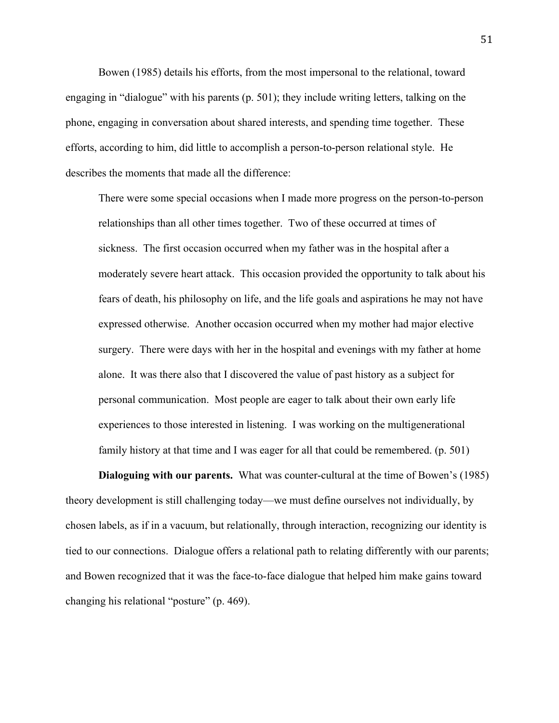Bowen (1985) details his efforts, from the most impersonal to the relational, toward engaging in "dialogue" with his parents (p. 501); they include writing letters, talking on the phone, engaging in conversation about shared interests, and spending time together. These efforts, according to him, did little to accomplish a person-to-person relational style. He describes the moments that made all the difference:

There were some special occasions when I made more progress on the person-to-person relationships than all other times together. Two of these occurred at times of sickness. The first occasion occurred when my father was in the hospital after a moderately severe heart attack. This occasion provided the opportunity to talk about his fears of death, his philosophy on life, and the life goals and aspirations he may not have expressed otherwise. Another occasion occurred when my mother had major elective surgery. There were days with her in the hospital and evenings with my father at home alone. It was there also that I discovered the value of past history as a subject for personal communication. Most people are eager to talk about their own early life experiences to those interested in listening. I was working on the multigenerational family history at that time and I was eager for all that could be remembered. (p. 501)

**Dialoguing with our parents.** What was counter-cultural at the time of Bowen's (1985) theory development is still challenging today—we must define ourselves not individually, by chosen labels, as if in a vacuum, but relationally, through interaction, recognizing our identity is tied to our connections. Dialogue offers a relational path to relating differently with our parents; and Bowen recognized that it was the face-to-face dialogue that helped him make gains toward changing his relational "posture" (p. 469).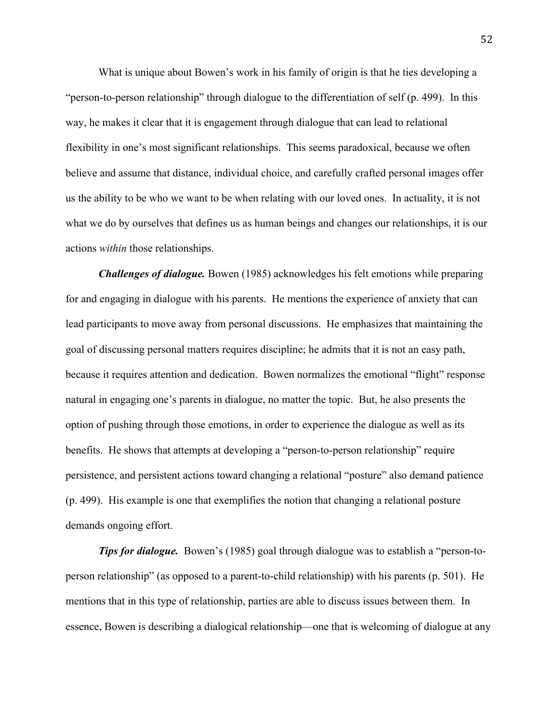What is unique about Bowen's work in his family of origin is that he ties developing a "person-to-person relationship" through dialogue to the differentiation of self (p. 499). In this way, he makes it clear that it is engagement through dialogue that can lead to relational flexibility in one's most significant relationships. This seems paradoxical, because we often believe and assume that distance, individual choice, and carefully crafted personal images offer us the ability to be who we want to be when relating with our loved ones. In actuality, it is not what we do by ourselves that defines us as human beings and changes our relationships, it is our actions *within* those relationships.

*Challenges of dialogue.* Bowen (1985) acknowledges his felt emotions while preparing for and engaging in dialogue with his parents. He mentions the experience of anxiety that can lead participants to move away from personal discussions. He emphasizes that maintaining the goal of discussing personal matters requires discipline; he admits that it is not an easy path, because it requires attention and dedication. Bowen normalizes the emotional "flight" response natural in engaging one's parents in dialogue, no matter the topic. But, he also presents the option of pushing through those emotions, in order to experience the dialogue as well as its benefits. He shows that attempts at developing a "person-to-person relationship" require persistence, and persistent actions toward changing a relational "posture" also demand patience (p. 499). His example is one that exemplifies the notion that changing a relational posture demands ongoing effort.

*Tips for dialogue.* Bowen's (1985) goal through dialogue was to establish a "person-toperson relationship" (as opposed to a parent-to-child relationship) with his parents (p. 501). He mentions that in this type of relationship, parties are able to discuss issues between them. In essence, Bowen is describing a dialogical relationship—one that is welcoming of dialogue at any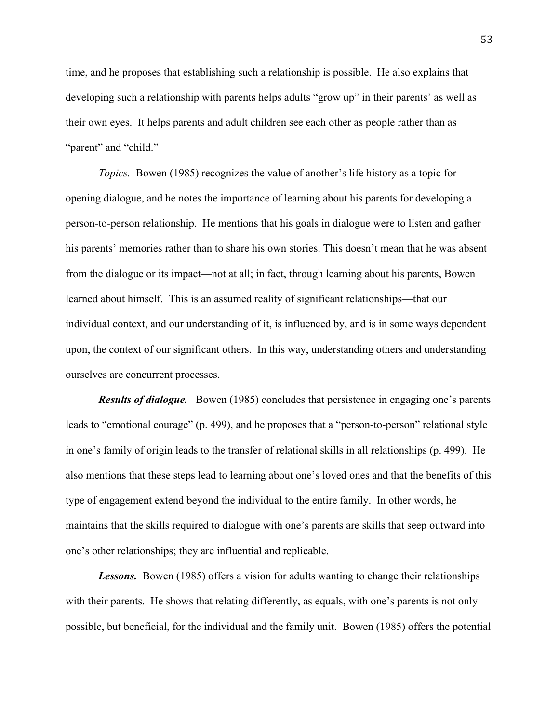time, and he proposes that establishing such a relationship is possible. He also explains that developing such a relationship with parents helps adults "grow up" in their parents' as well as their own eyes. It helps parents and adult children see each other as people rather than as "parent" and "child."

*Topics.* Bowen (1985) recognizes the value of another's life history as a topic for opening dialogue, and he notes the importance of learning about his parents for developing a person-to-person relationship. He mentions that his goals in dialogue were to listen and gather his parents' memories rather than to share his own stories. This doesn't mean that he was absent from the dialogue or its impact—not at all; in fact, through learning about his parents, Bowen learned about himself. This is an assumed reality of significant relationships—that our individual context, and our understanding of it, is influenced by, and is in some ways dependent upon, the context of our significant others. In this way, understanding others and understanding ourselves are concurrent processes.

*Results of dialogue.* Bowen (1985) concludes that persistence in engaging one's parents leads to "emotional courage" (p. 499), and he proposes that a "person-to-person" relational style in one's family of origin leads to the transfer of relational skills in all relationships (p. 499). He also mentions that these steps lead to learning about one's loved ones and that the benefits of this type of engagement extend beyond the individual to the entire family. In other words, he maintains that the skills required to dialogue with one's parents are skills that seep outward into one's other relationships; they are influential and replicable.

*Lessons.* Bowen (1985) offers a vision for adults wanting to change their relationships with their parents. He shows that relating differently, as equals, with one's parents is not only possible, but beneficial, for the individual and the family unit. Bowen (1985) offers the potential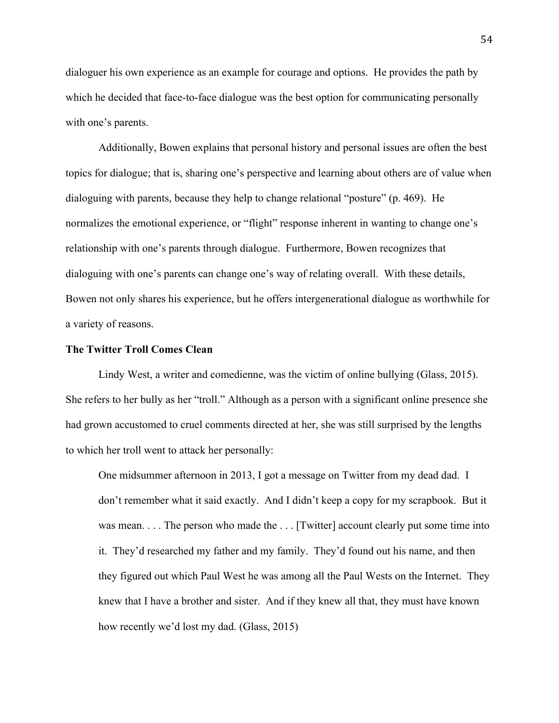dialoguer his own experience as an example for courage and options. He provides the path by which he decided that face-to-face dialogue was the best option for communicating personally with one's parents.

Additionally, Bowen explains that personal history and personal issues are often the best topics for dialogue; that is, sharing one's perspective and learning about others are of value when dialoguing with parents, because they help to change relational "posture" (p. 469). He normalizes the emotional experience, or "flight" response inherent in wanting to change one's relationship with one's parents through dialogue. Furthermore, Bowen recognizes that dialoguing with one's parents can change one's way of relating overall. With these details, Bowen not only shares his experience, but he offers intergenerational dialogue as worthwhile for a variety of reasons.

## **The Twitter Troll Comes Clean**

Lindy West, a writer and comedienne, was the victim of online bullying (Glass, 2015). She refers to her bully as her "troll." Although as a person with a significant online presence she had grown accustomed to cruel comments directed at her, she was still surprised by the lengths to which her troll went to attack her personally:

One midsummer afternoon in 2013, I got a message on Twitter from my dead dad. I don't remember what it said exactly. And I didn't keep a copy for my scrapbook. But it was mean. . . . The person who made the . . . [Twitter] account clearly put some time into it. They'd researched my father and my family. They'd found out his name, and then they figured out which Paul West he was among all the Paul Wests on the Internet. They knew that I have a brother and sister. And if they knew all that, they must have known how recently we'd lost my dad. (Glass, 2015)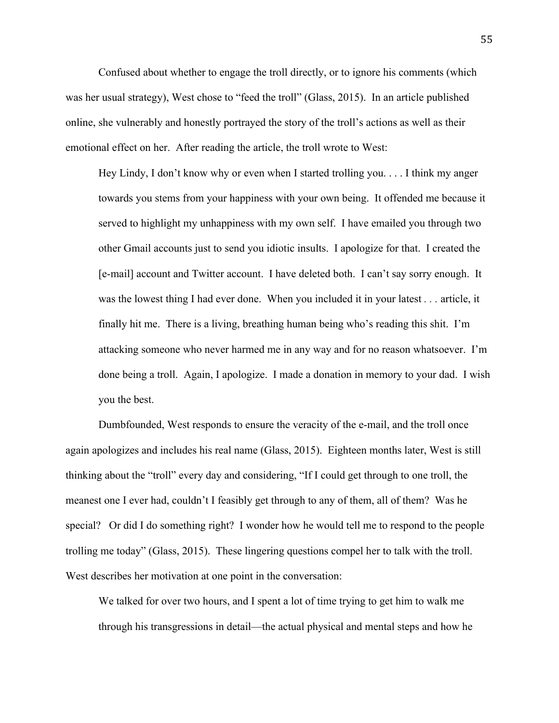Confused about whether to engage the troll directly, or to ignore his comments (which was her usual strategy), West chose to "feed the troll" (Glass, 2015). In an article published online, she vulnerably and honestly portrayed the story of the troll's actions as well as their emotional effect on her. After reading the article, the troll wrote to West:

Hey Lindy, I don't know why or even when I started trolling you. . . . I think my anger towards you stems from your happiness with your own being. It offended me because it served to highlight my unhappiness with my own self. I have emailed you through two other Gmail accounts just to send you idiotic insults. I apologize for that. I created the [e-mail] account and Twitter account. I have deleted both. I can't say sorry enough. It was the lowest thing I had ever done. When you included it in your latest *. . .* article, it finally hit me. There is a living, breathing human being who's reading this shit. I'm attacking someone who never harmed me in any way and for no reason whatsoever. I'm done being a troll. Again, I apologize. I made a donation in memory to your dad. I wish you the best.

Dumbfounded, West responds to ensure the veracity of the e-mail, and the troll once again apologizes and includes his real name (Glass, 2015). Eighteen months later, West is still thinking about the "troll" every day and considering, "If I could get through to one troll, the meanest one I ever had, couldn't I feasibly get through to any of them, all of them? Was he special? Or did I do something right? I wonder how he would tell me to respond to the people trolling me today" (Glass, 2015). These lingering questions compel her to talk with the troll. West describes her motivation at one point in the conversation:

We talked for over two hours, and I spent a lot of time trying to get him to walk me through his transgressions in detail—the actual physical and mental steps and how he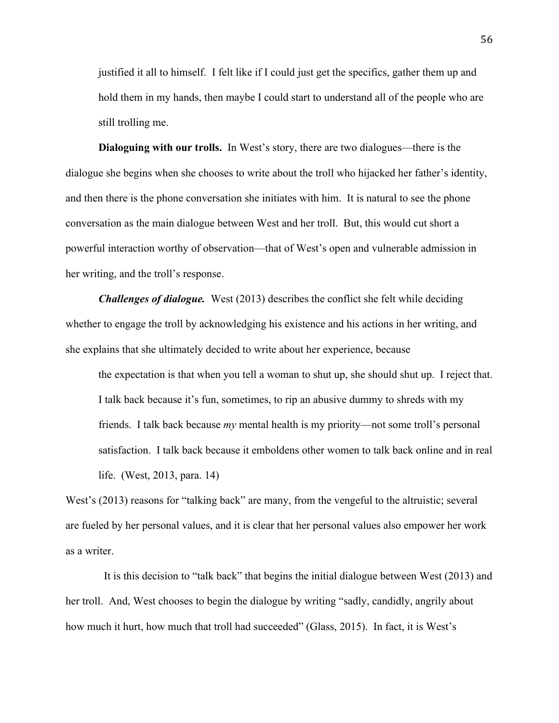justified it all to himself. I felt like if I could just get the specifics, gather them up and hold them in my hands, then maybe I could start to understand all of the people who are still trolling me.

**Dialoguing with our trolls.** In West's story, there are two dialogues—there is the dialogue she begins when she chooses to write about the troll who hijacked her father's identity, and then there is the phone conversation she initiates with him. It is natural to see the phone conversation as the main dialogue between West and her troll. But, this would cut short a powerful interaction worthy of observation—that of West's open and vulnerable admission in her writing, and the troll's response.

*Challenges of dialogue.* West (2013) describes the conflict she felt while deciding whether to engage the troll by acknowledging his existence and his actions in her writing, and she explains that she ultimately decided to write about her experience, because

the expectation is that when you tell a woman to shut up, she should shut up. I reject that. I talk back because it's fun, sometimes, to rip an abusive dummy to shreds with my friends. I talk back because *my* mental health is my priority—not some troll's personal satisfaction. I talk back because it emboldens other women to talk back online and in real life. (West, 2013, para. 14)

West's (2013) reasons for "talking back" are many, from the vengeful to the altruistic; several are fueled by her personal values, and it is clear that her personal values also empower her work as a writer.

 It is this decision to "talk back" that begins the initial dialogue between West (2013) and her troll. And, West chooses to begin the dialogue by writing "sadly, candidly, angrily about how much it hurt, how much that troll had succeeded" (Glass, 2015). In fact, it is West's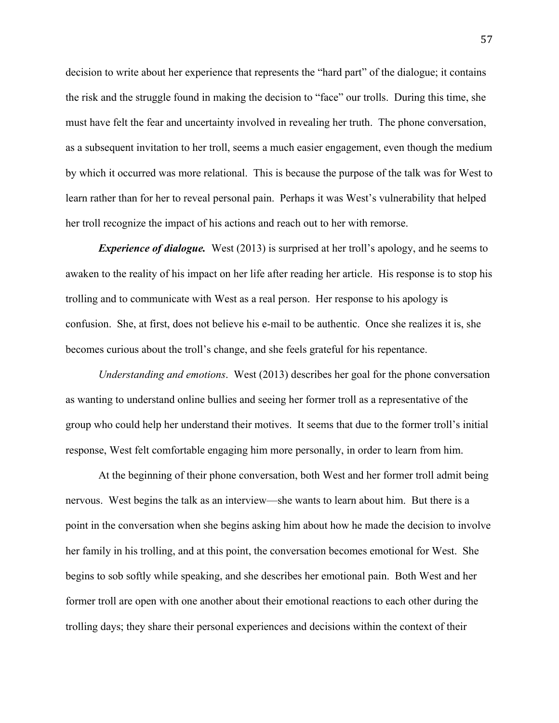decision to write about her experience that represents the "hard part" of the dialogue; it contains the risk and the struggle found in making the decision to "face" our trolls. During this time, she must have felt the fear and uncertainty involved in revealing her truth. The phone conversation, as a subsequent invitation to her troll, seems a much easier engagement, even though the medium by which it occurred was more relational. This is because the purpose of the talk was for West to learn rather than for her to reveal personal pain. Perhaps it was West's vulnerability that helped her troll recognize the impact of his actions and reach out to her with remorse.

*Experience of dialogue.* West (2013) is surprised at her troll's apology, and he seems to awaken to the reality of his impact on her life after reading her article. His response is to stop his trolling and to communicate with West as a real person. Her response to his apology is confusion. She, at first, does not believe his e-mail to be authentic. Once she realizes it is, she becomes curious about the troll's change, and she feels grateful for his repentance.

*Understanding and emotions*. West (2013) describes her goal for the phone conversation as wanting to understand online bullies and seeing her former troll as a representative of the group who could help her understand their motives. It seems that due to the former troll's initial response, West felt comfortable engaging him more personally, in order to learn from him.

At the beginning of their phone conversation, both West and her former troll admit being nervous. West begins the talk as an interview—she wants to learn about him. But there is a point in the conversation when she begins asking him about how he made the decision to involve her family in his trolling, and at this point, the conversation becomes emotional for West. She begins to sob softly while speaking, and she describes her emotional pain. Both West and her former troll are open with one another about their emotional reactions to each other during the trolling days; they share their personal experiences and decisions within the context of their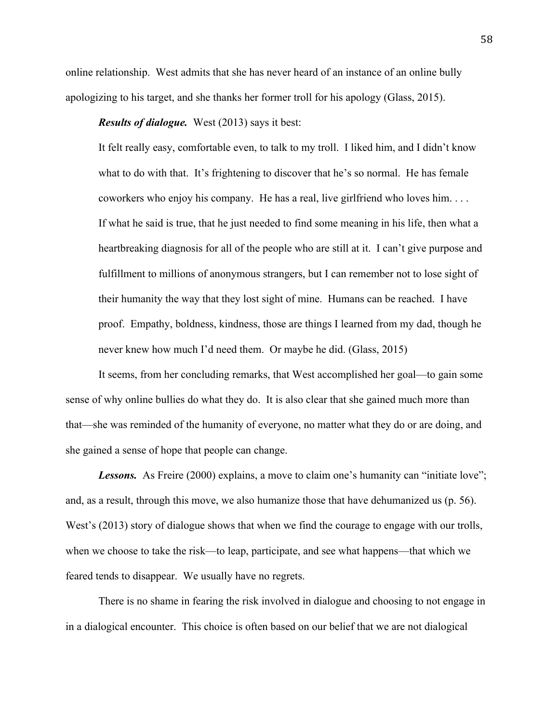online relationship. West admits that she has never heard of an instance of an online bully apologizing to his target, and she thanks her former troll for his apology (Glass, 2015).

*Results of dialogue.* West (2013) says it best:

It felt really easy, comfortable even, to talk to my troll. I liked him, and I didn't know what to do with that. It's frightening to discover that he's so normal. He has female coworkers who enjoy his company. He has a real, live girlfriend who loves him. . . . If what he said is true, that he just needed to find some meaning in his life, then what a heartbreaking diagnosis for all of the people who are still at it. I can't give purpose and fulfillment to millions of anonymous strangers, but I can remember not to lose sight of their humanity the way that they lost sight of mine. Humans can be reached. I have proof. Empathy, boldness, kindness, those are things I learned from my dad, though he never knew how much I'd need them. Or maybe he did. (Glass, 2015)

It seems, from her concluding remarks, that West accomplished her goal—to gain some sense of why online bullies do what they do. It is also clear that she gained much more than that—she was reminded of the humanity of everyone, no matter what they do or are doing, and she gained a sense of hope that people can change.

**Lessons.** As Freire (2000) explains, a move to claim one's humanity can "initiate love"; and, as a result, through this move, we also humanize those that have dehumanized us (p. 56). West's (2013) story of dialogue shows that when we find the courage to engage with our trolls, when we choose to take the risk—to leap, participate, and see what happens—that which we feared tends to disappear. We usually have no regrets.

There is no shame in fearing the risk involved in dialogue and choosing to not engage in in a dialogical encounter. This choice is often based on our belief that we are not dialogical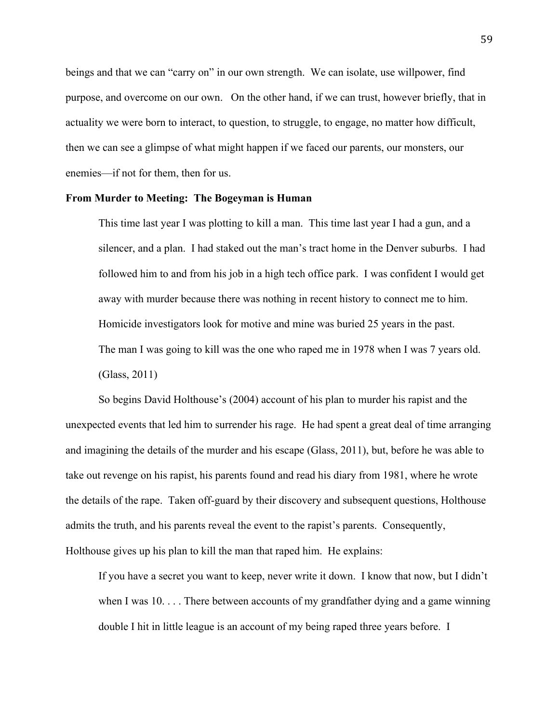beings and that we can "carry on" in our own strength. We can isolate, use willpower, find purpose, and overcome on our own. On the other hand, if we can trust, however briefly, that in actuality we were born to interact, to question, to struggle, to engage, no matter how difficult, then we can see a glimpse of what might happen if we faced our parents, our monsters, our enemies—if not for them, then for us.

## **From Murder to Meeting: The Bogeyman is Human**

This time last year I was plotting to kill a man. This time last year I had a gun, and a silencer, and a plan. I had staked out the man's tract home in the Denver suburbs. I had followed him to and from his job in a high tech office park. I was confident I would get away with murder because there was nothing in recent history to connect me to him. Homicide investigators look for motive and mine was buried 25 years in the past. The man I was going to kill was the one who raped me in 1978 when I was 7 years old. (Glass, 2011)

So begins David Holthouse's (2004) account of his plan to murder his rapist and the unexpected events that led him to surrender his rage. He had spent a great deal of time arranging and imagining the details of the murder and his escape (Glass, 2011), but, before he was able to take out revenge on his rapist, his parents found and read his diary from 1981, where he wrote the details of the rape. Taken off-guard by their discovery and subsequent questions, Holthouse admits the truth, and his parents reveal the event to the rapist's parents. Consequently, Holthouse gives up his plan to kill the man that raped him. He explains:

If you have a secret you want to keep, never write it down. I know that now, but I didn't when I was 10. . . . There between accounts of my grandfather dying and a game winning double I hit in little league is an account of my being raped three years before. I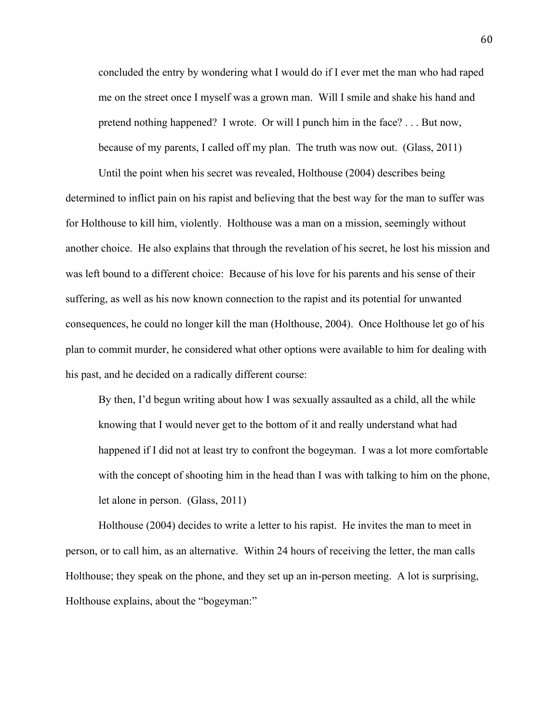concluded the entry by wondering what I would do if I ever met the man who had raped me on the street once I myself was a grown man. Will I smile and shake his hand and pretend nothing happened? I wrote. Or will I punch him in the face? . . . But now, because of my parents, I called off my plan. The truth was now out. (Glass, 2011)

Until the point when his secret was revealed, Holthouse (2004) describes being determined to inflict pain on his rapist and believing that the best way for the man to suffer was for Holthouse to kill him, violently. Holthouse was a man on a mission, seemingly without another choice. He also explains that through the revelation of his secret, he lost his mission and was left bound to a different choice: Because of his love for his parents and his sense of their suffering, as well as his now known connection to the rapist and its potential for unwanted consequences, he could no longer kill the man (Holthouse, 2004). Once Holthouse let go of his plan to commit murder, he considered what other options were available to him for dealing with his past, and he decided on a radically different course:

By then, I'd begun writing about how I was sexually assaulted as a child, all the while knowing that I would never get to the bottom of it and really understand what had happened if I did not at least try to confront the bogeyman. I was a lot more comfortable with the concept of shooting him in the head than I was with talking to him on the phone, let alone in person. (Glass, 2011)

Holthouse (2004) decides to write a letter to his rapist. He invites the man to meet in person, or to call him, as an alternative. Within 24 hours of receiving the letter, the man calls Holthouse; they speak on the phone, and they set up an in-person meeting. A lot is surprising, Holthouse explains, about the "bogeyman:"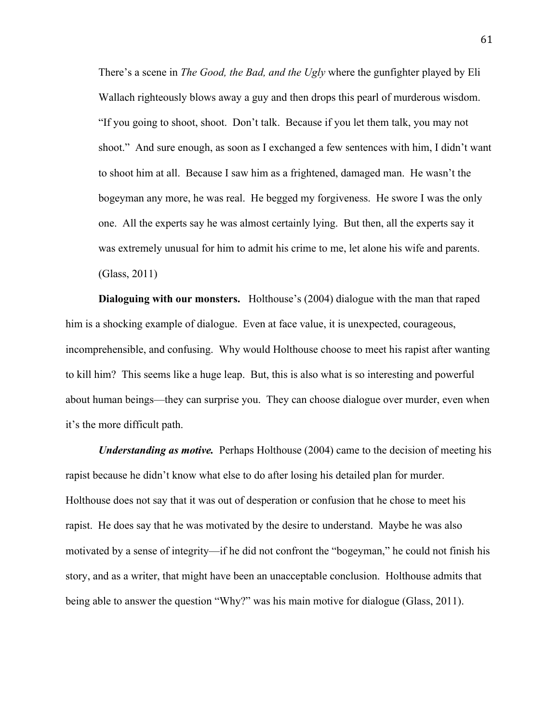There's a scene in *The Good, the Bad, and the Ugly* where the gunfighter played by Eli Wallach righteously blows away a guy and then drops this pearl of murderous wisdom. "If you going to shoot, shoot. Don't talk. Because if you let them talk, you may not shoot." And sure enough, as soon as I exchanged a few sentences with him, I didn't want to shoot him at all. Because I saw him as a frightened, damaged man. He wasn't the bogeyman any more, he was real. He begged my forgiveness. He swore I was the only one. All the experts say he was almost certainly lying. But then, all the experts say it was extremely unusual for him to admit his crime to me, let alone his wife and parents. (Glass, 2011)

**Dialoguing with our monsters.** Holthouse's (2004) dialogue with the man that raped him is a shocking example of dialogue. Even at face value, it is unexpected, courageous, incomprehensible, and confusing. Why would Holthouse choose to meet his rapist after wanting to kill him? This seems like a huge leap. But, this is also what is so interesting and powerful about human beings—they can surprise you. They can choose dialogue over murder, even when it's the more difficult path.

*Understanding as motive.* Perhaps Holthouse (2004) came to the decision of meeting his rapist because he didn't know what else to do after losing his detailed plan for murder. Holthouse does not say that it was out of desperation or confusion that he chose to meet his rapist. He does say that he was motivated by the desire to understand. Maybe he was also motivated by a sense of integrity—if he did not confront the "bogeyman," he could not finish his story, and as a writer, that might have been an unacceptable conclusion. Holthouse admits that being able to answer the question "Why?" was his main motive for dialogue (Glass, 2011).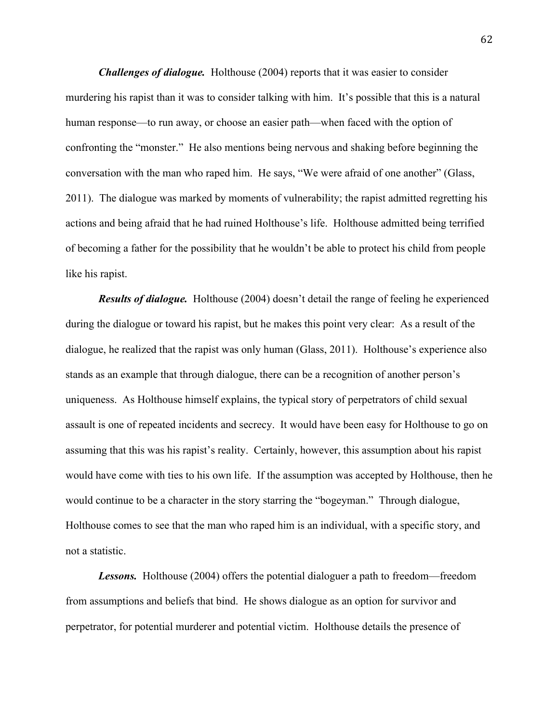*Challenges of dialogue.* Holthouse (2004) reports that it was easier to consider murdering his rapist than it was to consider talking with him. It's possible that this is a natural human response—to run away, or choose an easier path—when faced with the option of confronting the "monster." He also mentions being nervous and shaking before beginning the conversation with the man who raped him. He says, "We were afraid of one another" (Glass, 2011). The dialogue was marked by moments of vulnerability; the rapist admitted regretting his actions and being afraid that he had ruined Holthouse's life. Holthouse admitted being terrified of becoming a father for the possibility that he wouldn't be able to protect his child from people like his rapist.

*Results of dialogue.* Holthouse (2004) doesn't detail the range of feeling he experienced during the dialogue or toward his rapist, but he makes this point very clear: As a result of the dialogue, he realized that the rapist was only human (Glass, 2011). Holthouse's experience also stands as an example that through dialogue, there can be a recognition of another person's uniqueness. As Holthouse himself explains, the typical story of perpetrators of child sexual assault is one of repeated incidents and secrecy. It would have been easy for Holthouse to go on assuming that this was his rapist's reality. Certainly, however, this assumption about his rapist would have come with ties to his own life. If the assumption was accepted by Holthouse, then he would continue to be a character in the story starring the "bogeyman." Through dialogue, Holthouse comes to see that the man who raped him is an individual, with a specific story, and not a statistic.

*Lessons.* Holthouse (2004) offers the potential dialoguer a path to freedom—freedom from assumptions and beliefs that bind. He shows dialogue as an option for survivor and perpetrator, for potential murderer and potential victim. Holthouse details the presence of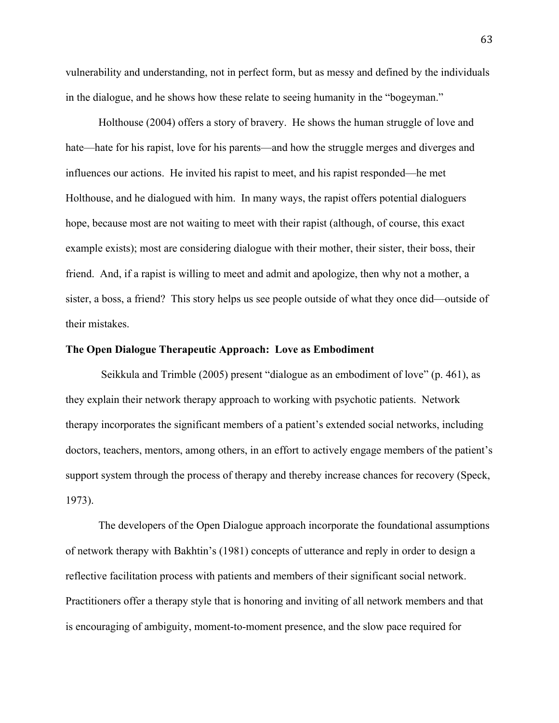vulnerability and understanding, not in perfect form, but as messy and defined by the individuals in the dialogue, and he shows how these relate to seeing humanity in the "bogeyman."

Holthouse (2004) offers a story of bravery. He shows the human struggle of love and hate—hate for his rapist, love for his parents—and how the struggle merges and diverges and influences our actions. He invited his rapist to meet, and his rapist responded—he met Holthouse, and he dialogued with him. In many ways, the rapist offers potential dialoguers hope, because most are not waiting to meet with their rapist (although, of course, this exact example exists); most are considering dialogue with their mother, their sister, their boss, their friend. And, if a rapist is willing to meet and admit and apologize, then why not a mother, a sister, a boss, a friend? This story helps us see people outside of what they once did—outside of their mistakes.

### **The Open Dialogue Therapeutic Approach: Love as Embodiment**

Seikkula and Trimble (2005) present "dialogue as an embodiment of love" (p. 461), as they explain their network therapy approach to working with psychotic patients. Network therapy incorporates the significant members of a patient's extended social networks, including doctors, teachers, mentors, among others, in an effort to actively engage members of the patient's support system through the process of therapy and thereby increase chances for recovery (Speck, 1973).

The developers of the Open Dialogue approach incorporate the foundational assumptions of network therapy with Bakhtin's (1981) concepts of utterance and reply in order to design a reflective facilitation process with patients and members of their significant social network. Practitioners offer a therapy style that is honoring and inviting of all network members and that is encouraging of ambiguity, moment-to-moment presence, and the slow pace required for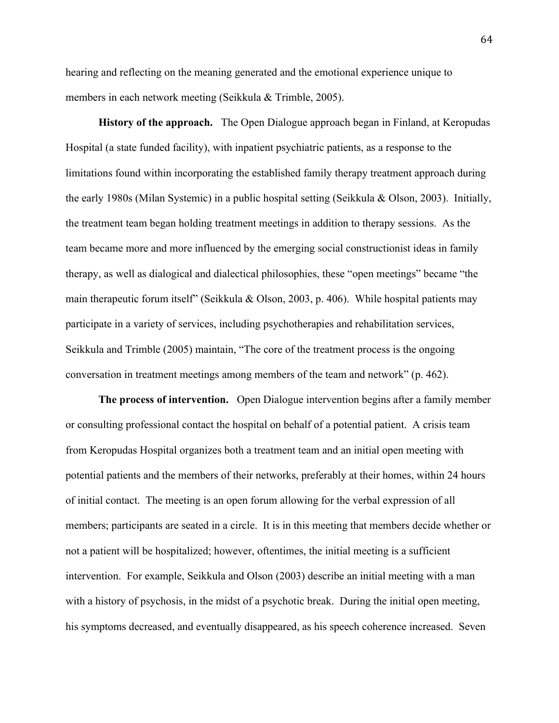hearing and reflecting on the meaning generated and the emotional experience unique to members in each network meeting (Seikkula & Trimble, 2005).

**History of the approach.** The Open Dialogue approach began in Finland, at Keropudas Hospital (a state funded facility), with inpatient psychiatric patients, as a response to the limitations found within incorporating the established family therapy treatment approach during the early 1980s (Milan Systemic) in a public hospital setting (Seikkula & Olson, 2003). Initially, the treatment team began holding treatment meetings in addition to therapy sessions. As the team became more and more influenced by the emerging social constructionist ideas in family therapy, as well as dialogical and dialectical philosophies, these "open meetings" became "the main therapeutic forum itself" (Seikkula & Olson, 2003, p. 406). While hospital patients may participate in a variety of services, including psychotherapies and rehabilitation services, Seikkula and Trimble (2005) maintain, "The core of the treatment process is the ongoing conversation in treatment meetings among members of the team and network" (p. 462).

**The process of intervention.** Open Dialogue intervention begins after a family member or consulting professional contact the hospital on behalf of a potential patient. A crisis team from Keropudas Hospital organizes both a treatment team and an initial open meeting with potential patients and the members of their networks, preferably at their homes, within 24 hours of initial contact. The meeting is an open forum allowing for the verbal expression of all members; participants are seated in a circle. It is in this meeting that members decide whether or not a patient will be hospitalized; however, oftentimes, the initial meeting is a sufficient intervention. For example, Seikkula and Olson (2003) describe an initial meeting with a man with a history of psychosis, in the midst of a psychotic break. During the initial open meeting, his symptoms decreased, and eventually disappeared, as his speech coherence increased. Seven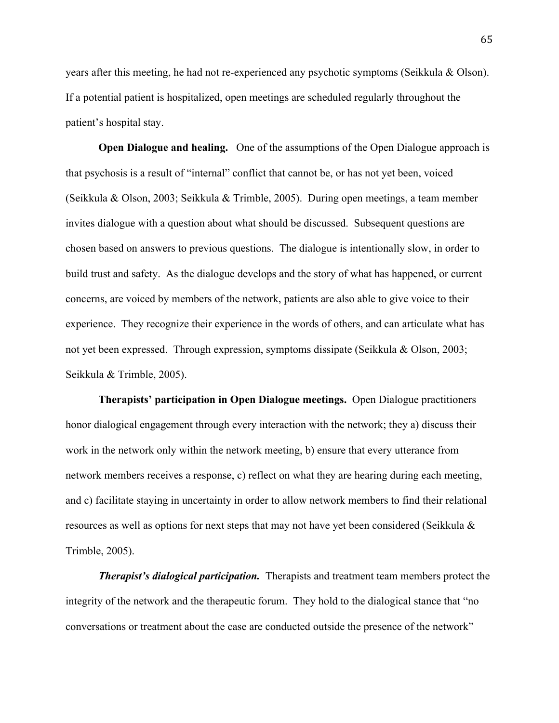years after this meeting, he had not re-experienced any psychotic symptoms (Seikkula & Olson). If a potential patient is hospitalized, open meetings are scheduled regularly throughout the patient's hospital stay.

**Open Dialogue and healing.** One of the assumptions of the Open Dialogue approach is that psychosis is a result of "internal" conflict that cannot be, or has not yet been, voiced (Seikkula & Olson, 2003; Seikkula & Trimble, 2005). During open meetings, a team member invites dialogue with a question about what should be discussed. Subsequent questions are chosen based on answers to previous questions. The dialogue is intentionally slow, in order to build trust and safety. As the dialogue develops and the story of what has happened, or current concerns, are voiced by members of the network, patients are also able to give voice to their experience. They recognize their experience in the words of others, and can articulate what has not yet been expressed. Through expression, symptoms dissipate (Seikkula & Olson, 2003; Seikkula & Trimble, 2005).

**Therapists' participation in Open Dialogue meetings.** Open Dialogue practitioners honor dialogical engagement through every interaction with the network; they a) discuss their work in the network only within the network meeting, b) ensure that every utterance from network members receives a response, c) reflect on what they are hearing during each meeting, and c) facilitate staying in uncertainty in order to allow network members to find their relational resources as well as options for next steps that may not have yet been considered (Seikkula & Trimble, 2005).

*Therapist's dialogical participation.* Therapists and treatment team members protect the integrity of the network and the therapeutic forum. They hold to the dialogical stance that "no conversations or treatment about the case are conducted outside the presence of the network"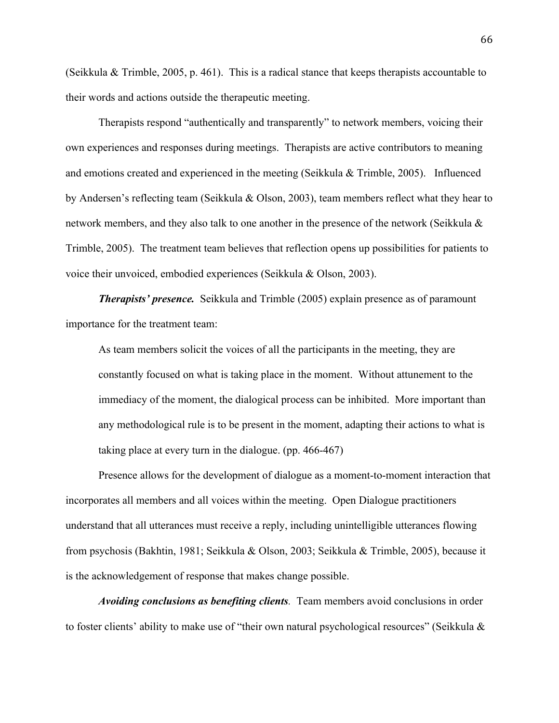(Seikkula & Trimble, 2005, p. 461). This is a radical stance that keeps therapists accountable to their words and actions outside the therapeutic meeting.

Therapists respond "authentically and transparently" to network members, voicing their own experiences and responses during meetings. Therapists are active contributors to meaning and emotions created and experienced in the meeting (Seikkula & Trimble, 2005). Influenced by Andersen's reflecting team (Seikkula & Olson, 2003), team members reflect what they hear to network members, and they also talk to one another in the presence of the network (Seikkula & Trimble, 2005). The treatment team believes that reflection opens up possibilities for patients to voice their unvoiced, embodied experiences (Seikkula & Olson, 2003).

*Therapists' presence.* Seikkula and Trimble (2005) explain presence as of paramount importance for the treatment team:

As team members solicit the voices of all the participants in the meeting, they are constantly focused on what is taking place in the moment. Without attunement to the immediacy of the moment, the dialogical process can be inhibited. More important than any methodological rule is to be present in the moment, adapting their actions to what is taking place at every turn in the dialogue. (pp. 466-467)

Presence allows for the development of dialogue as a moment-to-moment interaction that incorporates all members and all voices within the meeting. Open Dialogue practitioners understand that all utterances must receive a reply, including unintelligible utterances flowing from psychosis (Bakhtin, 1981; Seikkula & Olson, 2003; Seikkula & Trimble, 2005), because it is the acknowledgement of response that makes change possible.

*Avoiding conclusions as benefiting clients.* Team members avoid conclusions in order to foster clients' ability to make use of "their own natural psychological resources" (Seikkula &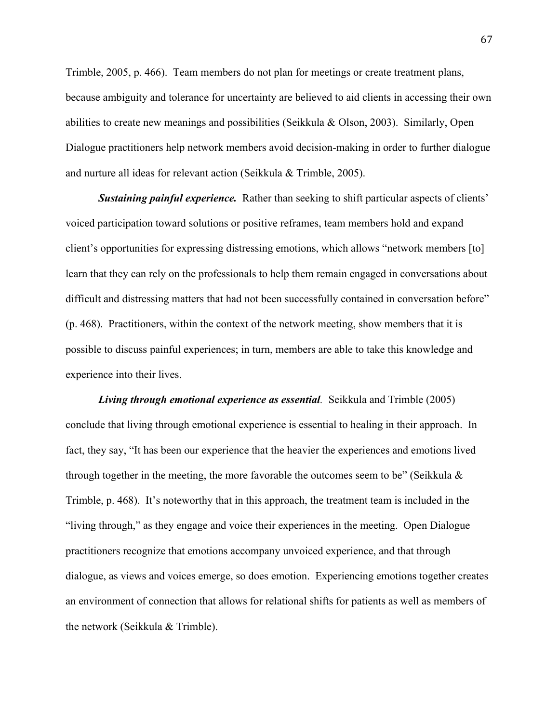Trimble, 2005, p. 466). Team members do not plan for meetings or create treatment plans, because ambiguity and tolerance for uncertainty are believed to aid clients in accessing their own abilities to create new meanings and possibilities (Seikkula & Olson, 2003). Similarly, Open Dialogue practitioners help network members avoid decision-making in order to further dialogue and nurture all ideas for relevant action (Seikkula & Trimble, 2005).

**Sustaining painful experience.** Rather than seeking to shift particular aspects of clients' voiced participation toward solutions or positive reframes, team members hold and expand client's opportunities for expressing distressing emotions, which allows "network members [to] learn that they can rely on the professionals to help them remain engaged in conversations about difficult and distressing matters that had not been successfully contained in conversation before" (p. 468). Practitioners, within the context of the network meeting, show members that it is possible to discuss painful experiences; in turn, members are able to take this knowledge and experience into their lives.

*Living through emotional experience as essential.* Seikkula and Trimble (2005) conclude that living through emotional experience is essential to healing in their approach. In fact, they say, "It has been our experience that the heavier the experiences and emotions lived through together in the meeting, the more favorable the outcomes seem to be" (Seikkula  $\&$ Trimble, p. 468). It's noteworthy that in this approach, the treatment team is included in the "living through," as they engage and voice their experiences in the meeting. Open Dialogue practitioners recognize that emotions accompany unvoiced experience, and that through dialogue, as views and voices emerge, so does emotion. Experiencing emotions together creates an environment of connection that allows for relational shifts for patients as well as members of the network (Seikkula & Trimble).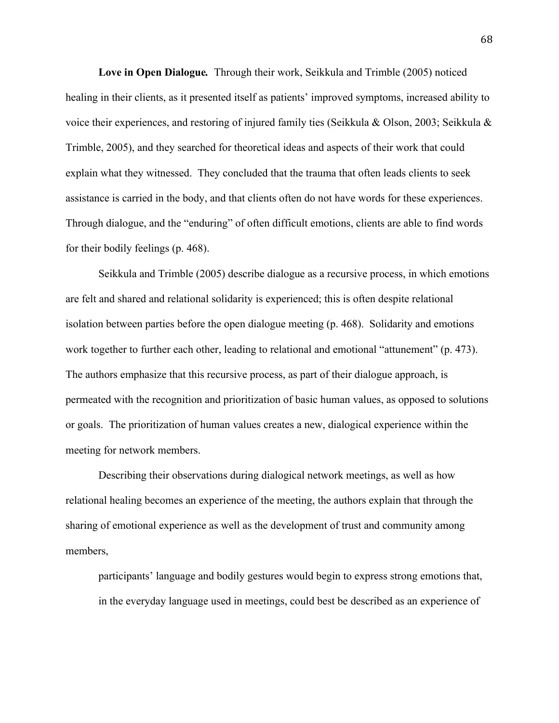**Love in Open Dialogue***.* Through their work, Seikkula and Trimble (2005) noticed healing in their clients, as it presented itself as patients' improved symptoms, increased ability to voice their experiences, and restoring of injured family ties (Seikkula & Olson, 2003; Seikkula & Trimble, 2005), and they searched for theoretical ideas and aspects of their work that could explain what they witnessed. They concluded that the trauma that often leads clients to seek assistance is carried in the body, and that clients often do not have words for these experiences. Through dialogue, and the "enduring" of often difficult emotions, clients are able to find words for their bodily feelings (p. 468).

Seikkula and Trimble (2005) describe dialogue as a recursive process, in which emotions are felt and shared and relational solidarity is experienced; this is often despite relational isolation between parties before the open dialogue meeting (p. 468). Solidarity and emotions work together to further each other, leading to relational and emotional "attunement" (p. 473). The authors emphasize that this recursive process, as part of their dialogue approach, is permeated with the recognition and prioritization of basic human values, as opposed to solutions or goals. The prioritization of human values creates a new, dialogical experience within the meeting for network members.

Describing their observations during dialogical network meetings, as well as how relational healing becomes an experience of the meeting, the authors explain that through the sharing of emotional experience as well as the development of trust and community among members,

participants' language and bodily gestures would begin to express strong emotions that, in the everyday language used in meetings, could best be described as an experience of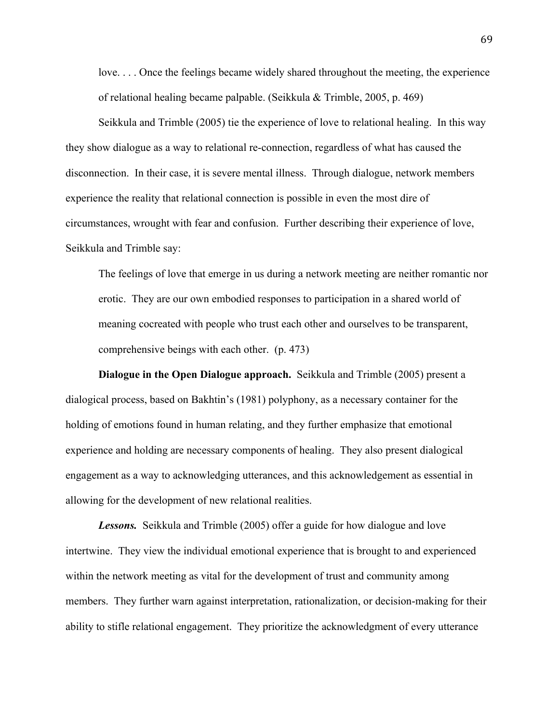love. . . . Once the feelings became widely shared throughout the meeting, the experience of relational healing became palpable. (Seikkula & Trimble, 2005, p. 469)

Seikkula and Trimble (2005) tie the experience of love to relational healing. In this way they show dialogue as a way to relational re-connection, regardless of what has caused the disconnection. In their case, it is severe mental illness. Through dialogue, network members experience the reality that relational connection is possible in even the most dire of circumstances, wrought with fear and confusion. Further describing their experience of love, Seikkula and Trimble say:

The feelings of love that emerge in us during a network meeting are neither romantic nor erotic. They are our own embodied responses to participation in a shared world of meaning cocreated with people who trust each other and ourselves to be transparent, comprehensive beings with each other. (p. 473)

**Dialogue in the Open Dialogue approach.** Seikkula and Trimble (2005) present a dialogical process, based on Bakhtin's (1981) polyphony, as a necessary container for the holding of emotions found in human relating, and they further emphasize that emotional experience and holding are necessary components of healing. They also present dialogical engagement as a way to acknowledging utterances, and this acknowledgement as essential in allowing for the development of new relational realities.

*Lessons.* Seikkula and Trimble (2005) offer a guide for how dialogue and love intertwine. They view the individual emotional experience that is brought to and experienced within the network meeting as vital for the development of trust and community among members. They further warn against interpretation, rationalization, or decision-making for their ability to stifle relational engagement. They prioritize the acknowledgment of every utterance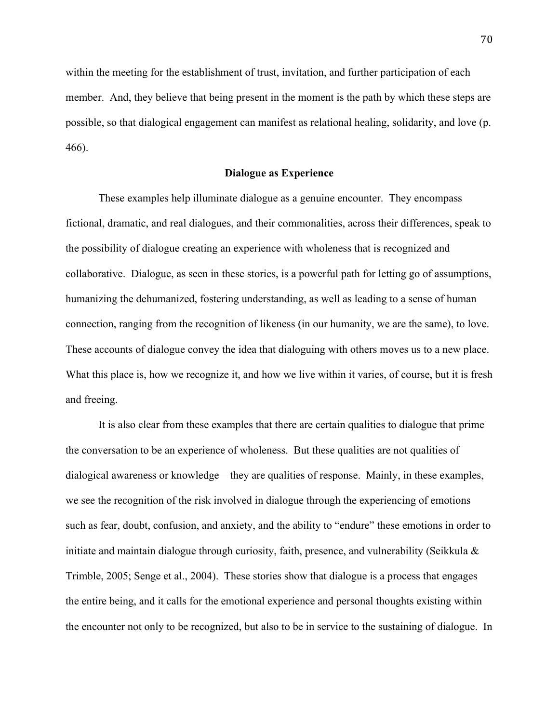within the meeting for the establishment of trust, invitation, and further participation of each member. And, they believe that being present in the moment is the path by which these steps are possible, so that dialogical engagement can manifest as relational healing, solidarity, and love (p. 466).

## **Dialogue as Experience**

These examples help illuminate dialogue as a genuine encounter. They encompass fictional, dramatic, and real dialogues, and their commonalities, across their differences, speak to the possibility of dialogue creating an experience with wholeness that is recognized and collaborative. Dialogue, as seen in these stories, is a powerful path for letting go of assumptions, humanizing the dehumanized, fostering understanding, as well as leading to a sense of human connection, ranging from the recognition of likeness (in our humanity, we are the same), to love. These accounts of dialogue convey the idea that dialoguing with others moves us to a new place. What this place is, how we recognize it, and how we live within it varies, of course, but it is fresh and freeing.

It is also clear from these examples that there are certain qualities to dialogue that prime the conversation to be an experience of wholeness. But these qualities are not qualities of dialogical awareness or knowledge—they are qualities of response. Mainly, in these examples, we see the recognition of the risk involved in dialogue through the experiencing of emotions such as fear, doubt, confusion, and anxiety, and the ability to "endure" these emotions in order to initiate and maintain dialogue through curiosity, faith, presence, and vulnerability (Seikkula  $\&$ Trimble, 2005; Senge et al., 2004). These stories show that dialogue is a process that engages the entire being, and it calls for the emotional experience and personal thoughts existing within the encounter not only to be recognized, but also to be in service to the sustaining of dialogue. In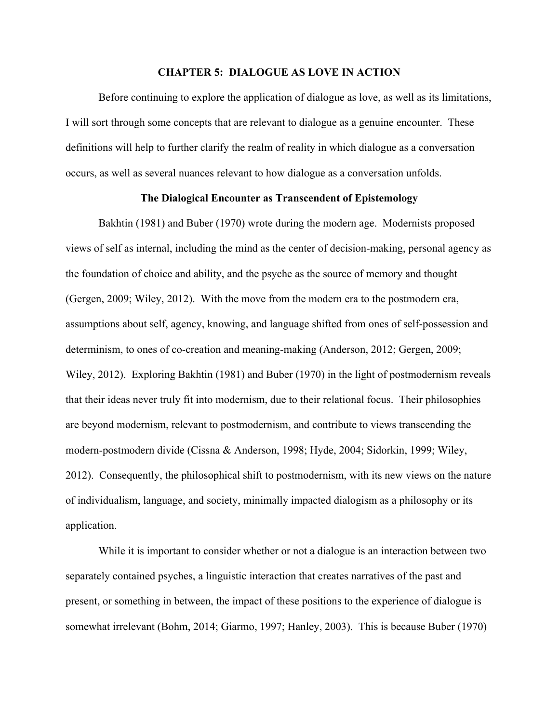#### **CHAPTER 5: DIALOGUE AS LOVE IN ACTION**

Before continuing to explore the application of dialogue as love, as well as its limitations, I will sort through some concepts that are relevant to dialogue as a genuine encounter. These definitions will help to further clarify the realm of reality in which dialogue as a conversation occurs, as well as several nuances relevant to how dialogue as a conversation unfolds.

# **The Dialogical Encounter as Transcendent of Epistemology**

Bakhtin (1981) and Buber (1970) wrote during the modern age. Modernists proposed views of self as internal, including the mind as the center of decision-making, personal agency as the foundation of choice and ability, and the psyche as the source of memory and thought (Gergen, 2009; Wiley, 2012). With the move from the modern era to the postmodern era, assumptions about self, agency, knowing, and language shifted from ones of self-possession and determinism, to ones of co-creation and meaning-making (Anderson, 2012; Gergen, 2009; Wiley, 2012). Exploring Bakhtin (1981) and Buber (1970) in the light of postmodernism reveals that their ideas never truly fit into modernism, due to their relational focus. Their philosophies are beyond modernism, relevant to postmodernism, and contribute to views transcending the modern-postmodern divide (Cissna & Anderson, 1998; Hyde, 2004; Sidorkin, 1999; Wiley, 2012). Consequently, the philosophical shift to postmodernism, with its new views on the nature of individualism, language, and society, minimally impacted dialogism as a philosophy or its application.

While it is important to consider whether or not a dialogue is an interaction between two separately contained psyches, a linguistic interaction that creates narratives of the past and present, or something in between, the impact of these positions to the experience of dialogue is somewhat irrelevant (Bohm, 2014; Giarmo, 1997; Hanley, 2003). This is because Buber (1970)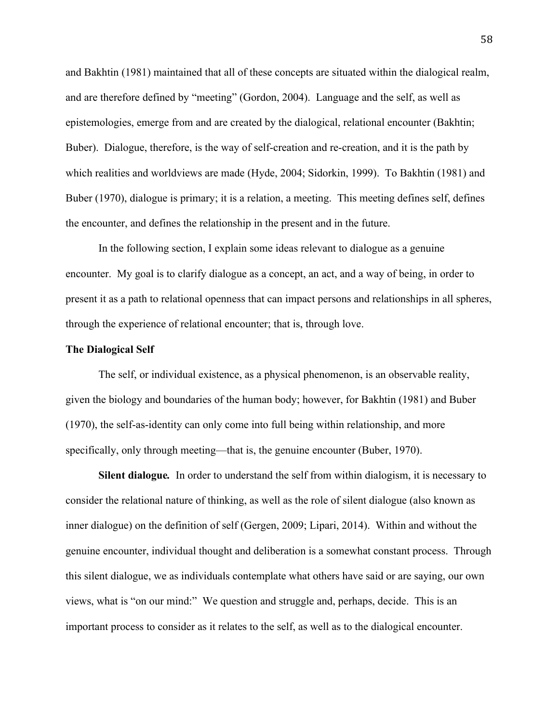and Bakhtin (1981) maintained that all of these concepts are situated within the dialogical realm, and are therefore defined by "meeting" (Gordon, 2004). Language and the self, as well as epistemologies, emerge from and are created by the dialogical, relational encounter (Bakhtin; Buber). Dialogue, therefore, is the way of self-creation and re-creation, and it is the path by which realities and worldviews are made (Hyde, 2004; Sidorkin, 1999). To Bakhtin (1981) and Buber (1970), dialogue is primary; it is a relation, a meeting. This meeting defines self, defines the encounter, and defines the relationship in the present and in the future.

In the following section, I explain some ideas relevant to dialogue as a genuine encounter. My goal is to clarify dialogue as a concept, an act, and a way of being, in order to present it as a path to relational openness that can impact persons and relationships in all spheres, through the experience of relational encounter; that is, through love.

### **The Dialogical Self**

The self, or individual existence, as a physical phenomenon, is an observable reality, given the biology and boundaries of the human body; however, for Bakhtin (1981) and Buber (1970), the self-as-identity can only come into full being within relationship, and more specifically, only through meeting—that is, the genuine encounter (Buber, 1970).

**Silent dialogue***.*In order to understand the self from within dialogism, it is necessary to consider the relational nature of thinking, as well as the role of silent dialogue (also known as inner dialogue) on the definition of self (Gergen, 2009; Lipari, 2014). Within and without the genuine encounter, individual thought and deliberation is a somewhat constant process. Through this silent dialogue, we as individuals contemplate what others have said or are saying, our own views, what is "on our mind:" We question and struggle and, perhaps, decide. This is an important process to consider as it relates to the self, as well as to the dialogical encounter.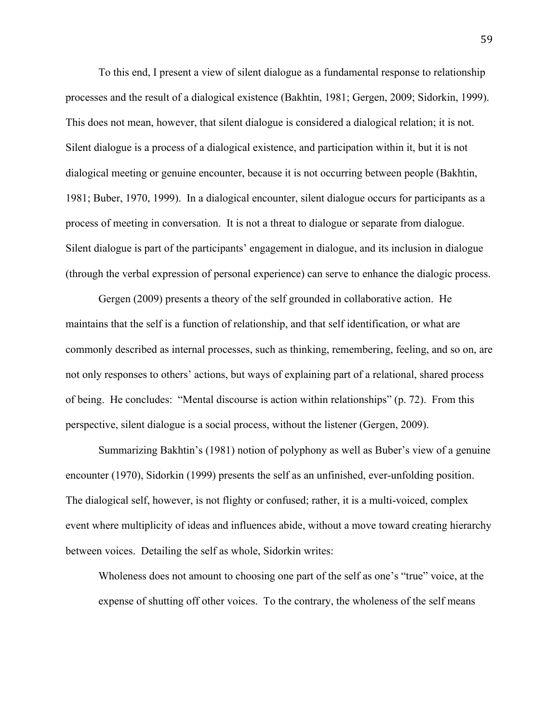To this end, I present a view of silent dialogue as a fundamental response to relationship processes and the result of a dialogical existence (Bakhtin, 1981; Gergen, 2009; Sidorkin, 1999). This does not mean, however, that silent dialogue is considered a dialogical relation; it is not. Silent dialogue is a process of a dialogical existence, and participation within it, but it is not dialogical meeting or genuine encounter, because it is not occurring between people (Bakhtin, 1981; Buber, 1970, 1999). In a dialogical encounter, silent dialogue occurs for participants as a process of meeting in conversation. It is not a threat to dialogue or separate from dialogue. Silent dialogue is part of the participants' engagement in dialogue, and its inclusion in dialogue (through the verbal expression of personal experience) can serve to enhance the dialogic process.

Gergen (2009) presents a theory of the self grounded in collaborative action. He maintains that the self is a function of relationship, and that self identification, or what are commonly described as internal processes, such as thinking, remembering, feeling, and so on, are not only responses to others' actions, but ways of explaining part of a relational, shared process of being. He concludes: "Mental discourse is action within relationships" (p. 72). From this perspective, silent dialogue is a social process, without the listener (Gergen, 2009).

Summarizing Bakhtin's (1981) notion of polyphony as well as Buber's view of a genuine encounter (1970), Sidorkin (1999) presents the self as an unfinished, ever-unfolding position. The dialogical self, however, is not flighty or confused; rather, it is a multi-voiced, complex event where multiplicity of ideas and influences abide, without a move toward creating hierarchy between voices. Detailing the self as whole, Sidorkin writes:

Wholeness does not amount to choosing one part of the self as one's "true" voice, at the expense of shutting off other voices. To the contrary, the wholeness of the self means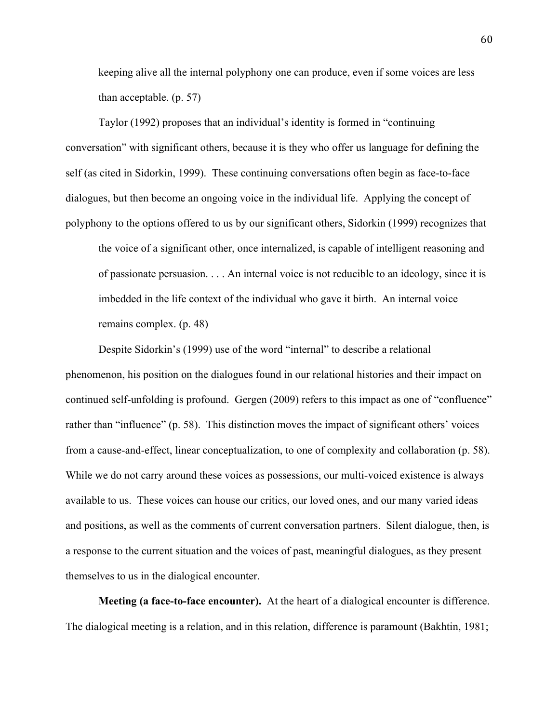keeping alive all the internal polyphony one can produce, even if some voices are less than acceptable. (p. 57)

Taylor (1992) proposes that an individual's identity is formed in "continuing conversation" with significant others, because it is they who offer us language for defining the self (as cited in Sidorkin, 1999). These continuing conversations often begin as face-to-face dialogues, but then become an ongoing voice in the individual life. Applying the concept of polyphony to the options offered to us by our significant others, Sidorkin (1999) recognizes that

the voice of a significant other, once internalized, is capable of intelligent reasoning and of passionate persuasion. . . . An internal voice is not reducible to an ideology, since it is imbedded in the life context of the individual who gave it birth. An internal voice remains complex. (p. 48)

Despite Sidorkin's (1999) use of the word "internal" to describe a relational phenomenon, his position on the dialogues found in our relational histories and their impact on continued self-unfolding is profound. Gergen (2009) refers to this impact as one of "confluence" rather than "influence" (p. 58). This distinction moves the impact of significant others' voices from a cause-and-effect, linear conceptualization, to one of complexity and collaboration (p. 58). While we do not carry around these voices as possessions, our multi-voiced existence is always available to us. These voices can house our critics, our loved ones, and our many varied ideas and positions, as well as the comments of current conversation partners. Silent dialogue, then, is a response to the current situation and the voices of past, meaningful dialogues, as they present themselves to us in the dialogical encounter.

**Meeting (a face-to-face encounter).** At the heart of a dialogical encounter is difference. The dialogical meeting is a relation, and in this relation, difference is paramount (Bakhtin, 1981;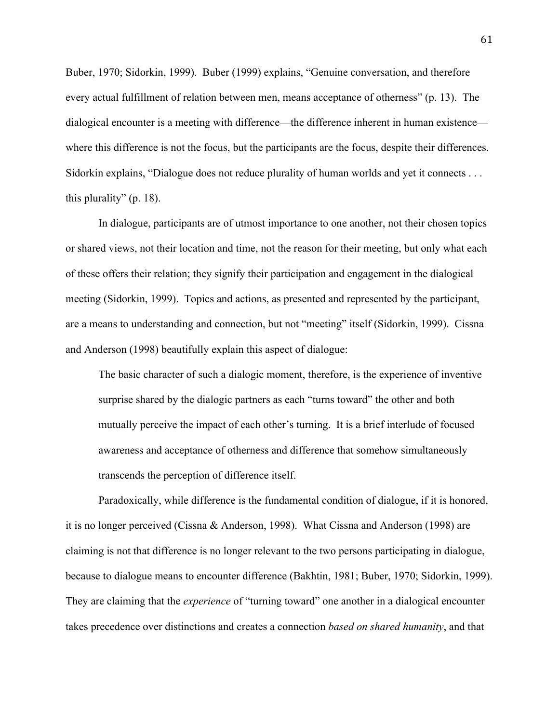Buber, 1970; Sidorkin, 1999). Buber (1999) explains, "Genuine conversation, and therefore every actual fulfillment of relation between men, means acceptance of otherness" (p. 13). The dialogical encounter is a meeting with difference—the difference inherent in human existence where this difference is not the focus, but the participants are the focus, despite their differences. Sidorkin explains, "Dialogue does not reduce plurality of human worlds and yet it connects . . . this plurality" (p. 18).

In dialogue, participants are of utmost importance to one another, not their chosen topics or shared views, not their location and time, not the reason for their meeting, but only what each of these offers their relation; they signify their participation and engagement in the dialogical meeting (Sidorkin, 1999). Topics and actions, as presented and represented by the participant, are a means to understanding and connection, but not "meeting" itself (Sidorkin, 1999). Cissna and Anderson (1998) beautifully explain this aspect of dialogue:

The basic character of such a dialogic moment, therefore, is the experience of inventive surprise shared by the dialogic partners as each "turns toward" the other and both mutually perceive the impact of each other's turning. It is a brief interlude of focused awareness and acceptance of otherness and difference that somehow simultaneously transcends the perception of difference itself.

Paradoxically, while difference is the fundamental condition of dialogue, if it is honored, it is no longer perceived (Cissna & Anderson, 1998). What Cissna and Anderson (1998) are claiming is not that difference is no longer relevant to the two persons participating in dialogue, because to dialogue means to encounter difference (Bakhtin, 1981; Buber, 1970; Sidorkin, 1999). They are claiming that the *experience* of "turning toward" one another in a dialogical encounter takes precedence over distinctions and creates a connection *based on shared humanity*, and that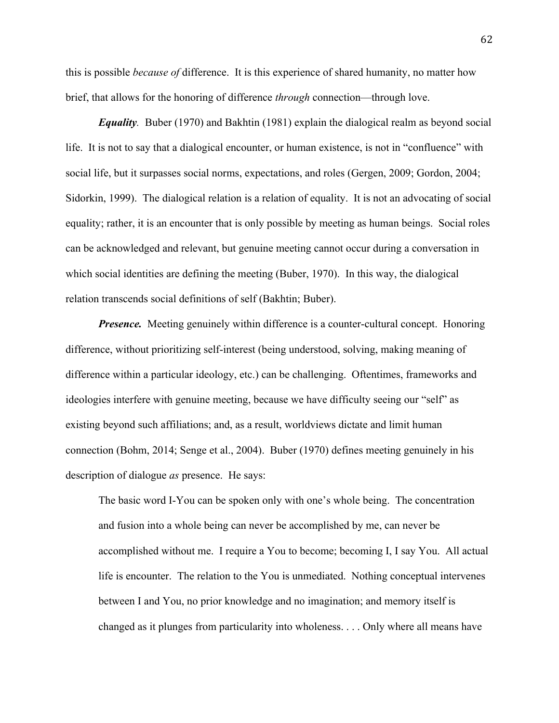this is possible *because of* difference. It is this experience of shared humanity, no matter how brief, that allows for the honoring of difference *through* connection—through love.

*Equality.* Buber (1970) and Bakhtin (1981) explain the dialogical realm as beyond social life. It is not to say that a dialogical encounter, or human existence, is not in "confluence" with social life, but it surpasses social norms, expectations, and roles (Gergen, 2009; Gordon, 2004; Sidorkin, 1999). The dialogical relation is a relation of equality. It is not an advocating of social equality; rather, it is an encounter that is only possible by meeting as human beings. Social roles can be acknowledged and relevant, but genuine meeting cannot occur during a conversation in which social identities are defining the meeting (Buber, 1970). In this way, the dialogical relation transcends social definitions of self (Bakhtin; Buber).

*Presence.* Meeting genuinely within difference is a counter-cultural concept. Honoring difference, without prioritizing self-interest (being understood, solving, making meaning of difference within a particular ideology, etc.) can be challenging. Oftentimes, frameworks and ideologies interfere with genuine meeting, because we have difficulty seeing our "self" as existing beyond such affiliations; and, as a result, worldviews dictate and limit human connection (Bohm, 2014; Senge et al., 2004). Buber (1970) defines meeting genuinely in his description of dialogue *as* presence. He says:

The basic word I-You can be spoken only with one's whole being. The concentration and fusion into a whole being can never be accomplished by me, can never be accomplished without me. I require a You to become; becoming I, I say You. All actual life is encounter. The relation to the You is unmediated. Nothing conceptual intervenes between I and You, no prior knowledge and no imagination; and memory itself is changed as it plunges from particularity into wholeness. . . . Only where all means have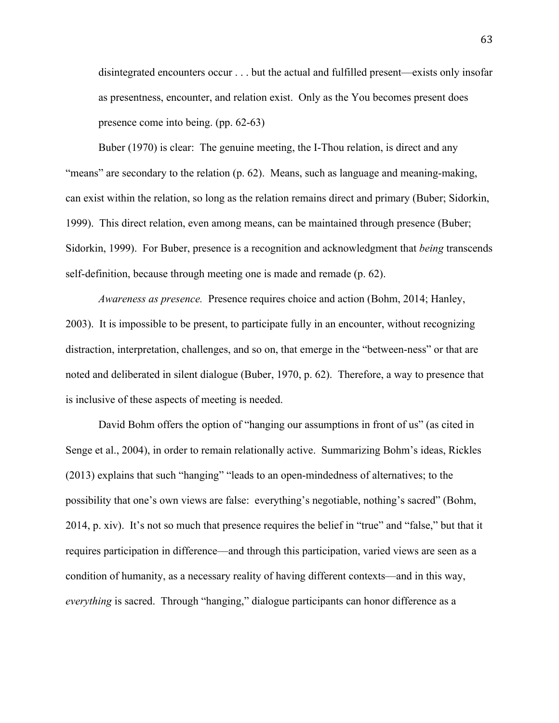disintegrated encounters occur . . . but the actual and fulfilled present—exists only insofar as presentness, encounter, and relation exist. Only as the You becomes present does presence come into being. (pp. 62-63)

Buber (1970) is clear: The genuine meeting, the I-Thou relation, is direct and any "means" are secondary to the relation (p. 62). Means, such as language and meaning-making, can exist within the relation, so long as the relation remains direct and primary (Buber; Sidorkin, 1999). This direct relation, even among means, can be maintained through presence (Buber; Sidorkin, 1999). For Buber, presence is a recognition and acknowledgment that *being* transcends self-definition, because through meeting one is made and remade (p. 62).

*Awareness as presence.* Presence requires choice and action (Bohm, 2014; Hanley, 2003). It is impossible to be present, to participate fully in an encounter, without recognizing distraction, interpretation, challenges, and so on, that emerge in the "between-ness" or that are noted and deliberated in silent dialogue (Buber, 1970, p. 62). Therefore, a way to presence that is inclusive of these aspects of meeting is needed.

David Bohm offers the option of "hanging our assumptions in front of us" (as cited in Senge et al., 2004), in order to remain relationally active. Summarizing Bohm's ideas, Rickles (2013) explains that such "hanging" "leads to an open-mindedness of alternatives; to the possibility that one's own views are false: everything's negotiable, nothing's sacred" (Bohm, 2014, p. xiv). It's not so much that presence requires the belief in "true" and "false," but that it requires participation in difference—and through this participation, varied views are seen as a condition of humanity, as a necessary reality of having different contexts—and in this way, *everything* is sacred. Through "hanging," dialogue participants can honor difference as a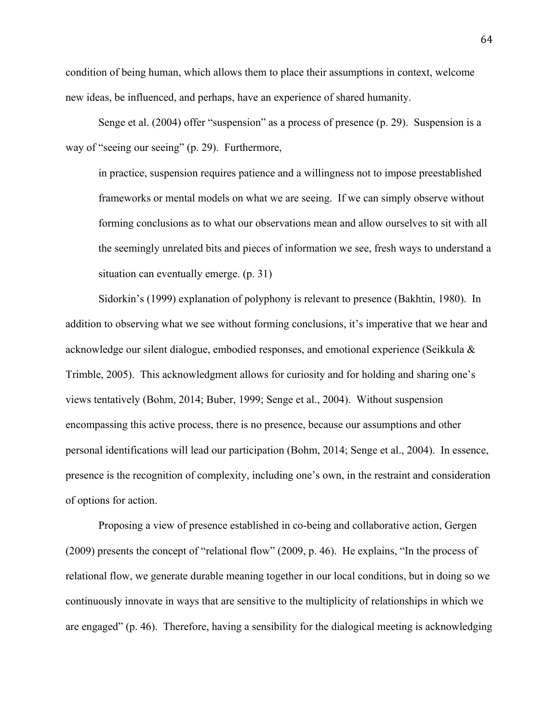condition of being human, which allows them to place their assumptions in context, welcome new ideas, be influenced, and perhaps, have an experience of shared humanity.

Senge et al. (2004) offer "suspension" as a process of presence (p. 29). Suspension is a way of "seeing our seeing" (p. 29). Furthermore,

in practice, suspension requires patience and a willingness not to impose preestablished frameworks or mental models on what we are seeing. If we can simply observe without forming conclusions as to what our observations mean and allow ourselves to sit with all the seemingly unrelated bits and pieces of information we see, fresh ways to understand a situation can eventually emerge. (p. 31)

Sidorkin's (1999) explanation of polyphony is relevant to presence (Bakhtin, 1980). In addition to observing what we see without forming conclusions, it's imperative that we hear and acknowledge our silent dialogue, embodied responses, and emotional experience (Seikkula & Trimble, 2005). This acknowledgment allows for curiosity and for holding and sharing one's views tentatively (Bohm, 2014; Buber, 1999; Senge et al., 2004). Without suspension encompassing this active process, there is no presence, because our assumptions and other personal identifications will lead our participation (Bohm, 2014; Senge et al., 2004). In essence, presence is the recognition of complexity, including one's own, in the restraint and consideration of options for action.

Proposing a view of presence established in co-being and collaborative action, Gergen (2009) presents the concept of "relational flow" (2009, p. 46). He explains, "In the process of relational flow, we generate durable meaning together in our local conditions, but in doing so we continuously innovate in ways that are sensitive to the multiplicity of relationships in which we are engaged" (p. 46). Therefore, having a sensibility for the dialogical meeting is acknowledging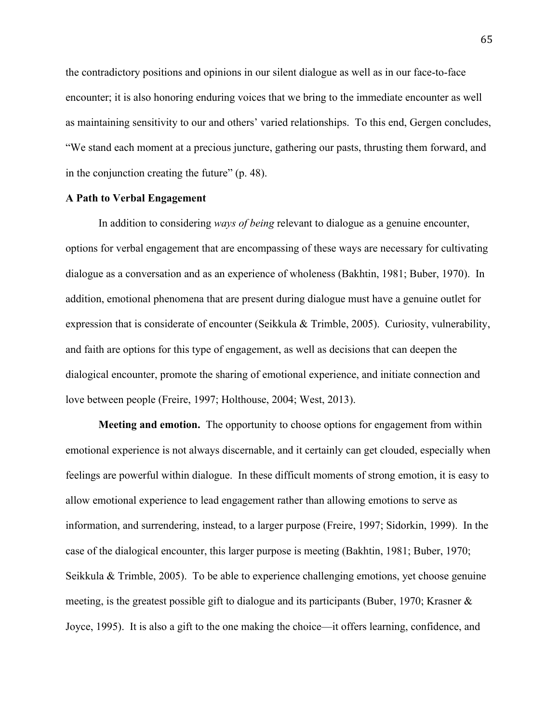the contradictory positions and opinions in our silent dialogue as well as in our face-to-face encounter; it is also honoring enduring voices that we bring to the immediate encounter as well as maintaining sensitivity to our and others' varied relationships. To this end, Gergen concludes, "We stand each moment at a precious juncture, gathering our pasts, thrusting them forward, and in the conjunction creating the future" (p. 48).

## **A Path to Verbal Engagement**

In addition to considering *ways of being* relevant to dialogue as a genuine encounter, options for verbal engagement that are encompassing of these ways are necessary for cultivating dialogue as a conversation and as an experience of wholeness (Bakhtin, 1981; Buber, 1970). In addition, emotional phenomena that are present during dialogue must have a genuine outlet for expression that is considerate of encounter (Seikkula & Trimble, 2005). Curiosity, vulnerability, and faith are options for this type of engagement, as well as decisions that can deepen the dialogical encounter, promote the sharing of emotional experience, and initiate connection and love between people (Freire, 1997; Holthouse, 2004; West, 2013).

**Meeting and emotion.** The opportunity to choose options for engagement from within emotional experience is not always discernable, and it certainly can get clouded, especially when feelings are powerful within dialogue. In these difficult moments of strong emotion, it is easy to allow emotional experience to lead engagement rather than allowing emotions to serve as information, and surrendering, instead, to a larger purpose (Freire, 1997; Sidorkin, 1999). In the case of the dialogical encounter, this larger purpose is meeting (Bakhtin, 1981; Buber, 1970; Seikkula & Trimble, 2005). To be able to experience challenging emotions, yet choose genuine meeting, is the greatest possible gift to dialogue and its participants (Buber, 1970; Krasner & Joyce, 1995). It is also a gift to the one making the choice—it offers learning, confidence, and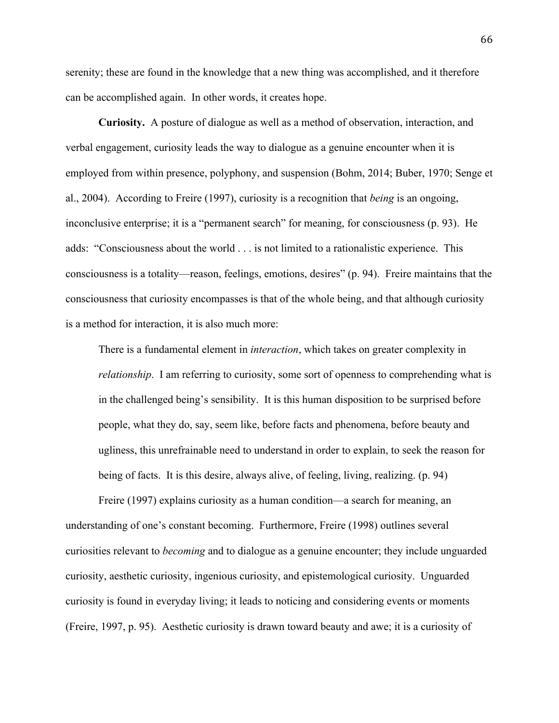serenity; these are found in the knowledge that a new thing was accomplished, and it therefore can be accomplished again. In other words, it creates hope.

**Curiosity.** A posture of dialogue as well as a method of observation, interaction, and verbal engagement, curiosity leads the way to dialogue as a genuine encounter when it is employed from within presence, polyphony, and suspension (Bohm, 2014; Buber, 1970; Senge et al., 2004). According to Freire (1997), curiosity is a recognition that *being* is an ongoing, inconclusive enterprise; it is a "permanent search" for meaning, for consciousness (p. 93). He adds: "Consciousness about the world . . . is not limited to a rationalistic experience. This consciousness is a totality—reason, feelings, emotions, desires" (p. 94). Freire maintains that the consciousness that curiosity encompasses is that of the whole being, and that although curiosity is a method for interaction, it is also much more:

There is a fundamental element in *interaction*, which takes on greater complexity in *relationship*. I am referring to curiosity, some sort of openness to comprehending what is in the challenged being's sensibility. It is this human disposition to be surprised before people, what they do, say, seem like, before facts and phenomena, before beauty and ugliness, this unrefrainable need to understand in order to explain, to seek the reason for being of facts. It is this desire, always alive, of feeling, living, realizing. (p. 94)

Freire (1997) explains curiosity as a human condition—a search for meaning, an understanding of one's constant becoming. Furthermore, Freire (1998) outlines several curiosities relevant to *becoming* and to dialogue as a genuine encounter; they include unguarded curiosity, aesthetic curiosity, ingenious curiosity, and epistemological curiosity.Unguarded curiosity is found in everyday living; it leads to noticing and considering events or moments (Freire, 1997, p. 95). Aesthetic curiosity is drawn toward beauty and awe; it is a curiosity of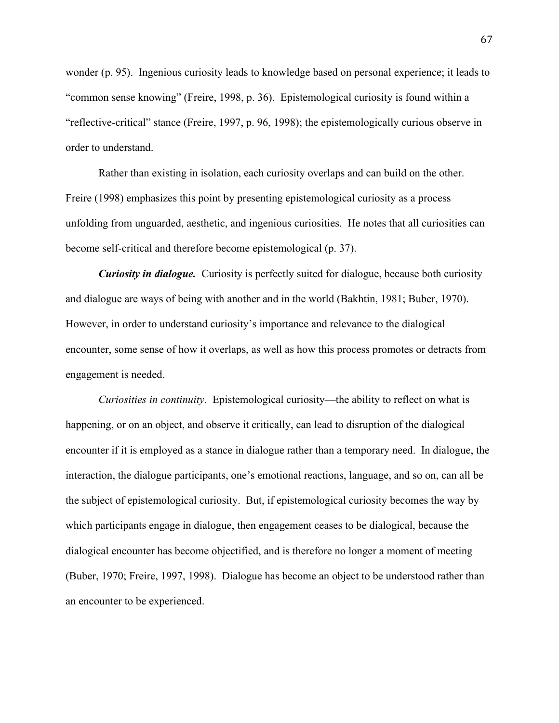wonder (p. 95). Ingenious curiosity leads to knowledge based on personal experience; it leads to "common sense knowing" (Freire, 1998, p. 36). Epistemological curiosity is found within a "reflective-critical" stance (Freire, 1997, p. 96, 1998); the epistemologically curious observe in order to understand.

Rather than existing in isolation, each curiosity overlaps and can build on the other. Freire (1998) emphasizes this point by presenting epistemological curiosity as a process unfolding from unguarded, aesthetic, and ingenious curiosities. He notes that all curiosities can become self-critical and therefore become epistemological (p. 37).

*Curiosity in dialogue.* Curiosity is perfectly suited for dialogue, because both curiosity and dialogue are ways of being with another and in the world (Bakhtin, 1981; Buber, 1970). However, in order to understand curiosity's importance and relevance to the dialogical encounter, some sense of how it overlaps, as well as how this process promotes or detracts from engagement is needed.

*Curiosities in continuity.* Epistemological curiosity—the ability to reflect on what is happening, or on an object, and observe it critically, can lead to disruption of the dialogical encounter if it is employed as a stance in dialogue rather than a temporary need. In dialogue, the interaction, the dialogue participants, one's emotional reactions, language, and so on, can all be the subject of epistemological curiosity. But, if epistemological curiosity becomes the way by which participants engage in dialogue, then engagement ceases to be dialogical, because the dialogical encounter has become objectified, and is therefore no longer a moment of meeting (Buber, 1970; Freire, 1997, 1998). Dialogue has become an object to be understood rather than an encounter to be experienced.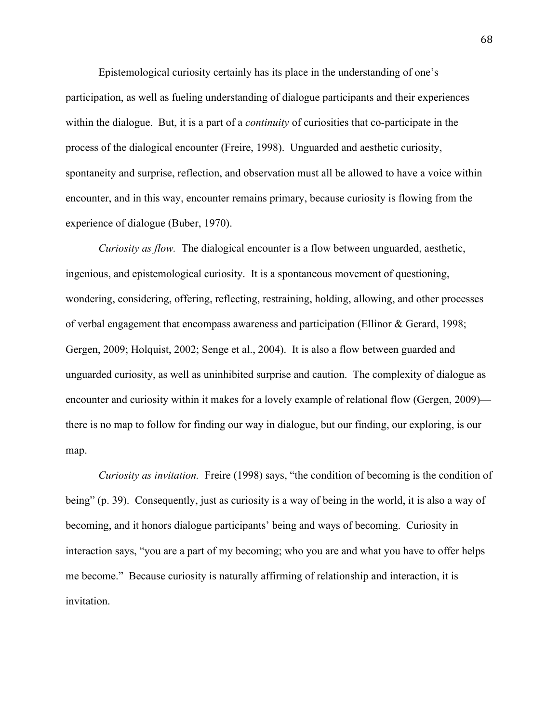Epistemological curiosity certainly has its place in the understanding of one's participation, as well as fueling understanding of dialogue participants and their experiences within the dialogue. But, it is a part of a *continuity* of curiosities that co-participate in the process of the dialogical encounter (Freire, 1998). Unguarded and aesthetic curiosity, spontaneity and surprise, reflection, and observation must all be allowed to have a voice within encounter, and in this way, encounter remains primary, because curiosity is flowing from the experience of dialogue (Buber, 1970).

*Curiosity as flow.* The dialogical encounter is a flow between unguarded, aesthetic, ingenious, and epistemological curiosity. It is a spontaneous movement of questioning, wondering, considering, offering, reflecting, restraining, holding, allowing, and other processes of verbal engagement that encompass awareness and participation (Ellinor & Gerard, 1998; Gergen, 2009; Holquist, 2002; Senge et al., 2004). It is also a flow between guarded and unguarded curiosity, as well as uninhibited surprise and caution. The complexity of dialogue as encounter and curiosity within it makes for a lovely example of relational flow (Gergen, 2009) there is no map to follow for finding our way in dialogue, but our finding, our exploring, is our map.

*Curiosity as invitation.* Freire (1998) says, "the condition of becoming is the condition of being" (p. 39). Consequently, just as curiosity is a way of being in the world, it is also a way of becoming, and it honors dialogue participants' being and ways of becoming. Curiosity in interaction says, "you are a part of my becoming; who you are and what you have to offer helps me become." Because curiosity is naturally affirming of relationship and interaction, it is invitation.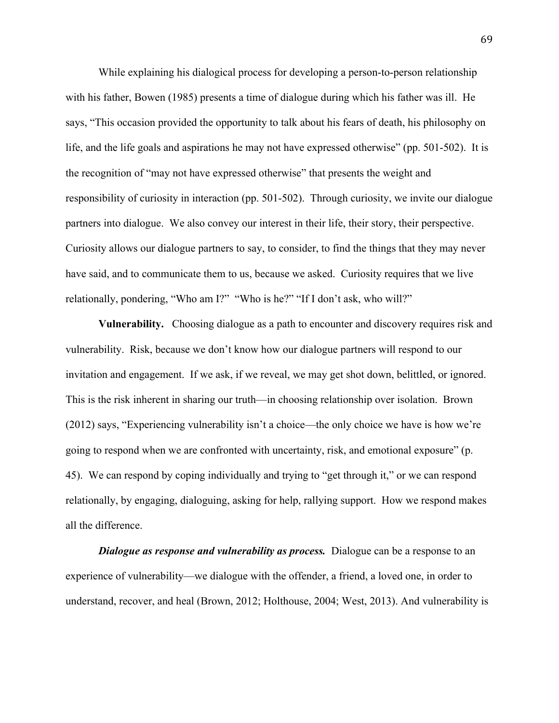While explaining his dialogical process for developing a person-to-person relationship with his father, Bowen (1985) presents a time of dialogue during which his father was ill. He says, "This occasion provided the opportunity to talk about his fears of death, his philosophy on life, and the life goals and aspirations he may not have expressed otherwise" (pp. 501-502). It is the recognition of "may not have expressed otherwise" that presents the weight and responsibility of curiosity in interaction (pp. 501-502). Through curiosity, we invite our dialogue partners into dialogue. We also convey our interest in their life, their story, their perspective. Curiosity allows our dialogue partners to say, to consider, to find the things that they may never have said, and to communicate them to us, because we asked. Curiosity requires that we live relationally, pondering, "Who am I?" "Who is he?" "If I don't ask, who will?"

**Vulnerability.** Choosing dialogue as a path to encounter and discovery requires risk and vulnerability. Risk, because we don't know how our dialogue partners will respond to our invitation and engagement. If we ask, if we reveal, we may get shot down, belittled, or ignored. This is the risk inherent in sharing our truth—in choosing relationship over isolation. Brown (2012) says, "Experiencing vulnerability isn't a choice—the only choice we have is how we're going to respond when we are confronted with uncertainty, risk, and emotional exposure" (p. 45). We can respond by coping individually and trying to "get through it," or we can respond relationally, by engaging, dialoguing, asking for help, rallying support. How we respond makes all the difference.

*Dialogue as response and vulnerability as process.* Dialogue can be a response to an experience of vulnerability—we dialogue with the offender, a friend, a loved one, in order to understand, recover, and heal (Brown, 2012; Holthouse, 2004; West, 2013). And vulnerability is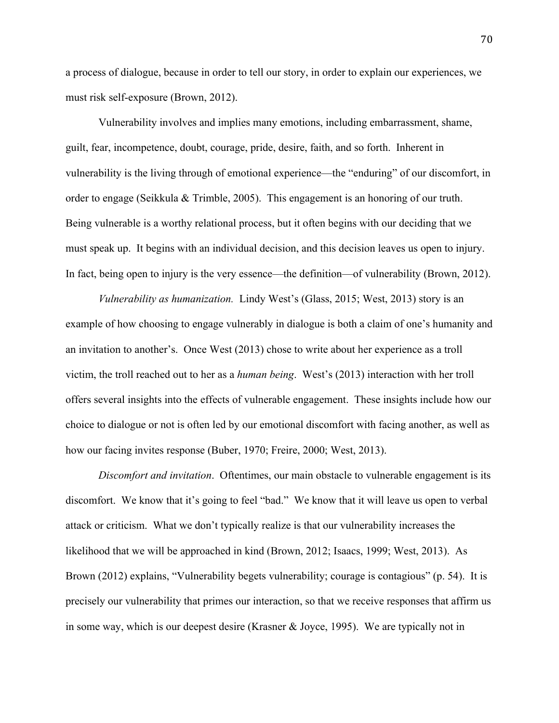a process of dialogue, because in order to tell our story, in order to explain our experiences, we must risk self-exposure (Brown, 2012).

Vulnerability involves and implies many emotions, including embarrassment, shame, guilt, fear, incompetence, doubt, courage, pride, desire, faith, and so forth. Inherent in vulnerability is the living through of emotional experience—the "enduring" of our discomfort, in order to engage (Seikkula & Trimble, 2005). This engagement is an honoring of our truth. Being vulnerable is a worthy relational process, but it often begins with our deciding that we must speak up. It begins with an individual decision, and this decision leaves us open to injury. In fact, being open to injury is the very essence—the definition—of vulnerability (Brown, 2012).

*Vulnerability as humanization.* Lindy West's (Glass, 2015; West, 2013) story is an example of how choosing to engage vulnerably in dialogue is both a claim of one's humanity and an invitation to another's. Once West (2013) chose to write about her experience as a troll victim, the troll reached out to her as a *human being*. West's (2013) interaction with her troll offers several insights into the effects of vulnerable engagement. These insights include how our choice to dialogue or not is often led by our emotional discomfort with facing another, as well as how our facing invites response (Buber, 1970; Freire, 2000; West, 2013).

*Discomfort and invitation*. Oftentimes, our main obstacle to vulnerable engagement is its discomfort. We know that it's going to feel "bad." We know that it will leave us open to verbal attack or criticism. What we don't typically realize is that our vulnerability increases the likelihood that we will be approached in kind (Brown, 2012; Isaacs, 1999; West, 2013). As Brown (2012) explains, "Vulnerability begets vulnerability; courage is contagious" (p. 54). It is precisely our vulnerability that primes our interaction, so that we receive responses that affirm us in some way, which is our deepest desire (Krasner & Joyce, 1995). We are typically not in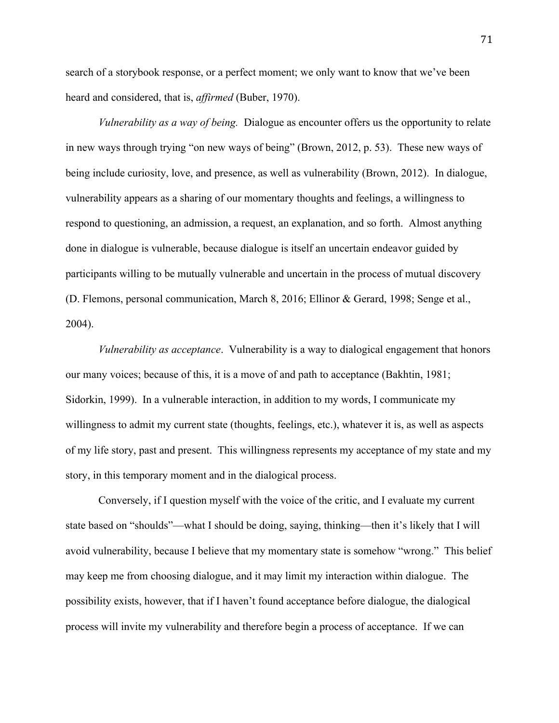search of a storybook response, or a perfect moment; we only want to know that we've been heard and considered, that is, *affirmed* (Buber, 1970).

*Vulnerability as a way of being.* Dialogue as encounter offers us the opportunity to relate in new ways through trying "on new ways of being" (Brown, 2012, p. 53). These new ways of being include curiosity, love, and presence, as well as vulnerability (Brown, 2012). In dialogue, vulnerability appears as a sharing of our momentary thoughts and feelings, a willingness to respond to questioning, an admission, a request, an explanation, and so forth. Almost anything done in dialogue is vulnerable, because dialogue is itself an uncertain endeavor guided by participants willing to be mutually vulnerable and uncertain in the process of mutual discovery (D. Flemons, personal communication, March 8, 2016; Ellinor & Gerard, 1998; Senge et al., 2004).

*Vulnerability as acceptance*. Vulnerability is a way to dialogical engagement that honors our many voices; because of this, it is a move of and path to acceptance (Bakhtin, 1981; Sidorkin, 1999). In a vulnerable interaction, in addition to my words, I communicate my willingness to admit my current state (thoughts, feelings, etc.), whatever it is, as well as aspects of my life story, past and present. This willingness represents my acceptance of my state and my story, in this temporary moment and in the dialogical process.

Conversely, if I question myself with the voice of the critic, and I evaluate my current state based on "shoulds"—what I should be doing, saying, thinking—then it's likely that I will avoid vulnerability, because I believe that my momentary state is somehow "wrong." This belief may keep me from choosing dialogue, and it may limit my interaction within dialogue. The possibility exists, however, that if I haven't found acceptance before dialogue, the dialogical process will invite my vulnerability and therefore begin a process of acceptance. If we can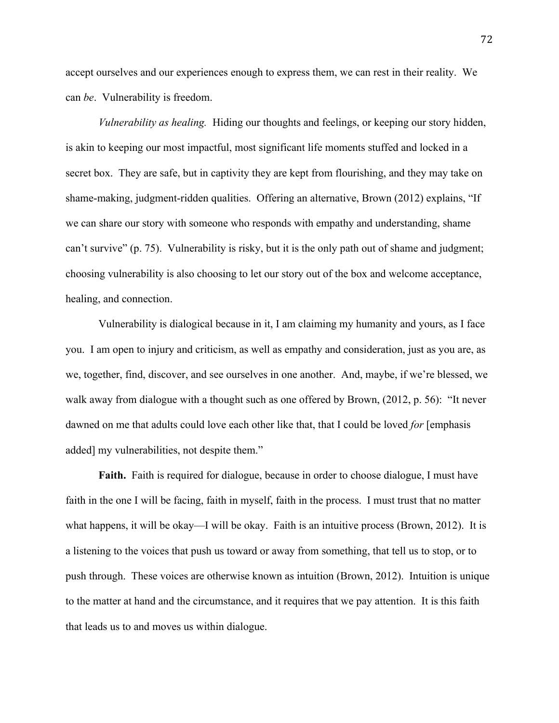accept ourselves and our experiences enough to express them, we can rest in their reality. We can *be*. Vulnerability is freedom.

*Vulnerability as healing.* Hiding our thoughts and feelings, or keeping our story hidden, is akin to keeping our most impactful, most significant life moments stuffed and locked in a secret box. They are safe, but in captivity they are kept from flourishing, and they may take on shame-making, judgment-ridden qualities. Offering an alternative, Brown (2012) explains, "If we can share our story with someone who responds with empathy and understanding, shame can't survive" (p. 75). Vulnerability is risky, but it is the only path out of shame and judgment; choosing vulnerability is also choosing to let our story out of the box and welcome acceptance, healing, and connection.

Vulnerability is dialogical because in it, I am claiming my humanity and yours, as I face you. I am open to injury and criticism, as well as empathy and consideration, just as you are, as we, together, find, discover, and see ourselves in one another. And, maybe, if we're blessed, we walk away from dialogue with a thought such as one offered by Brown, (2012, p. 56): "It never dawned on me that adults could love each other like that, that I could be loved *for* [emphasis added] my vulnerabilities, not despite them."

**Faith.** Faith is required for dialogue, because in order to choose dialogue, I must have faith in the one I will be facing, faith in myself, faith in the process. I must trust that no matter what happens, it will be okay—I will be okay. Faith is an intuitive process (Brown, 2012). It is a listening to the voices that push us toward or away from something, that tell us to stop, or to push through. These voices are otherwise known as intuition (Brown, 2012). Intuition is unique to the matter at hand and the circumstance, and it requires that we pay attention. It is this faith that leads us to and moves us within dialogue.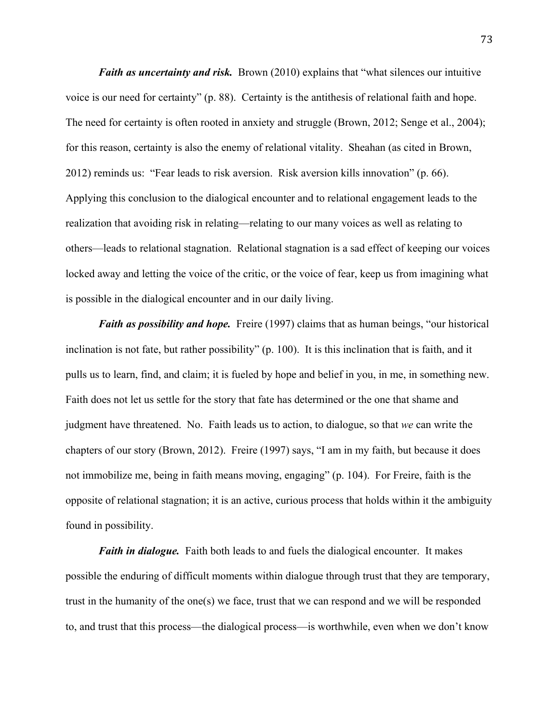*Faith as uncertainty and risk.* Brown (2010) explains that "what silences our intuitive voice is our need for certainty" (p. 88). Certainty is the antithesis of relational faith and hope. The need for certainty is often rooted in anxiety and struggle (Brown, 2012; Senge et al., 2004); for this reason, certainty is also the enemy of relational vitality. Sheahan (as cited in Brown, 2012) reminds us: "Fear leads to risk aversion. Risk aversion kills innovation" (p. 66). Applying this conclusion to the dialogical encounter and to relational engagement leads to the realization that avoiding risk in relating—relating to our many voices as well as relating to others—leads to relational stagnation. Relational stagnation is a sad effect of keeping our voices locked away and letting the voice of the critic, or the voice of fear, keep us from imagining what is possible in the dialogical encounter and in our daily living.

*Faith as possibility and hope.* Freire (1997) claims that as human beings, "our historical inclination is not fate, but rather possibility" (p. 100). It is this inclination that is faith, and it pulls us to learn, find, and claim; it is fueled by hope and belief in you, in me, in something new. Faith does not let us settle for the story that fate has determined or the one that shame and judgment have threatened. No. Faith leads us to action, to dialogue, so that *we* can write the chapters of our story (Brown, 2012). Freire (1997) says, "I am in my faith, but because it does not immobilize me, being in faith means moving, engaging" (p. 104). For Freire, faith is the opposite of relational stagnation; it is an active, curious process that holds within it the ambiguity found in possibility.

*Faith in dialogue.* Faith both leads to and fuels the dialogical encounter. It makes possible the enduring of difficult moments within dialogue through trust that they are temporary, trust in the humanity of the one(s) we face, trust that we can respond and we will be responded to, and trust that this process—the dialogical process—is worthwhile, even when we don't know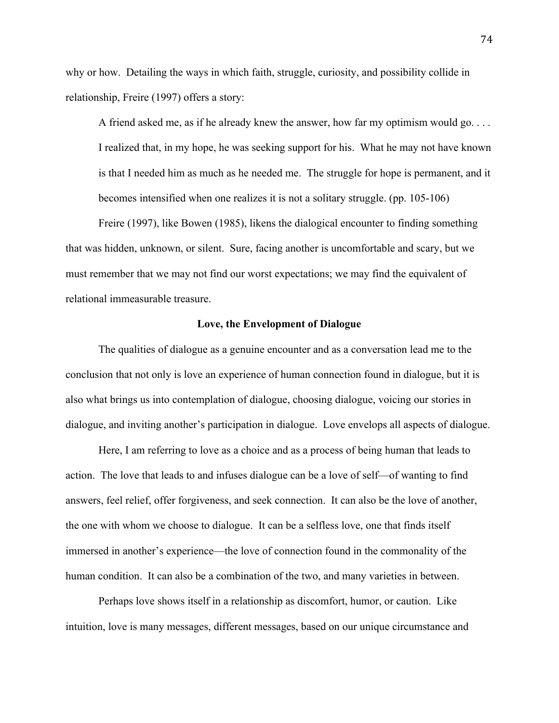why or how. Detailing the ways in which faith, struggle, curiosity, and possibility collide in relationship, Freire (1997) offers a story:

A friend asked me, as if he already knew the answer, how far my optimism would go. . . . I realized that, in my hope, he was seeking support for his. What he may not have known is that I needed him as much as he needed me. The struggle for hope is permanent, and it becomes intensified when one realizes it is not a solitary struggle. (pp. 105-106)

Freire (1997), like Bowen (1985), likens the dialogical encounter to finding something that was hidden, unknown, or silent. Sure, facing another is uncomfortable and scary, but we must remember that we may not find our worst expectations; we may find the equivalent of relational immeasurable treasure.

#### **Love, the Envelopment of Dialogue**

The qualities of dialogue as a genuine encounter and as a conversation lead me to the conclusion that not only is love an experience of human connection found in dialogue, but it is also what brings us into contemplation of dialogue, choosing dialogue, voicing our stories in dialogue, and inviting another's participation in dialogue. Love envelops all aspects of dialogue.

Here, I am referring to love as a choice and as a process of being human that leads to action. The love that leads to and infuses dialogue can be a love of self—of wanting to find answers, feel relief, offer forgiveness, and seek connection. It can also be the love of another, the one with whom we choose to dialogue. It can be a selfless love, one that finds itself immersed in another's experience—the love of connection found in the commonality of the human condition. It can also be a combination of the two, and many varieties in between.

Perhaps love shows itself in a relationship as discomfort, humor, or caution. Like intuition, love is many messages, different messages, based on our unique circumstance and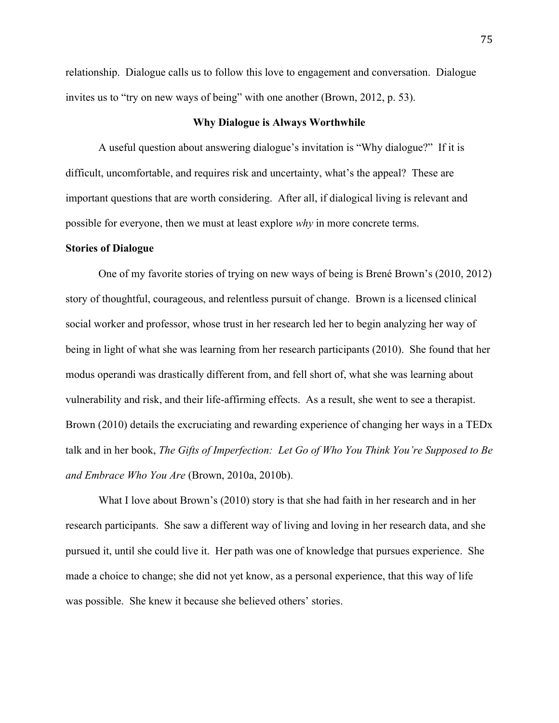relationship. Dialogue calls us to follow this love to engagement and conversation. Dialogue invites us to "try on new ways of being" with one another (Brown, 2012, p. 53).

## **Why Dialogue is Always Worthwhile**

A useful question about answering dialogue's invitation is "Why dialogue?" If it is difficult, uncomfortable, and requires risk and uncertainty, what's the appeal? These are important questions that are worth considering. After all, if dialogical living is relevant and possible for everyone, then we must at least explore *why* in more concrete terms.

## **Stories of Dialogue**

One of my favorite stories of trying on new ways of being is Brené Brown's (2010, 2012) story of thoughtful, courageous, and relentless pursuit of change. Brown is a licensed clinical social worker and professor, whose trust in her research led her to begin analyzing her way of being in light of what she was learning from her research participants (2010). She found that her modus operandi was drastically different from, and fell short of, what she was learning about vulnerability and risk, and their life-affirming effects. As a result, she went to see a therapist. Brown (2010) details the excruciating and rewarding experience of changing her ways in a TEDx talk and in her book, *The Gifts of Imperfection: Let Go of Who You Think You're Supposed to Be and Embrace Who You Are* (Brown, 2010a, 2010b).

What I love about Brown's (2010) story is that she had faith in her research and in her research participants. She saw a different way of living and loving in her research data, and she pursued it, until she could live it. Her path was one of knowledge that pursues experience. She made a choice to change; she did not yet know, as a personal experience, that this way of life was possible. She knew it because she believed others' stories.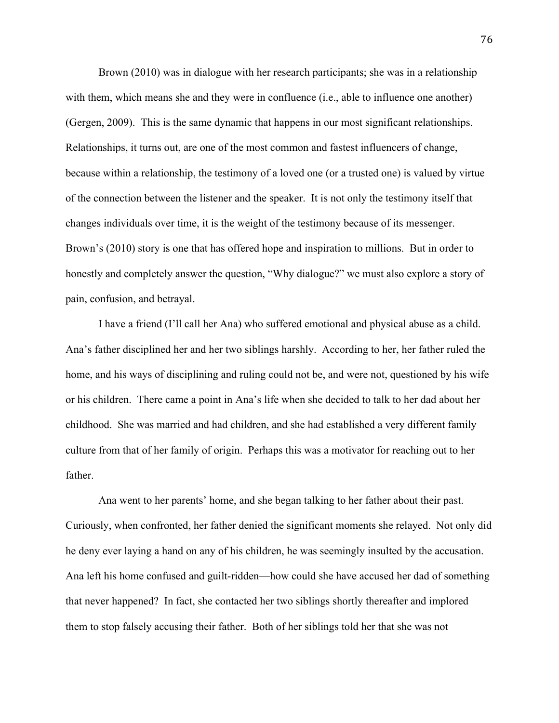Brown (2010) was in dialogue with her research participants; she was in a relationship with them, which means she and they were in confluence (i.e., able to influence one another) (Gergen, 2009). This is the same dynamic that happens in our most significant relationships. Relationships, it turns out, are one of the most common and fastest influencers of change, because within a relationship, the testimony of a loved one (or a trusted one) is valued by virtue of the connection between the listener and the speaker. It is not only the testimony itself that changes individuals over time, it is the weight of the testimony because of its messenger. Brown's (2010) story is one that has offered hope and inspiration to millions. But in order to honestly and completely answer the question, "Why dialogue?" we must also explore a story of pain, confusion, and betrayal.

I have a friend (I'll call her Ana) who suffered emotional and physical abuse as a child. Ana's father disciplined her and her two siblings harshly. According to her, her father ruled the home, and his ways of disciplining and ruling could not be, and were not, questioned by his wife or his children. There came a point in Ana's life when she decided to talk to her dad about her childhood. She was married and had children, and she had established a very different family culture from that of her family of origin. Perhaps this was a motivator for reaching out to her father.

Ana went to her parents' home, and she began talking to her father about their past. Curiously, when confronted, her father denied the significant moments she relayed. Not only did he deny ever laying a hand on any of his children, he was seemingly insulted by the accusation. Ana left his home confused and guilt-ridden—how could she have accused her dad of something that never happened? In fact, she contacted her two siblings shortly thereafter and implored them to stop falsely accusing their father. Both of her siblings told her that she was not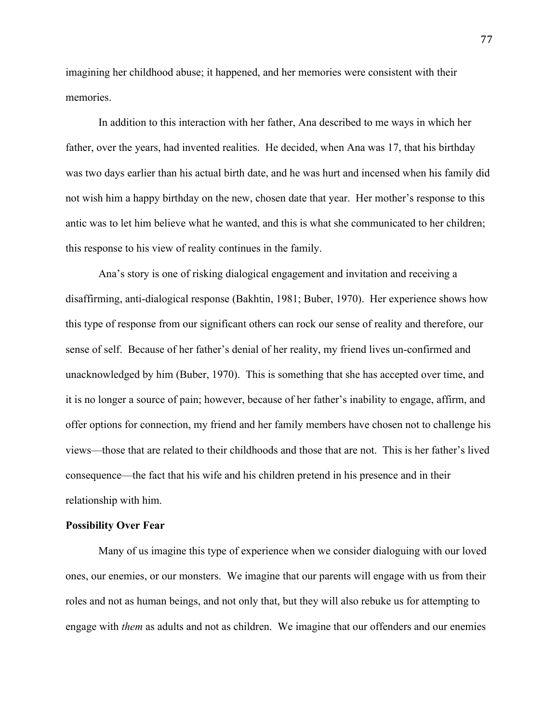imagining her childhood abuse; it happened, and her memories were consistent with their memories.

In addition to this interaction with her father, Ana described to me ways in which her father, over the years, had invented realities. He decided, when Ana was 17, that his birthday was two days earlier than his actual birth date, and he was hurt and incensed when his family did not wish him a happy birthday on the new, chosen date that year. Her mother's response to this antic was to let him believe what he wanted, and this is what she communicated to her children; this response to his view of reality continues in the family.

Ana's story is one of risking dialogical engagement and invitation and receiving a disaffirming, anti-dialogical response (Bakhtin, 1981; Buber, 1970). Her experience shows how this type of response from our significant others can rock our sense of reality and therefore, our sense of self. Because of her father's denial of her reality, my friend lives un-confirmed and unacknowledged by him (Buber, 1970). This is something that she has accepted over time, and it is no longer a source of pain; however, because of her father's inability to engage, affirm, and offer options for connection, my friend and her family members have chosen not to challenge his views—those that are related to their childhoods and those that are not. This is her father's lived consequence—the fact that his wife and his children pretend in his presence and in their relationship with him.

## **Possibility Over Fear**

Many of us imagine this type of experience when we consider dialoguing with our loved ones, our enemies, or our monsters. We imagine that our parents will engage with us from their roles and not as human beings, and not only that, but they will also rebuke us for attempting to engage with *them* as adults and not as children. We imagine that our offenders and our enemies

77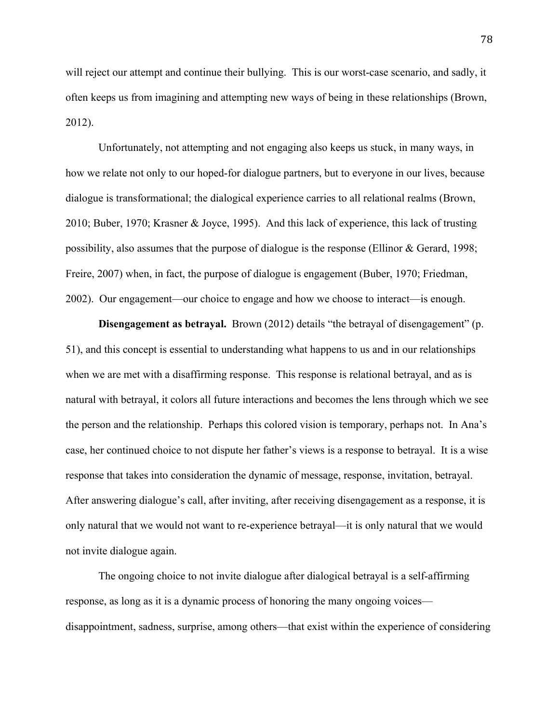will reject our attempt and continue their bullying. This is our worst-case scenario, and sadly, it often keeps us from imagining and attempting new ways of being in these relationships (Brown, 2012).

Unfortunately, not attempting and not engaging also keeps us stuck, in many ways, in how we relate not only to our hoped-for dialogue partners, but to everyone in our lives, because dialogue is transformational; the dialogical experience carries to all relational realms (Brown, 2010; Buber, 1970; Krasner & Joyce, 1995). And this lack of experience, this lack of trusting possibility, also assumes that the purpose of dialogue is the response (Ellinor & Gerard, 1998; Freire, 2007) when, in fact, the purpose of dialogue is engagement (Buber, 1970; Friedman, 2002). Our engagement—our choice to engage and how we choose to interact—is enough.

**Disengagement as betrayal.** Brown (2012) details "the betrayal of disengagement" (p. 51), and this concept is essential to understanding what happens to us and in our relationships when we are met with a disaffirming response. This response is relational betrayal, and as is natural with betrayal, it colors all future interactions and becomes the lens through which we see the person and the relationship. Perhaps this colored vision is temporary, perhaps not. In Ana's case, her continued choice to not dispute her father's views is a response to betrayal. It is a wise response that takes into consideration the dynamic of message, response, invitation, betrayal. After answering dialogue's call, after inviting, after receiving disengagement as a response, it is only natural that we would not want to re-experience betrayal—it is only natural that we would not invite dialogue again.

The ongoing choice to not invite dialogue after dialogical betrayal is a self-affirming response, as long as it is a dynamic process of honoring the many ongoing voices disappointment, sadness, surprise, among others—that exist within the experience of considering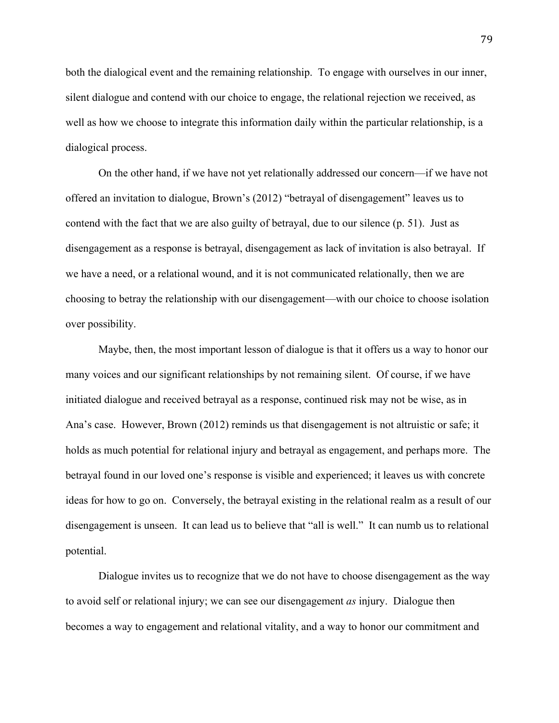both the dialogical event and the remaining relationship. To engage with ourselves in our inner, silent dialogue and contend with our choice to engage, the relational rejection we received, as well as how we choose to integrate this information daily within the particular relationship, is a dialogical process.

On the other hand, if we have not yet relationally addressed our concern—if we have not offered an invitation to dialogue, Brown's (2012) "betrayal of disengagement" leaves us to contend with the fact that we are also guilty of betrayal, due to our silence (p. 51). Just as disengagement as a response is betrayal, disengagement as lack of invitation is also betrayal. If we have a need, or a relational wound, and it is not communicated relationally, then we are choosing to betray the relationship with our disengagement—with our choice to choose isolation over possibility.

Maybe, then, the most important lesson of dialogue is that it offers us a way to honor our many voices and our significant relationships by not remaining silent. Of course, if we have initiated dialogue and received betrayal as a response, continued risk may not be wise, as in Ana's case. However, Brown (2012) reminds us that disengagement is not altruistic or safe; it holds as much potential for relational injury and betrayal as engagement, and perhaps more. The betrayal found in our loved one's response is visible and experienced; it leaves us with concrete ideas for how to go on. Conversely, the betrayal existing in the relational realm as a result of our disengagement is unseen. It can lead us to believe that "all is well." It can numb us to relational potential.

Dialogue invites us to recognize that we do not have to choose disengagement as the way to avoid self or relational injury; we can see our disengagement *as* injury. Dialogue then becomes a way to engagement and relational vitality, and a way to honor our commitment and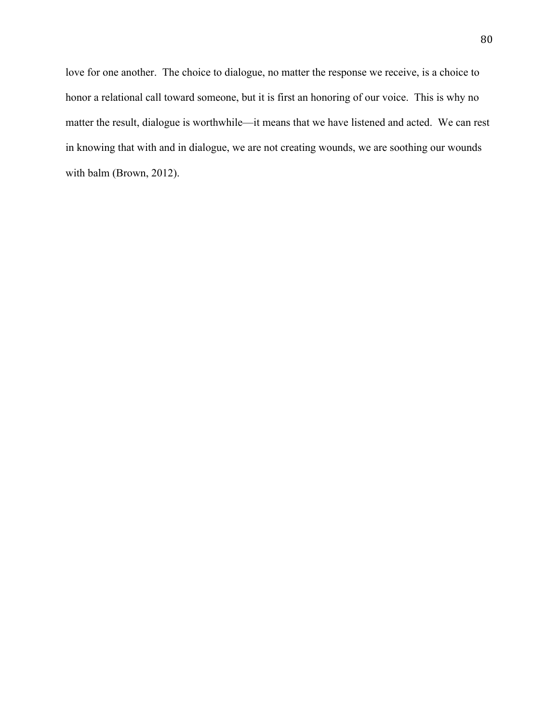love for one another. The choice to dialogue, no matter the response we receive, is a choice to honor a relational call toward someone, but it is first an honoring of our voice. This is why no matter the result, dialogue is worthwhile—it means that we have listened and acted. We can rest in knowing that with and in dialogue, we are not creating wounds, we are soothing our wounds with balm (Brown, 2012).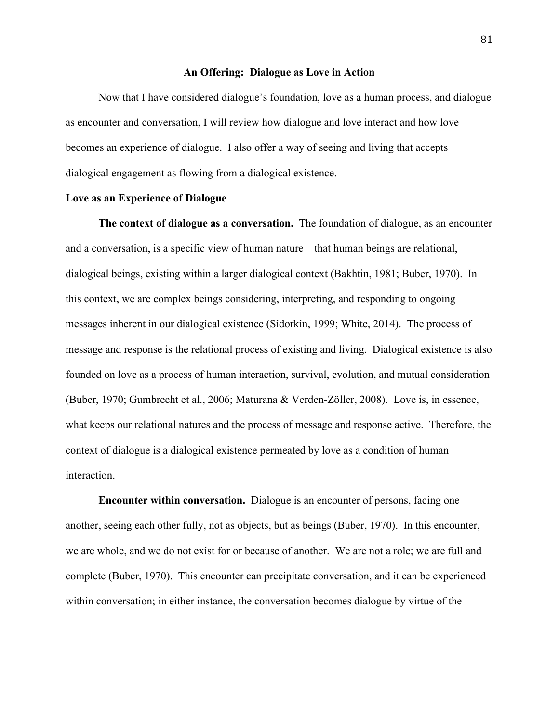## **An Offering: Dialogue as Love in Action**

Now that I have considered dialogue's foundation, love as a human process, and dialogue as encounter and conversation, I will review how dialogue and love interact and how love becomes an experience of dialogue. I also offer a way of seeing and living that accepts dialogical engagement as flowing from a dialogical existence.

## **Love as an Experience of Dialogue**

**The context of dialogue as a conversation.** The foundation of dialogue, as an encounter and a conversation, is a specific view of human nature—that human beings are relational, dialogical beings, existing within a larger dialogical context (Bakhtin, 1981; Buber, 1970). In this context, we are complex beings considering, interpreting, and responding to ongoing messages inherent in our dialogical existence (Sidorkin, 1999; White, 2014). The process of message and response is the relational process of existing and living. Dialogical existence is also founded on love as a process of human interaction, survival, evolution, and mutual consideration (Buber, 1970; Gumbrecht et al., 2006; Maturana & Verden-Zöller, 2008). Love is, in essence, what keeps our relational natures and the process of message and response active. Therefore, the context of dialogue is a dialogical existence permeated by love as a condition of human interaction.

**Encounter within conversation.** Dialogue is an encounter of persons, facing one another, seeing each other fully, not as objects, but as beings (Buber, 1970). In this encounter, we are whole, and we do not exist for or because of another. We are not a role; we are full and complete (Buber, 1970). This encounter can precipitate conversation, and it can be experienced within conversation; in either instance, the conversation becomes dialogue by virtue of the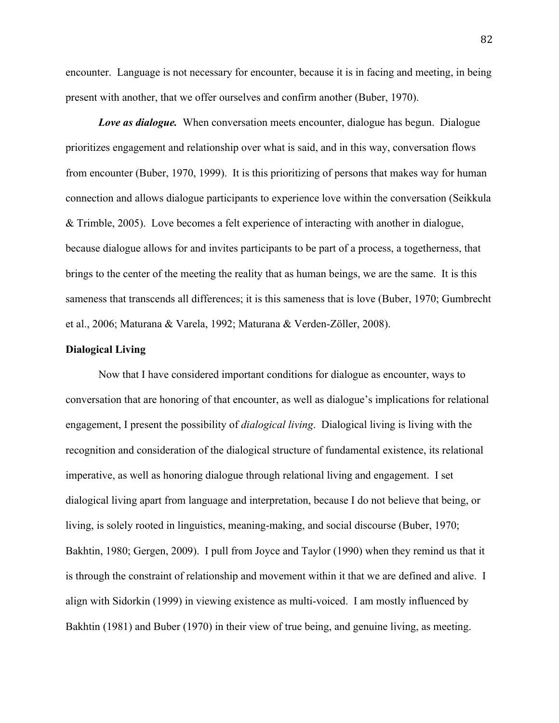encounter. Language is not necessary for encounter, because it is in facing and meeting, in being present with another, that we offer ourselves and confirm another (Buber, 1970).

*Love as dialogue.* When conversation meets encounter, dialogue has begun. Dialogue prioritizes engagement and relationship over what is said, and in this way, conversation flows from encounter (Buber, 1970, 1999). It is this prioritizing of persons that makes way for human connection and allows dialogue participants to experience love within the conversation (Seikkula & Trimble, 2005). Love becomes a felt experience of interacting with another in dialogue, because dialogue allows for and invites participants to be part of a process, a togetherness, that brings to the center of the meeting the reality that as human beings, we are the same. It is this sameness that transcends all differences; it is this sameness that is love (Buber, 1970; Gumbrecht et al., 2006; Maturana & Varela, 1992; Maturana & Verden-Zöller, 2008).

# **Dialogical Living**

Now that I have considered important conditions for dialogue as encounter, ways to conversation that are honoring of that encounter, as well as dialogue's implications for relational engagement, I present the possibility of *dialogical living*. Dialogical living is living with the recognition and consideration of the dialogical structure of fundamental existence, its relational imperative, as well as honoring dialogue through relational living and engagement. I set dialogical living apart from language and interpretation, because I do not believe that being, or living, is solely rooted in linguistics, meaning-making, and social discourse (Buber, 1970; Bakhtin, 1980; Gergen, 2009). I pull from Joyce and Taylor (1990) when they remind us that it is through the constraint of relationship and movement within it that we are defined and alive. I align with Sidorkin (1999) in viewing existence as multi-voiced. I am mostly influenced by Bakhtin (1981) and Buber (1970) in their view of true being, and genuine living, as meeting.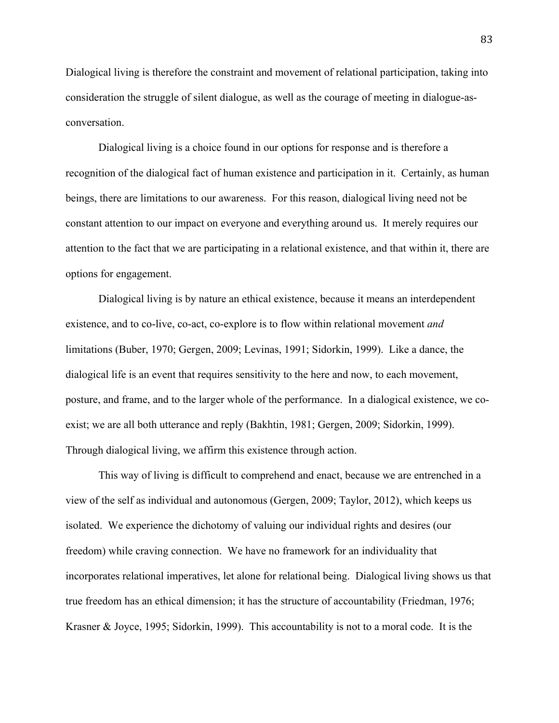Dialogical living is therefore the constraint and movement of relational participation, taking into consideration the struggle of silent dialogue, as well as the courage of meeting in dialogue-asconversation.

Dialogical living is a choice found in our options for response and is therefore a recognition of the dialogical fact of human existence and participation in it. Certainly, as human beings, there are limitations to our awareness. For this reason, dialogical living need not be constant attention to our impact on everyone and everything around us. It merely requires our attention to the fact that we are participating in a relational existence, and that within it, there are options for engagement.

Dialogical living is by nature an ethical existence, because it means an interdependent existence, and to co-live, co-act, co-explore is to flow within relational movement *and*  limitations (Buber, 1970; Gergen, 2009; Levinas, 1991; Sidorkin, 1999). Like a dance, the dialogical life is an event that requires sensitivity to the here and now, to each movement, posture, and frame, and to the larger whole of the performance. In a dialogical existence, we coexist; we are all both utterance and reply (Bakhtin, 1981; Gergen, 2009; Sidorkin, 1999). Through dialogical living, we affirm this existence through action.

This way of living is difficult to comprehend and enact, because we are entrenched in a view of the self as individual and autonomous (Gergen, 2009; Taylor, 2012), which keeps us isolated. We experience the dichotomy of valuing our individual rights and desires (our freedom) while craving connection. We have no framework for an individuality that incorporates relational imperatives, let alone for relational being. Dialogical living shows us that true freedom has an ethical dimension; it has the structure of accountability (Friedman, 1976; Krasner & Joyce, 1995; Sidorkin, 1999). This accountability is not to a moral code. It is the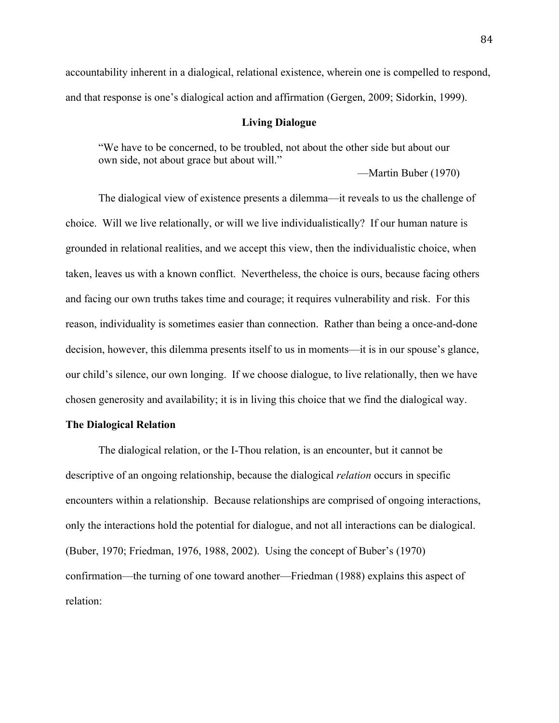accountability inherent in a dialogical, relational existence, wherein one is compelled to respond, and that response is one's dialogical action and affirmation (Gergen, 2009; Sidorkin, 1999).

## **Living Dialogue**

"We have to be concerned, to be troubled, not about the other side but about our own side, not about grace but about will."

—Martin Buber (1970)

The dialogical view of existence presents a dilemma—it reveals to us the challenge of choice. Will we live relationally, or will we live individualistically? If our human nature is grounded in relational realities, and we accept this view, then the individualistic choice, when taken, leaves us with a known conflict. Nevertheless, the choice is ours, because facing others and facing our own truths takes time and courage; it requires vulnerability and risk. For this reason, individuality is sometimes easier than connection. Rather than being a once-and-done decision, however, this dilemma presents itself to us in moments—it is in our spouse's glance, our child's silence, our own longing. If we choose dialogue, to live relationally, then we have chosen generosity and availability; it is in living this choice that we find the dialogical way.

# **The Dialogical Relation**

The dialogical relation, or the I-Thou relation, is an encounter, but it cannot be descriptive of an ongoing relationship, because the dialogical *relation* occurs in specific encounters within a relationship. Because relationships are comprised of ongoing interactions, only the interactions hold the potential for dialogue, and not all interactions can be dialogical. (Buber, 1970; Friedman, 1976, 1988, 2002). Using the concept of Buber's (1970) confirmation—the turning of one toward another—Friedman (1988) explains this aspect of relation: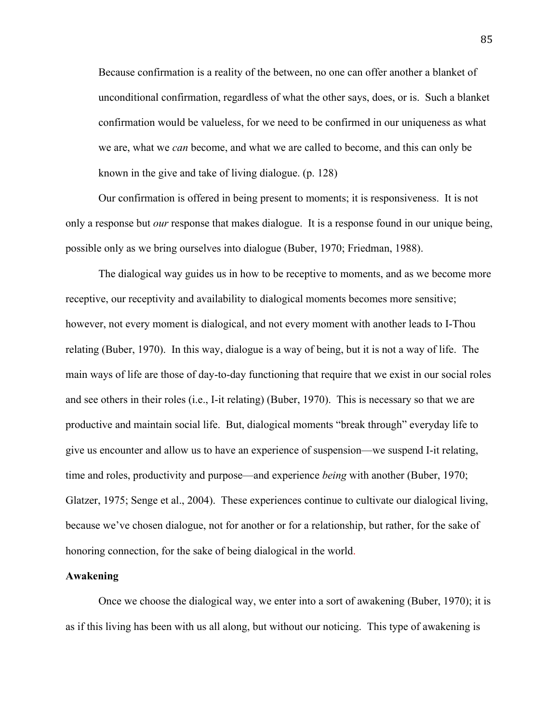Because confirmation is a reality of the between, no one can offer another a blanket of unconditional confirmation, regardless of what the other says, does, or is. Such a blanket confirmation would be valueless, for we need to be confirmed in our uniqueness as what we are, what we *can* become, and what we are called to become, and this can only be known in the give and take of living dialogue. (p. 128)

Our confirmation is offered in being present to moments; it is responsiveness. It is not only a response but *our* response that makes dialogue. It is a response found in our unique being, possible only as we bring ourselves into dialogue (Buber, 1970; Friedman, 1988).

The dialogical way guides us in how to be receptive to moments, and as we become more receptive, our receptivity and availability to dialogical moments becomes more sensitive; however, not every moment is dialogical, and not every moment with another leads to I-Thou relating (Buber, 1970). In this way, dialogue is a way of being, but it is not a way of life. The main ways of life are those of day-to-day functioning that require that we exist in our social roles and see others in their roles (i.e., I-it relating) (Buber, 1970). This is necessary so that we are productive and maintain social life. But, dialogical moments "break through" everyday life to give us encounter and allow us to have an experience of suspension—we suspend I-it relating, time and roles, productivity and purpose—and experience *being* with another (Buber, 1970; Glatzer, 1975; Senge et al., 2004). These experiences continue to cultivate our dialogical living, because we've chosen dialogue, not for another or for a relationship, but rather, for the sake of honoring connection, for the sake of being dialogical in the world.

#### **Awakening**

Once we choose the dialogical way, we enter into a sort of awakening (Buber, 1970); it is as if this living has been with us all along, but without our noticing. This type of awakening is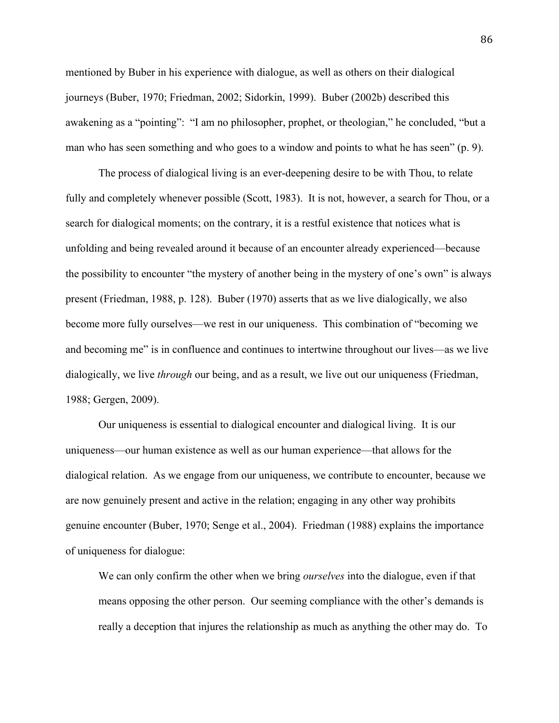mentioned by Buber in his experience with dialogue, as well as others on their dialogical journeys (Buber, 1970; Friedman, 2002; Sidorkin, 1999). Buber (2002b) described this awakening as a "pointing": "I am no philosopher, prophet, or theologian," he concluded, "but a man who has seen something and who goes to a window and points to what he has seen" (p. 9).

The process of dialogical living is an ever-deepening desire to be with Thou, to relate fully and completely whenever possible (Scott, 1983). It is not, however, a search for Thou, or a search for dialogical moments; on the contrary, it is a restful existence that notices what is unfolding and being revealed around it because of an encounter already experienced—because the possibility to encounter "the mystery of another being in the mystery of one's own" is always present (Friedman, 1988, p. 128). Buber (1970) asserts that as we live dialogically, we also become more fully ourselves—we rest in our uniqueness. This combination of "becoming we and becoming me" is in confluence and continues to intertwine throughout our lives—as we live dialogically, we live *through* our being, and as a result, we live out our uniqueness (Friedman, 1988; Gergen, 2009).

Our uniqueness is essential to dialogical encounter and dialogical living. It is our uniqueness—our human existence as well as our human experience—that allows for the dialogical relation. As we engage from our uniqueness, we contribute to encounter, because we are now genuinely present and active in the relation; engaging in any other way prohibits genuine encounter (Buber, 1970; Senge et al., 2004). Friedman (1988) explains the importance of uniqueness for dialogue:

We can only confirm the other when we bring *ourselves* into the dialogue, even if that means opposing the other person. Our seeming compliance with the other's demands is really a deception that injures the relationship as much as anything the other may do. To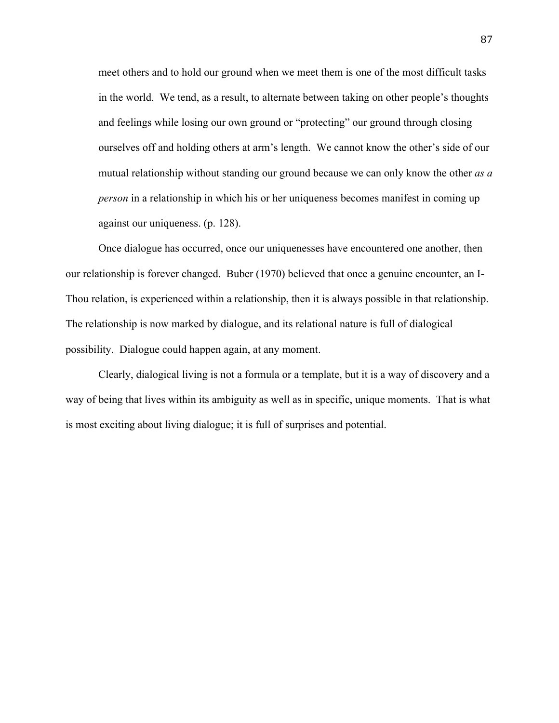meet others and to hold our ground when we meet them is one of the most difficult tasks in the world. We tend, as a result, to alternate between taking on other people's thoughts and feelings while losing our own ground or "protecting" our ground through closing ourselves off and holding others at arm's length. We cannot know the other's side of our mutual relationship without standing our ground because we can only know the other *as a person* in a relationship in which his or her uniqueness becomes manifest in coming up against our uniqueness. (p. 128).

Once dialogue has occurred, once our uniquenesses have encountered one another, then our relationship is forever changed. Buber (1970) believed that once a genuine encounter, an I-Thou relation, is experienced within a relationship, then it is always possible in that relationship. The relationship is now marked by dialogue, and its relational nature is full of dialogical possibility. Dialogue could happen again, at any moment.

Clearly, dialogical living is not a formula or a template, but it is a way of discovery and a way of being that lives within its ambiguity as well as in specific, unique moments. That is what is most exciting about living dialogue; it is full of surprises and potential.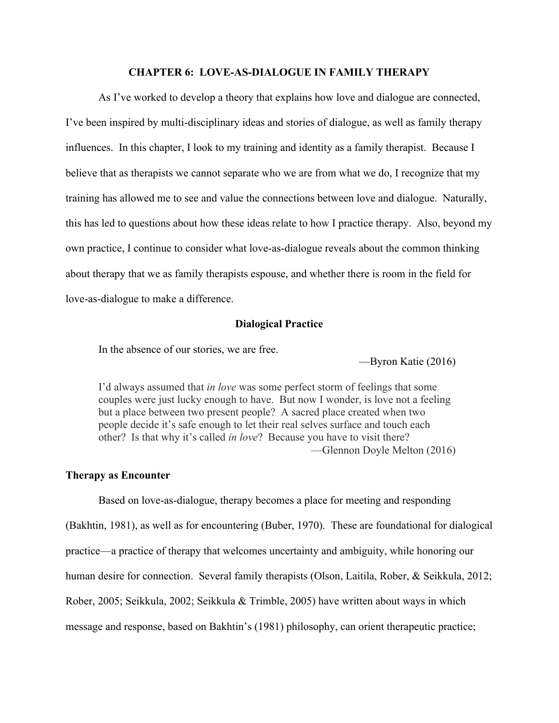# **CHAPTER 6: LOVE-AS-DIALOGUE IN FAMILY THERAPY**

As I've worked to develop a theory that explains how love and dialogue are connected, I've been inspired by multi-disciplinary ideas and stories of dialogue, as well as family therapy influences. In this chapter, I look to my training and identity as a family therapist. Because I believe that as therapists we cannot separate who we are from what we do, I recognize that my training has allowed me to see and value the connections between love and dialogue. Naturally, this has led to questions about how these ideas relate to how I practice therapy. Also, beyond my own practice, I continue to consider what love-as-dialogue reveals about the common thinking about therapy that we as family therapists espouse, and whether there is room in the field for love-as-dialogue to make a difference.

## **Dialogical Practice**

In the absence of our stories, we are free.

—Byron Katie (2016)

I'd always assumed that *in love* was some perfect storm of feelings that some couples were just lucky enough to have. But now I wonder, is love not a feeling but a place between two present people? A sacred place created when two people decide it's safe enough to let their real selves surface and touch each other? Is that why it's called *in love*? Because you have to visit there? —Glennon Doyle Melton (2016)

#### **Therapy as Encounter**

Based on love-as-dialogue, therapy becomes a place for meeting and responding (Bakhtin, 1981), as well as for encountering (Buber, 1970). These are foundational for dialogical practice—a practice of therapy that welcomes uncertainty and ambiguity, while honoring our human desire for connection. Several family therapists (Olson, Laitila, Rober, & Seikkula, 2012; Rober, 2005; Seikkula, 2002; Seikkula & Trimble, 2005) have written about ways in which message and response, based on Bakhtin's (1981) philosophy, can orient therapeutic practice;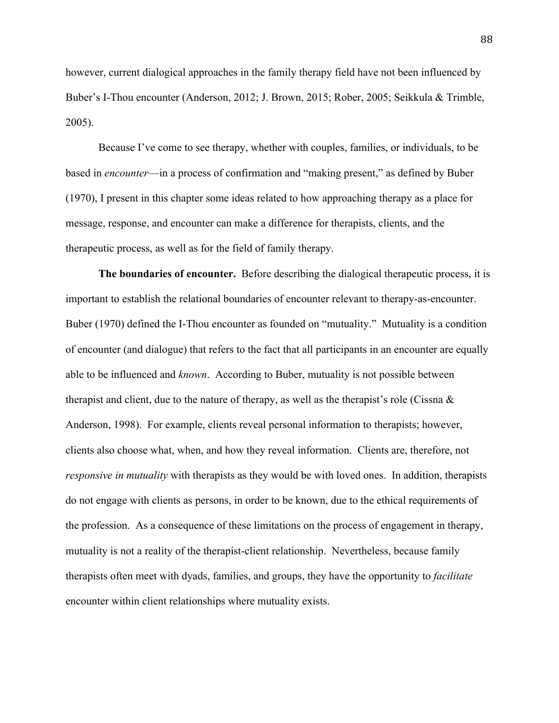however, current dialogical approaches in the family therapy field have not been influenced by Buber's I-Thou encounter (Anderson, 2012; J. Brown, 2015; Rober, 2005; Seikkula & Trimble, 2005).

Because I've come to see therapy, whether with couples, families, or individuals, to be based in *encounter*—in a process of confirmation and "making present," as defined by Buber (1970), I present in this chapter some ideas related to how approaching therapy as a place for message, response, and encounter can make a difference for therapists, clients, and the therapeutic process, as well as for the field of family therapy.

**The boundaries of encounter.** Before describing the dialogical therapeutic process, it is important to establish the relational boundaries of encounter relevant to therapy-as-encounter. Buber (1970) defined the I-Thou encounter as founded on "mutuality." Mutuality is a condition of encounter (and dialogue) that refers to the fact that all participants in an encounter are equally able to be influenced and *known*. According to Buber, mutuality is not possible between therapist and client, due to the nature of therapy, as well as the therapist's role (Cissna  $\&$ Anderson, 1998). For example, clients reveal personal information to therapists; however, clients also choose what, when, and how they reveal information. Clients are, therefore, not *responsive in mutuality* with therapists as they would be with loved ones. In addition, therapists do not engage with clients as persons, in order to be known, due to the ethical requirements of the profession. As a consequence of these limitations on the process of engagement in therapy, mutuality is not a reality of the therapist-client relationship. Nevertheless, because family therapists often meet with dyads, families, and groups, they have the opportunity to *facilitate* encounter within client relationships where mutuality exists.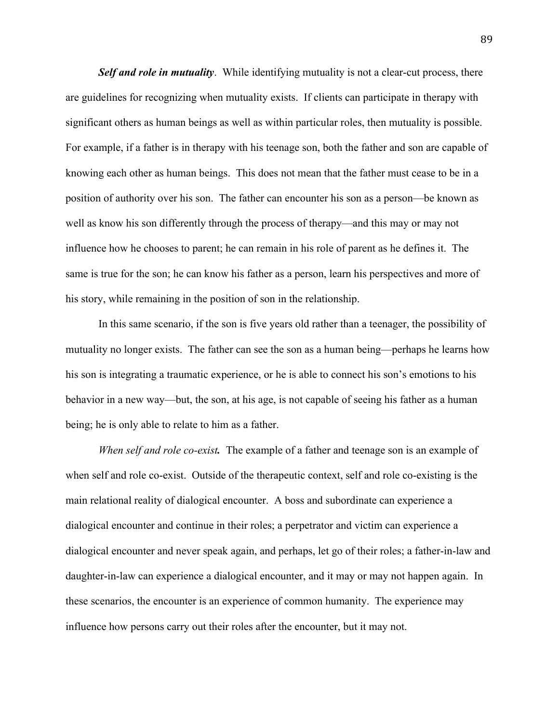*Self and role in mutuality*. While identifying mutuality is not a clear-cut process, there are guidelines for recognizing when mutuality exists. If clients can participate in therapy with significant others as human beings as well as within particular roles, then mutuality is possible. For example, if a father is in therapy with his teenage son, both the father and son are capable of knowing each other as human beings. This does not mean that the father must cease to be in a position of authority over his son. The father can encounter his son as a person—be known as well as know his son differently through the process of therapy—and this may or may not influence how he chooses to parent; he can remain in his role of parent as he defines it. The same is true for the son; he can know his father as a person, learn his perspectives and more of his story, while remaining in the position of son in the relationship.

In this same scenario, if the son is five years old rather than a teenager, the possibility of mutuality no longer exists. The father can see the son as a human being—perhaps he learns how his son is integrating a traumatic experience, or he is able to connect his son's emotions to his behavior in a new way—but, the son, at his age, is not capable of seeing his father as a human being; he is only able to relate to him as a father.

*When self and role co-exist.* The example of a father and teenage son is an example of when self and role co-exist. Outside of the therapeutic context, self and role co-existing is the main relational reality of dialogical encounter. A boss and subordinate can experience a dialogical encounter and continue in their roles; a perpetrator and victim can experience a dialogical encounter and never speak again, and perhaps, let go of their roles; a father-in-law and daughter-in-law can experience a dialogical encounter, and it may or may not happen again. In these scenarios, the encounter is an experience of common humanity. The experience may influence how persons carry out their roles after the encounter, but it may not.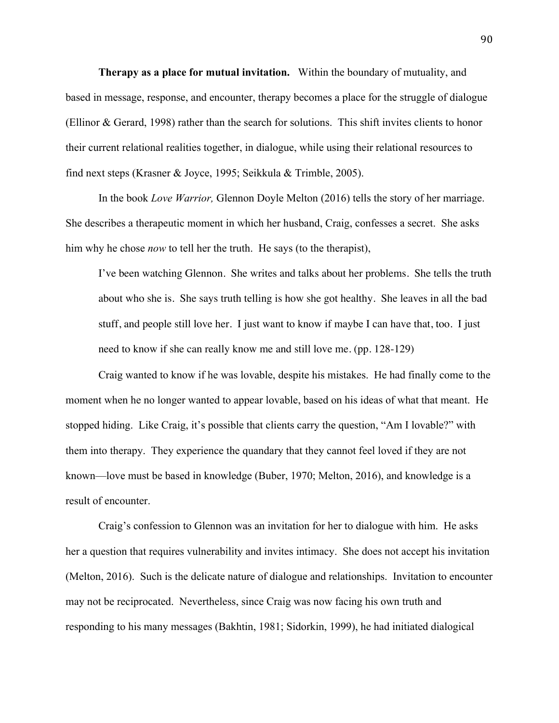**Therapy as a place for mutual invitation.** Within the boundary of mutuality, and based in message, response, and encounter, therapy becomes a place for the struggle of dialogue (Ellinor & Gerard, 1998) rather than the search for solutions. This shift invites clients to honor their current relational realities together, in dialogue, while using their relational resources to find next steps (Krasner & Joyce, 1995; Seikkula & Trimble, 2005).

In the book *Love Warrior,* Glennon Doyle Melton (2016) tells the story of her marriage. She describes a therapeutic moment in which her husband, Craig, confesses a secret. She asks him why he chose *now* to tell her the truth. He says (to the therapist),

I've been watching Glennon. She writes and talks about her problems. She tells the truth about who she is. She says truth telling is how she got healthy. She leaves in all the bad stuff, and people still love her. I just want to know if maybe I can have that, too. I just need to know if she can really know me and still love me. (pp. 128-129)

Craig wanted to know if he was lovable, despite his mistakes. He had finally come to the moment when he no longer wanted to appear lovable, based on his ideas of what that meant. He stopped hiding. Like Craig, it's possible that clients carry the question, "Am I lovable?" with them into therapy. They experience the quandary that they cannot feel loved if they are not known—love must be based in knowledge (Buber, 1970; Melton, 2016), and knowledge is a result of encounter.

Craig's confession to Glennon was an invitation for her to dialogue with him. He asks her a question that requires vulnerability and invites intimacy. She does not accept his invitation (Melton, 2016). Such is the delicate nature of dialogue and relationships. Invitation to encounter may not be reciprocated. Nevertheless, since Craig was now facing his own truth and responding to his many messages (Bakhtin, 1981; Sidorkin, 1999), he had initiated dialogical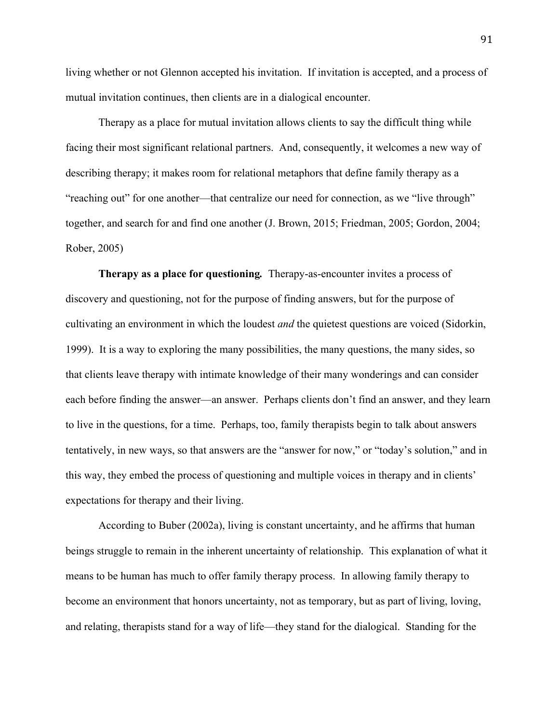living whether or not Glennon accepted his invitation. If invitation is accepted, and a process of mutual invitation continues, then clients are in a dialogical encounter.

Therapy as a place for mutual invitation allows clients to say the difficult thing while facing their most significant relational partners. And, consequently, it welcomes a new way of describing therapy; it makes room for relational metaphors that define family therapy as a "reaching out" for one another—that centralize our need for connection, as we "live through" together, and search for and find one another (J. Brown, 2015; Friedman, 2005; Gordon, 2004; Rober, 2005)

**Therapy as a place for questioning***.*Therapy-as-encounter invites a process of discovery and questioning, not for the purpose of finding answers, but for the purpose of cultivating an environment in which the loudest *and* the quietest questions are voiced (Sidorkin, 1999). It is a way to exploring the many possibilities, the many questions, the many sides, so that clients leave therapy with intimate knowledge of their many wonderings and can consider each before finding the answer—an answer. Perhaps clients don't find an answer, and they learn to live in the questions, for a time. Perhaps, too, family therapists begin to talk about answers tentatively, in new ways, so that answers are the "answer for now," or "today's solution," and in this way, they embed the process of questioning and multiple voices in therapy and in clients' expectations for therapy and their living.

According to Buber (2002a), living is constant uncertainty, and he affirms that human beings struggle to remain in the inherent uncertainty of relationship. This explanation of what it means to be human has much to offer family therapy process. In allowing family therapy to become an environment that honors uncertainty, not as temporary, but as part of living, loving, and relating, therapists stand for a way of life—they stand for the dialogical. Standing for the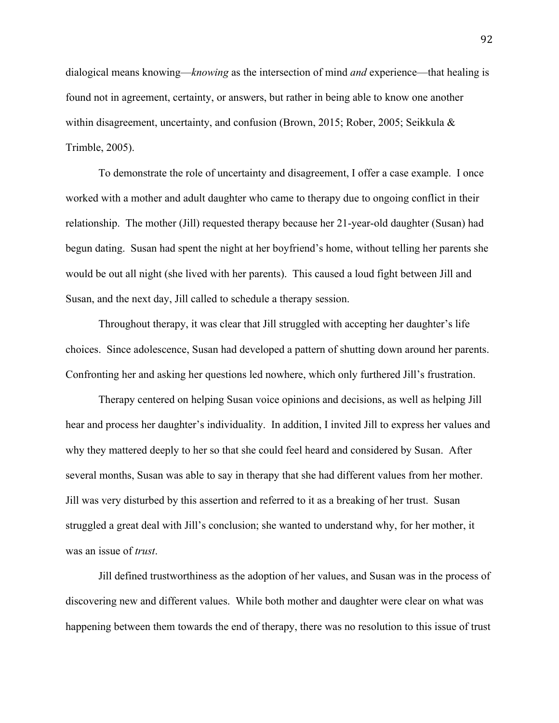dialogical means knowing—*knowing* as the intersection of mind *and* experience—that healing is found not in agreement, certainty, or answers, but rather in being able to know one another within disagreement, uncertainty, and confusion (Brown, 2015; Rober, 2005; Seikkula & Trimble, 2005).

To demonstrate the role of uncertainty and disagreement, I offer a case example. I once worked with a mother and adult daughter who came to therapy due to ongoing conflict in their relationship. The mother (Jill) requested therapy because her 21-year-old daughter (Susan) had begun dating. Susan had spent the night at her boyfriend's home, without telling her parents she would be out all night (she lived with her parents). This caused a loud fight between Jill and Susan, and the next day, Jill called to schedule a therapy session.

Throughout therapy, it was clear that Jill struggled with accepting her daughter's life choices. Since adolescence, Susan had developed a pattern of shutting down around her parents. Confronting her and asking her questions led nowhere, which only furthered Jill's frustration.

Therapy centered on helping Susan voice opinions and decisions, as well as helping Jill hear and process her daughter's individuality. In addition, I invited Jill to express her values and why they mattered deeply to her so that she could feel heard and considered by Susan. After several months, Susan was able to say in therapy that she had different values from her mother. Jill was very disturbed by this assertion and referred to it as a breaking of her trust. Susan struggled a great deal with Jill's conclusion; she wanted to understand why, for her mother, it was an issue of *trust*.

Jill defined trustworthiness as the adoption of her values, and Susan was in the process of discovering new and different values. While both mother and daughter were clear on what was happening between them towards the end of therapy, there was no resolution to this issue of trust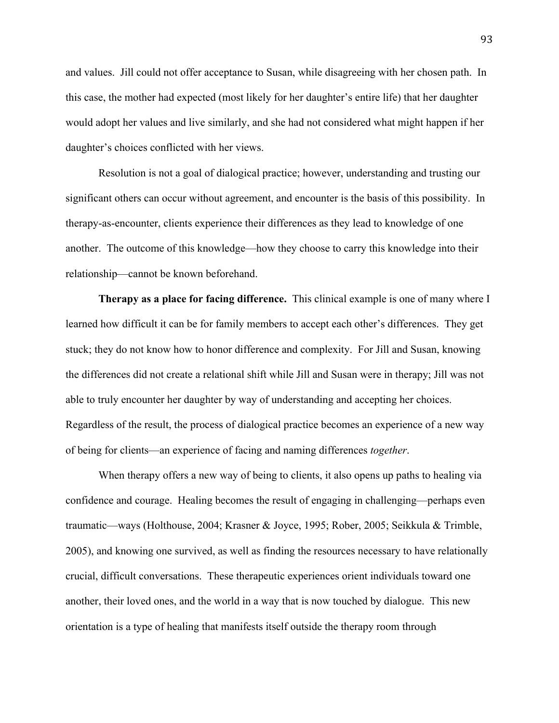and values. Jill could not offer acceptance to Susan, while disagreeing with her chosen path. In this case, the mother had expected (most likely for her daughter's entire life) that her daughter would adopt her values and live similarly, and she had not considered what might happen if her daughter's choices conflicted with her views.

Resolution is not a goal of dialogical practice; however, understanding and trusting our significant others can occur without agreement, and encounter is the basis of this possibility. In therapy-as-encounter, clients experience their differences as they lead to knowledge of one another. The outcome of this knowledge—how they choose to carry this knowledge into their relationship—cannot be known beforehand.

**Therapy as a place for facing difference.** This clinical example is one of many where I learned how difficult it can be for family members to accept each other's differences. They get stuck; they do not know how to honor difference and complexity. For Jill and Susan, knowing the differences did not create a relational shift while Jill and Susan were in therapy; Jill was not able to truly encounter her daughter by way of understanding and accepting her choices. Regardless of the result, the process of dialogical practice becomes an experience of a new way of being for clients—an experience of facing and naming differences *together*.

When therapy offers a new way of being to clients, it also opens up paths to healing via confidence and courage. Healing becomes the result of engaging in challenging—perhaps even traumatic—ways (Holthouse, 2004; Krasner & Joyce, 1995; Rober, 2005; Seikkula & Trimble, 2005), and knowing one survived, as well as finding the resources necessary to have relationally crucial, difficult conversations. These therapeutic experiences orient individuals toward one another, their loved ones, and the world in a way that is now touched by dialogue. This new orientation is a type of healing that manifests itself outside the therapy room through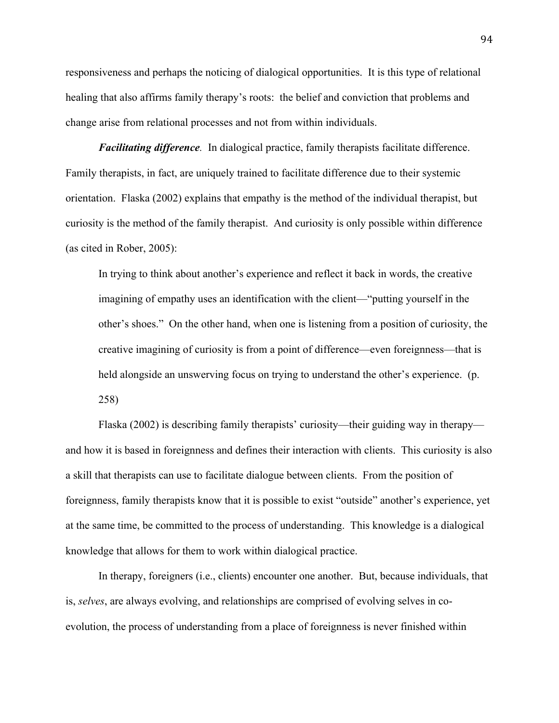responsiveness and perhaps the noticing of dialogical opportunities. It is this type of relational healing that also affirms family therapy's roots: the belief and conviction that problems and change arise from relational processes and not from within individuals.

*Facilitating difference.* In dialogical practice, family therapists facilitate difference. Family therapists, in fact, are uniquely trained to facilitate difference due to their systemic orientation. Flaska (2002) explains that empathy is the method of the individual therapist, but curiosity is the method of the family therapist. And curiosity is only possible within difference (as cited in Rober, 2005):

In trying to think about another's experience and reflect it back in words, the creative imagining of empathy uses an identification with the client—"putting yourself in the other's shoes." On the other hand, when one is listening from a position of curiosity, the creative imagining of curiosity is from a point of difference—even foreignness—that is held alongside an unswerving focus on trying to understand the other's experience. (p. 258)

Flaska (2002) is describing family therapists' curiosity—their guiding way in therapy and how it is based in foreignness and defines their interaction with clients. This curiosity is also a skill that therapists can use to facilitate dialogue between clients. From the position of foreignness, family therapists know that it is possible to exist "outside" another's experience, yet at the same time, be committed to the process of understanding. This knowledge is a dialogical knowledge that allows for them to work within dialogical practice.

In therapy, foreigners (i.e., clients) encounter one another. But, because individuals, that is, *selves*, are always evolving, and relationships are comprised of evolving selves in coevolution, the process of understanding from a place of foreignness is never finished within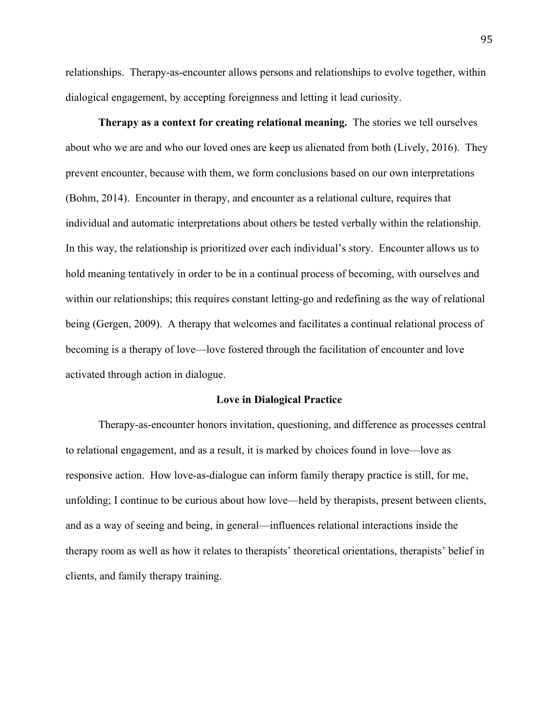relationships. Therapy-as-encounter allows persons and relationships to evolve together, within dialogical engagement, by accepting foreignness and letting it lead curiosity.

**Therapy as a context for creating relational meaning.** The stories we tell ourselves about who we are and who our loved ones are keep us alienated from both (Lively, 2016). They prevent encounter, because with them, we form conclusions based on our own interpretations (Bohm, 2014). Encounter in therapy, and encounter as a relational culture, requires that individual and automatic interpretations about others be tested verbally within the relationship. In this way, the relationship is prioritized over each individual's story. Encounter allows us to hold meaning tentatively in order to be in a continual process of becoming, with ourselves and within our relationships; this requires constant letting-go and redefining as the way of relational being (Gergen, 2009). A therapy that welcomes and facilitates a continual relational process of becoming is a therapy of love—love fostered through the facilitation of encounter and love activated through action in dialogue.

#### **Love in Dialogical Practice**

Therapy-as-encounter honors invitation, questioning, and difference as processes central to relational engagement, and as a result, it is marked by choices found in love—love as responsive action. How love-as-dialogue can inform family therapy practice is still, for me, unfolding; I continue to be curious about how love—held by therapists, present between clients, and as a way of seeing and being, in general—influences relational interactions inside the therapy room as well as how it relates to therapists' theoretical orientations, therapists' belief in clients, and family therapy training.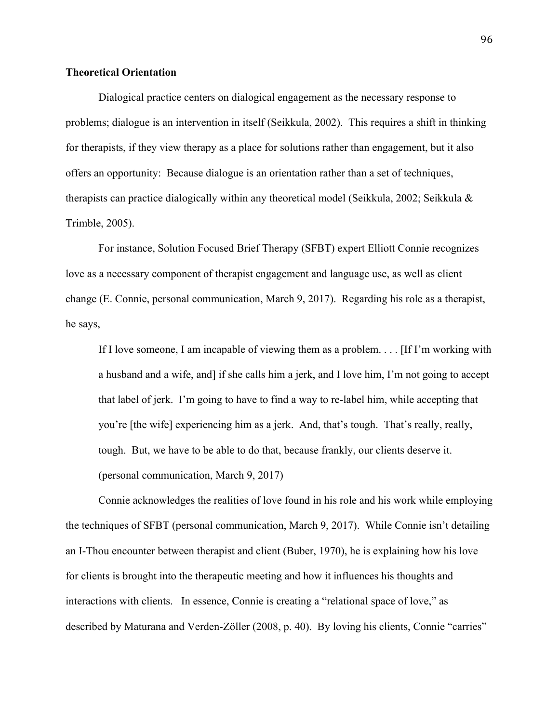# **Theoretical Orientation**

Dialogical practice centers on dialogical engagement as the necessary response to problems; dialogue is an intervention in itself (Seikkula, 2002). This requires a shift in thinking for therapists, if they view therapy as a place for solutions rather than engagement, but it also offers an opportunity: Because dialogue is an orientation rather than a set of techniques, therapists can practice dialogically within any theoretical model (Seikkula, 2002; Seikkula & Trimble, 2005).

For instance, Solution Focused Brief Therapy (SFBT) expert Elliott Connie recognizes love as a necessary component of therapist engagement and language use, as well as client change (E. Connie, personal communication, March 9, 2017). Regarding his role as a therapist, he says,

If I love someone, I am incapable of viewing them as a problem. . . . [If I'm working with a husband and a wife, and] if she calls him a jerk, and I love him, I'm not going to accept that label of jerk. I'm going to have to find a way to re-label him, while accepting that you're [the wife] experiencing him as a jerk. And, that's tough. That's really, really, tough. But, we have to be able to do that, because frankly, our clients deserve it. (personal communication, March 9, 2017)

Connie acknowledges the realities of love found in his role and his work while employing the techniques of SFBT (personal communication, March 9, 2017). While Connie isn't detailing an I-Thou encounter between therapist and client (Buber, 1970), he is explaining how his love for clients is brought into the therapeutic meeting and how it influences his thoughts and interactions with clients. In essence, Connie is creating a "relational space of love," as described by Maturana and Verden-Zöller (2008, p. 40). By loving his clients, Connie "carries"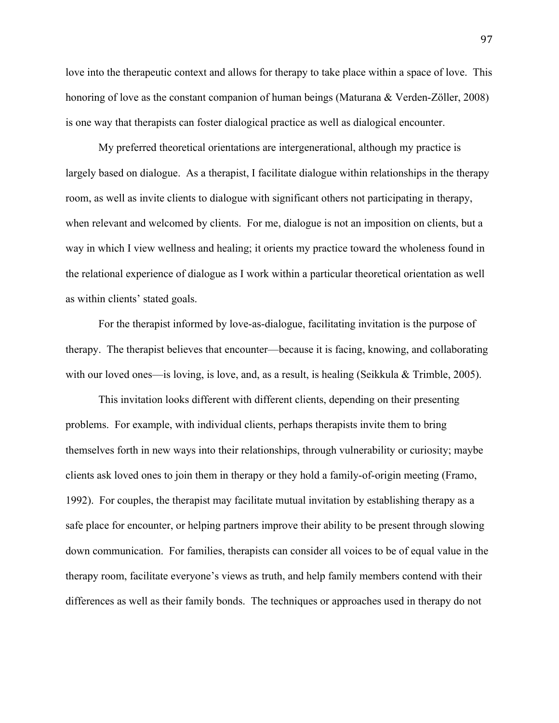love into the therapeutic context and allows for therapy to take place within a space of love. This honoring of love as the constant companion of human beings (Maturana & Verden-Zöller, 2008) is one way that therapists can foster dialogical practice as well as dialogical encounter.

My preferred theoretical orientations are intergenerational, although my practice is largely based on dialogue. As a therapist, I facilitate dialogue within relationships in the therapy room, as well as invite clients to dialogue with significant others not participating in therapy, when relevant and welcomed by clients. For me, dialogue is not an imposition on clients, but a way in which I view wellness and healing; it orients my practice toward the wholeness found in the relational experience of dialogue as I work within a particular theoretical orientation as well as within clients' stated goals.

For the therapist informed by love-as-dialogue, facilitating invitation is the purpose of therapy. The therapist believes that encounter—because it is facing, knowing, and collaborating with our loved ones—is loving, is love, and, as a result, is healing (Seikkula & Trimble, 2005).

This invitation looks different with different clients, depending on their presenting problems. For example, with individual clients, perhaps therapists invite them to bring themselves forth in new ways into their relationships, through vulnerability or curiosity; maybe clients ask loved ones to join them in therapy or they hold a family-of-origin meeting (Framo, 1992). For couples, the therapist may facilitate mutual invitation by establishing therapy as a safe place for encounter, or helping partners improve their ability to be present through slowing down communication. For families, therapists can consider all voices to be of equal value in the therapy room, facilitate everyone's views as truth, and help family members contend with their differences as well as their family bonds. The techniques or approaches used in therapy do not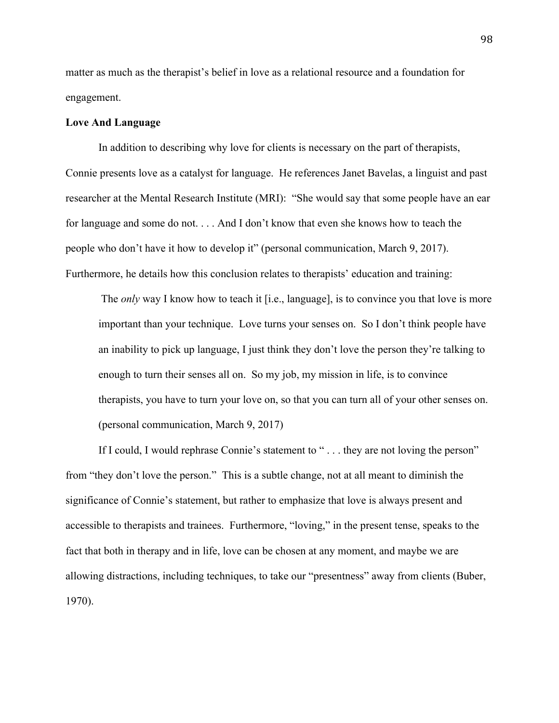matter as much as the therapist's belief in love as a relational resource and a foundation for engagement.

# **Love And Language**

In addition to describing why love for clients is necessary on the part of therapists, Connie presents love as a catalyst for language. He references Janet Bavelas, a linguist and past researcher at the Mental Research Institute (MRI): "She would say that some people have an ear for language and some do not. . . . And I don't know that even she knows how to teach the people who don't have it how to develop it" (personal communication, March 9, 2017). Furthermore, he details how this conclusion relates to therapists' education and training:

The *only* way I know how to teach it [i.e., language], is to convince you that love is more important than your technique. Love turns your senses on. So I don't think people have an inability to pick up language, I just think they don't love the person they're talking to enough to turn their senses all on. So my job, my mission in life, is to convince therapists, you have to turn your love on, so that you can turn all of your other senses on. (personal communication, March 9, 2017)

If I could, I would rephrase Connie's statement to "... they are not loving the person" from "they don't love the person." This is a subtle change, not at all meant to diminish the significance of Connie's statement, but rather to emphasize that love is always present and accessible to therapists and trainees. Furthermore, "loving," in the present tense, speaks to the fact that both in therapy and in life, love can be chosen at any moment, and maybe we are allowing distractions, including techniques, to take our "presentness" away from clients (Buber, 1970).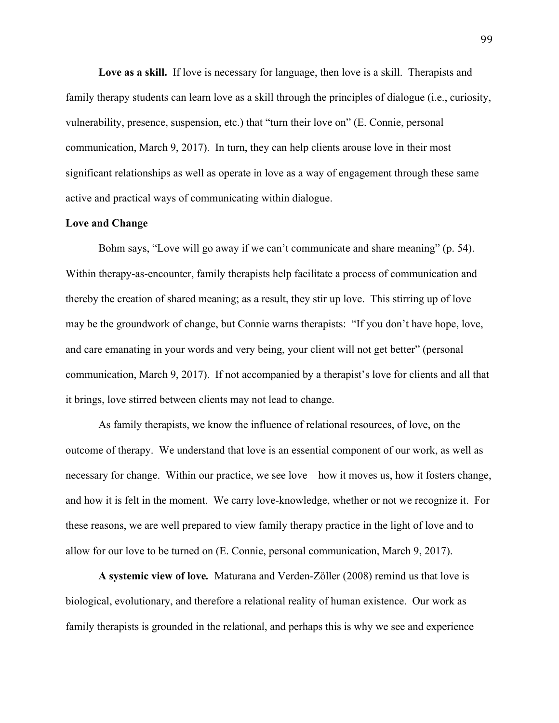Love as a skill. If love is necessary for language, then love is a skill. Therapists and family therapy students can learn love as a skill through the principles of dialogue (i.e., curiosity, vulnerability, presence, suspension, etc.) that "turn their love on" (E. Connie, personal communication, March 9, 2017). In turn, they can help clients arouse love in their most significant relationships as well as operate in love as a way of engagement through these same active and practical ways of communicating within dialogue.

## **Love and Change**

Bohm says, "Love will go away if we can't communicate and share meaning" (p. 54). Within therapy-as-encounter, family therapists help facilitate a process of communication and thereby the creation of shared meaning; as a result, they stir up love. This stirring up of love may be the groundwork of change, but Connie warns therapists: "If you don't have hope, love, and care emanating in your words and very being, your client will not get better" (personal communication, March 9, 2017). If not accompanied by a therapist's love for clients and all that it brings, love stirred between clients may not lead to change.

As family therapists, we know the influence of relational resources, of love, on the outcome of therapy. We understand that love is an essential component of our work, as well as necessary for change. Within our practice, we see love—how it moves us, how it fosters change, and how it is felt in the moment. We carry love-knowledge, whether or not we recognize it. For these reasons, we are well prepared to view family therapy practice in the light of love and to allow for our love to be turned on (E. Connie, personal communication, March 9, 2017).

**A systemic view of love***.*Maturana and Verden-Zöller (2008) remind us that love is biological, evolutionary, and therefore a relational reality of human existence. Our work as family therapists is grounded in the relational, and perhaps this is why we see and experience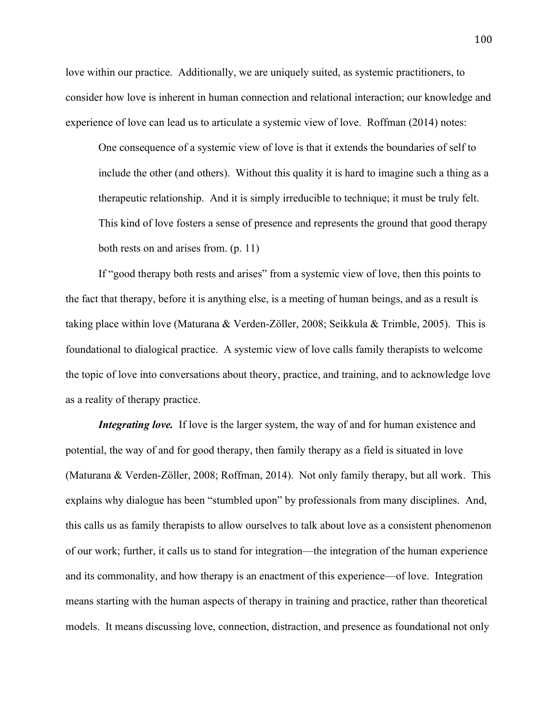love within our practice. Additionally, we are uniquely suited, as systemic practitioners, to consider how love is inherent in human connection and relational interaction; our knowledge and experience of love can lead us to articulate a systemic view of love. Roffman (2014) notes:

One consequence of a systemic view of love is that it extends the boundaries of self to include the other (and others). Without this quality it is hard to imagine such a thing as a therapeutic relationship. And it is simply irreducible to technique; it must be truly felt. This kind of love fosters a sense of presence and represents the ground that good therapy both rests on and arises from. (p. 11)

If "good therapy both rests and arises" from a systemic view of love, then this points to the fact that therapy, before it is anything else, is a meeting of human beings, and as a result is taking place within love (Maturana & Verden-Zöller, 2008; Seikkula & Trimble, 2005). This is foundational to dialogical practice. A systemic view of love calls family therapists to welcome the topic of love into conversations about theory, practice, and training, and to acknowledge love as a reality of therapy practice.

*Integrating love.* If love is the larger system, the way of and for human existence and potential, the way of and for good therapy, then family therapy as a field is situated in love (Maturana & Verden-Zöller, 2008; Roffman, 2014). Not only family therapy, but all work. This explains why dialogue has been "stumbled upon" by professionals from many disciplines. And, this calls us as family therapists to allow ourselves to talk about love as a consistent phenomenon of our work; further, it calls us to stand for integration—the integration of the human experience and its commonality, and how therapy is an enactment of this experience—of love. Integration means starting with the human aspects of therapy in training and practice, rather than theoretical models. It means discussing love, connection, distraction, and presence as foundational not only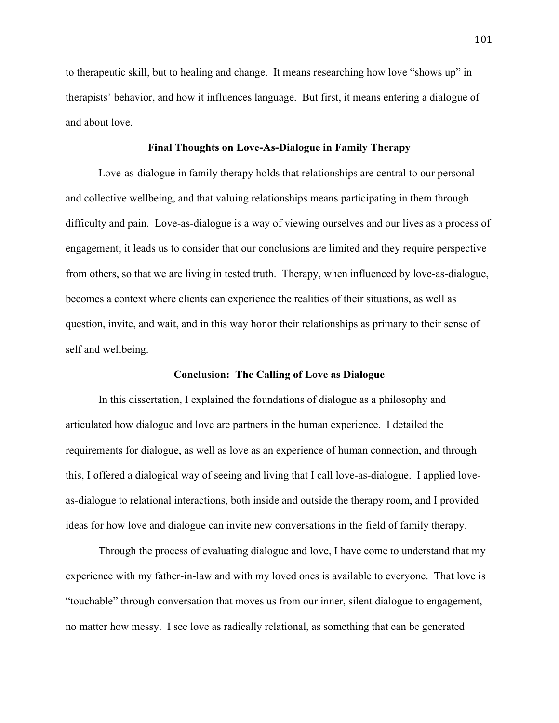to therapeutic skill, but to healing and change. It means researching how love "shows up" in therapists' behavior, and how it influences language. But first, it means entering a dialogue of and about love.

## **Final Thoughts on Love-As-Dialogue in Family Therapy**

Love-as-dialogue in family therapy holds that relationships are central to our personal and collective wellbeing, and that valuing relationships means participating in them through difficulty and pain. Love-as-dialogue is a way of viewing ourselves and our lives as a process of engagement; it leads us to consider that our conclusions are limited and they require perspective from others, so that we are living in tested truth. Therapy, when influenced by love-as-dialogue, becomes a context where clients can experience the realities of their situations, as well as question, invite, and wait, and in this way honor their relationships as primary to their sense of self and wellbeing.

# **Conclusion: The Calling of Love as Dialogue**

In this dissertation, I explained the foundations of dialogue as a philosophy and articulated how dialogue and love are partners in the human experience. I detailed the requirements for dialogue, as well as love as an experience of human connection, and through this, I offered a dialogical way of seeing and living that I call love-as-dialogue. I applied loveas-dialogue to relational interactions, both inside and outside the therapy room, and I provided ideas for how love and dialogue can invite new conversations in the field of family therapy.

Through the process of evaluating dialogue and love, I have come to understand that my experience with my father-in-law and with my loved ones is available to everyone. That love is "touchable" through conversation that moves us from our inner, silent dialogue to engagement, no matter how messy. I see love as radically relational, as something that can be generated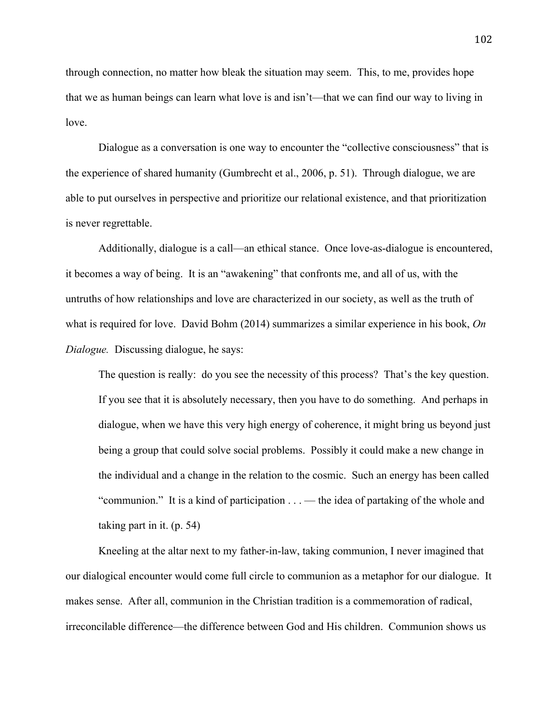through connection, no matter how bleak the situation may seem. This, to me, provides hope that we as human beings can learn what love is and isn't—that we can find our way to living in love.

Dialogue as a conversation is one way to encounter the "collective consciousness" that is the experience of shared humanity (Gumbrecht et al., 2006, p. 51). Through dialogue, we are able to put ourselves in perspective and prioritize our relational existence, and that prioritization is never regrettable.

Additionally, dialogue is a call—an ethical stance. Once love-as-dialogue is encountered, it becomes a way of being. It is an "awakening" that confronts me, and all of us, with the untruths of how relationships and love are characterized in our society, as well as the truth of what is required for love. David Bohm (2014) summarizes a similar experience in his book, *On Dialogue.* Discussing dialogue, he says:

The question is really: do you see the necessity of this process? That's the key question. If you see that it is absolutely necessary, then you have to do something. And perhaps in dialogue, when we have this very high energy of coherence, it might bring us beyond just being a group that could solve social problems. Possibly it could make a new change in the individual and a change in the relation to the cosmic. Such an energy has been called "communion." It is a kind of participation . . . — the idea of partaking of the whole and taking part in it. (p. 54)

Kneeling at the altar next to my father-in-law, taking communion, I never imagined that our dialogical encounter would come full circle to communion as a metaphor for our dialogue. It makes sense. After all, communion in the Christian tradition is a commemoration of radical, irreconcilable difference—the difference between God and His children. Communion shows us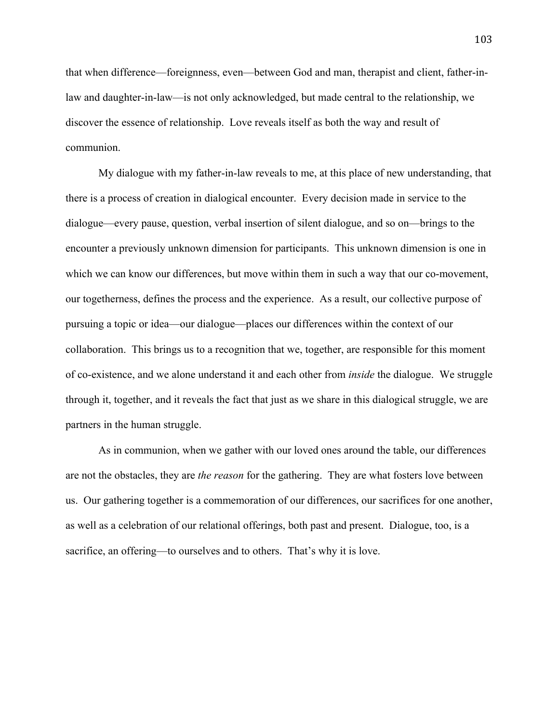that when difference—foreignness, even—between God and man, therapist and client, father-inlaw and daughter-in-law—is not only acknowledged, but made central to the relationship, we discover the essence of relationship. Love reveals itself as both the way and result of communion.

My dialogue with my father-in-law reveals to me, at this place of new understanding, that there is a process of creation in dialogical encounter. Every decision made in service to the dialogue—every pause, question, verbal insertion of silent dialogue, and so on—brings to the encounter a previously unknown dimension for participants. This unknown dimension is one in which we can know our differences, but move within them in such a way that our co-movement, our togetherness, defines the process and the experience. As a result, our collective purpose of pursuing a topic or idea—our dialogue—places our differences within the context of our collaboration. This brings us to a recognition that we, together, are responsible for this moment of co-existence, and we alone understand it and each other from *inside* the dialogue. We struggle through it, together, and it reveals the fact that just as we share in this dialogical struggle, we are partners in the human struggle.

As in communion, when we gather with our loved ones around the table, our differences are not the obstacles, they are *the reason* for the gathering. They are what fosters love between us. Our gathering together is a commemoration of our differences, our sacrifices for one another, as well as a celebration of our relational offerings, both past and present. Dialogue, too, is a sacrifice, an offering—to ourselves and to others. That's why it is love.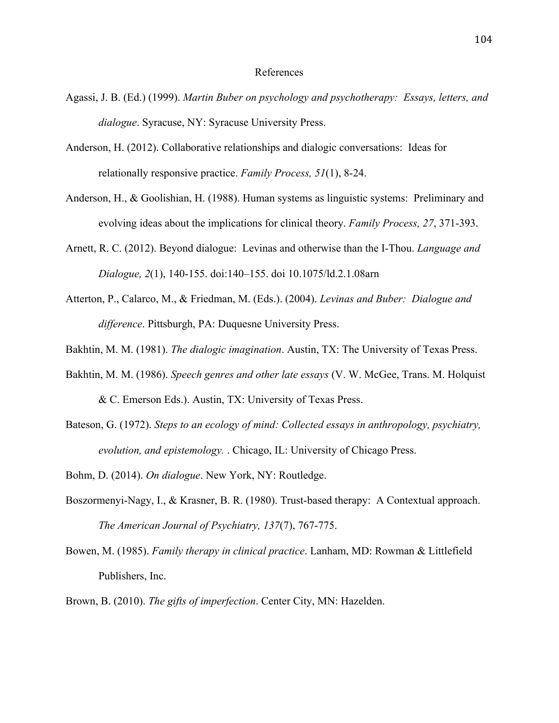#### References

- Agassi, J. B. (Ed.) (1999). *Martin Buber on psychology and psychotherapy: Essays, letters, and dialogue*. Syracuse, NY: Syracuse University Press.
- Anderson, H. (2012). Collaborative relationships and dialogic conversations: Ideas for relationally responsive practice. *Family Process, 51*(1), 8-24.
- Anderson, H., & Goolishian, H. (1988). Human systems as linguistic systems: Preliminary and evolving ideas about the implications for clinical theory. *Family Process, 27*, 371-393.
- Arnett, R. C. (2012). Beyond dialogue: Levinas and otherwise than the I-Thou. *Language and Dialogue, 2*(1), 140-155. doi:140–155. doi 10.1075/ld.2.1.08arn
- Atterton, P., Calarco, M., & Friedman, M. (Eds.). (2004). *Levinas and Buber: Dialogue and difference*. Pittsburgh, PA: Duquesne University Press.
- Bakhtin, M. M. (1981). *The dialogic imagination*. Austin, TX: The University of Texas Press.
- Bakhtin, M. M. (1986). *Speech genres and other late essays* (V. W. McGee, Trans. M. Holquist & C. Emerson Eds.). Austin, TX: University of Texas Press.
- Bateson, G. (1972). *Steps to an ecology of mind: Collected essays in anthropology, psychiatry, evolution, and epistemology.* . Chicago, IL: University of Chicago Press.
- Bohm, D. (2014). *On dialogue*. New York, NY: Routledge.
- Boszormenyi-Nagy, I., & Krasner, B. R. (1980). Trust-based therapy: A Contextual approach. *The American Journal of Psychiatry, 137*(7), 767-775.
- Bowen, M. (1985). *Family therapy in clinical practice*. Lanham, MD: Rowman & Littlefield Publishers, Inc.
- Brown, B. (2010). *The gifts of imperfection*. Center City, MN: Hazelden.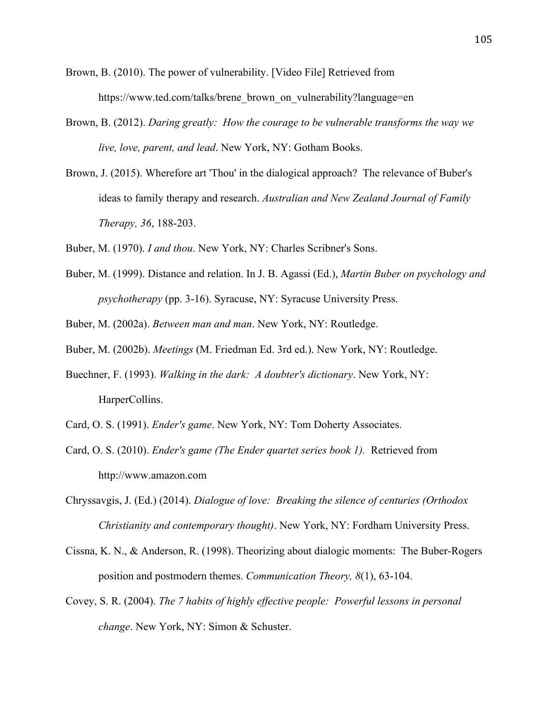- Brown, B. (2010). The power of vulnerability. [Video File] Retrieved from https://www.ted.com/talks/brene\_brown\_on\_vulnerability?language=en
- Brown, B. (2012). *Daring greatly: How the courage to be vulnerable transforms the way we live, love, parent, and lead*. New York, NY: Gotham Books.
- Brown, J. (2015). Wherefore art 'Thou' in the dialogical approach? The relevance of Buber's ideas to family therapy and research. *Australian and New Zealand Journal of Family Therapy, 36*, 188-203.
- Buber, M. (1970). *I and thou*. New York, NY: Charles Scribner's Sons.
- Buber, M. (1999). Distance and relation. In J. B. Agassi (Ed.), *Martin Buber on psychology and psychotherapy* (pp. 3-16). Syracuse, NY: Syracuse University Press.
- Buber, M. (2002a). *Between man and man*. New York, NY: Routledge.
- Buber, M. (2002b). *Meetings* (M. Friedman Ed. 3rd ed.). New York, NY: Routledge.
- Buechner, F. (1993). *Walking in the dark: A doubter's dictionary*. New York, NY: HarperCollins.
- Card, O. S. (1991). *Ender's game*. New York, NY: Tom Doherty Associates.
- Card, O. S. (2010). *Ender's game (The Ender quartet series book 1).* Retrieved from http://www.amazon.com
- Chryssavgis, J. (Ed.) (2014). *Dialogue of love: Breaking the silence of centuries (Orthodox Christianity and contemporary thought)*. New York, NY: Fordham University Press.
- Cissna, K. N., & Anderson, R. (1998). Theorizing about dialogic moments: The Buber-Rogers position and postmodern themes. *Communication Theory, 8*(1), 63-104.
- Covey, S. R. (2004). *The 7 habits of highly effective people: Powerful lessons in personal change*. New York, NY: Simon & Schuster.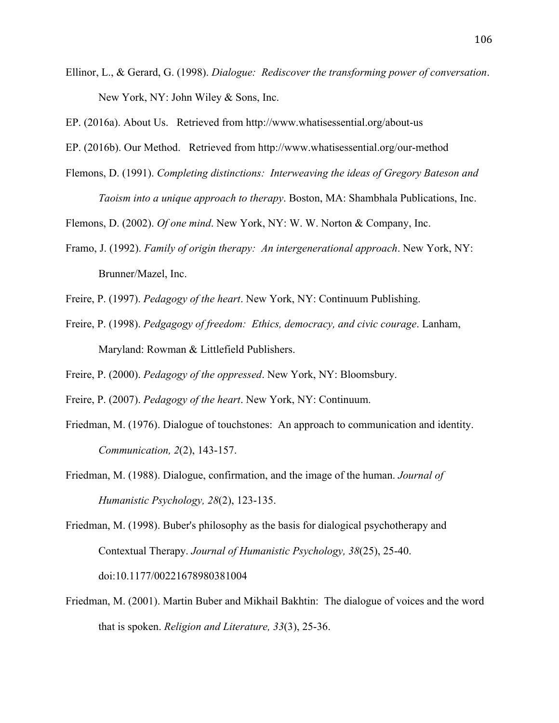- Ellinor, L., & Gerard, G. (1998). *Dialogue: Rediscover the transforming power of conversation*. New York, NY: John Wiley & Sons, Inc.
- EP. (2016a). About Us. Retrieved from http://www.whatisessential.org/about-us
- EP. (2016b). Our Method. Retrieved from http://www.whatisessential.org/our-method
- Flemons, D. (1991). *Completing distinctions: Interweaving the ideas of Gregory Bateson and Taoism into a unique approach to therapy*. Boston, MA: Shambhala Publications, Inc.
- Flemons, D. (2002). *Of one mind*. New York, NY: W. W. Norton & Company, Inc.
- Framo, J. (1992). *Family of origin therapy: An intergenerational approach*. New York, NY: Brunner/Mazel, Inc.
- Freire, P. (1997). *Pedagogy of the heart*. New York, NY: Continuum Publishing.
- Freire, P. (1998). *Pedgagogy of freedom: Ethics, democracy, and civic courage*. Lanham, Maryland: Rowman & Littlefield Publishers.
- Freire, P. (2000). *Pedagogy of the oppressed*. New York, NY: Bloomsbury.
- Freire, P. (2007). *Pedagogy of the heart*. New York, NY: Continuum.
- Friedman, M. (1976). Dialogue of touchstones: An approach to communication and identity. *Communication, 2*(2), 143-157.
- Friedman, M. (1988). Dialogue, confirmation, and the image of the human. *Journal of Humanistic Psychology, 28*(2), 123-135.
- Friedman, M. (1998). Buber's philosophy as the basis for dialogical psychotherapy and Contextual Therapy. *Journal of Humanistic Psychology, 38*(25), 25-40. doi:10.1177/00221678980381004
- Friedman, M. (2001). Martin Buber and Mikhail Bakhtin: The dialogue of voices and the word that is spoken. *Religion and Literature, 33*(3), 25-36.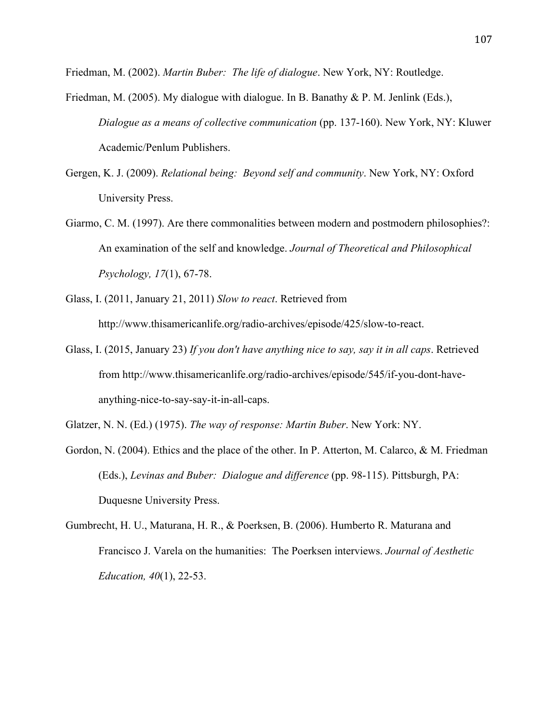Friedman, M. (2002). *Martin Buber: The life of dialogue*. New York, NY: Routledge.

- Friedman, M. (2005). My dialogue with dialogue. In B. Banathy & P. M. Jenlink (Eds.), *Dialogue as a means of collective communication* (pp. 137-160). New York, NY: Kluwer Academic/Penlum Publishers.
- Gergen, K. J. (2009). *Relational being: Beyond self and community*. New York, NY: Oxford University Press.
- Giarmo, C. M. (1997). Are there commonalities between modern and postmodern philosophies?: An examination of the self and knowledge. *Journal of Theoretical and Philosophical Psychology, 17*(1), 67-78.
- Glass, I. (2011, January 21, 2011) *Slow to react*. Retrieved from http://www.thisamericanlife.org/radio-archives/episode/425/slow-to-react.
- Glass, I. (2015, January 23) *If you don't have anything nice to say, say it in all caps*. Retrieved from http://www.thisamericanlife.org/radio-archives/episode/545/if-you-dont-haveanything-nice-to-say-say-it-in-all-caps.

Glatzer, N. N. (Ed.) (1975). *The way of response: Martin Buber*. New York: NY.

- Gordon, N. (2004). Ethics and the place of the other. In P. Atterton, M. Calarco, & M. Friedman (Eds.), *Levinas and Buber: Dialogue and difference* (pp. 98-115). Pittsburgh, PA: Duquesne University Press.
- Gumbrecht, H. U., Maturana, H. R., & Poerksen, B. (2006). Humberto R. Maturana and Francisco J. Varela on the humanities: The Poerksen interviews. *Journal of Aesthetic Education, 40*(1), 22-53.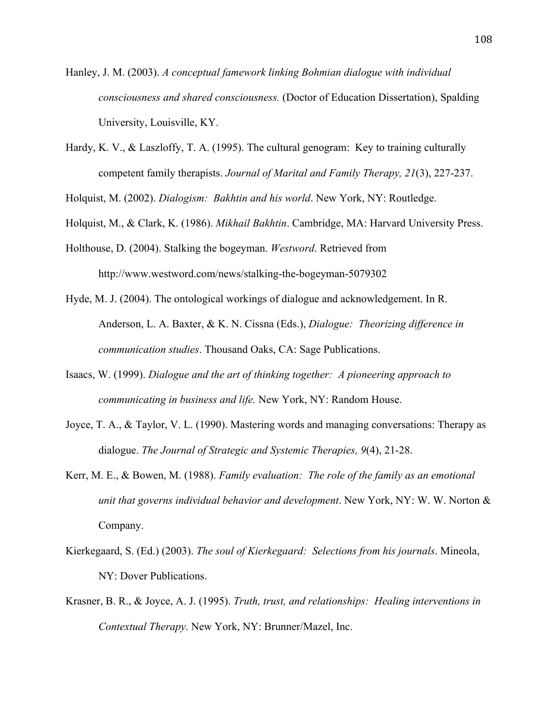- Hanley, J. M. (2003). *A conceptual famework linking Bohmian dialogue with individual consciousness and shared consciousness.* (Doctor of Education Dissertation), Spalding University, Louisville, KY.
- Hardy, K. V., & Laszloffy, T. A. (1995). The cultural genogram: Key to training culturally competent family therapists. *Journal of Marital and Family Therapy, 21*(3), 227-237.

Holquist, M. (2002). *Dialogism: Bakhtin and his world*. New York, NY: Routledge.

- Holquist, M., & Clark, K. (1986). *Mikhail Bakhtin*. Cambridge, MA: Harvard University Press.
- Holthouse, D. (2004). Stalking the bogeyman. *Westword*. Retrieved from http://www.westword.com/news/stalking-the-bogeyman-5079302
- Hyde, M. J. (2004). The ontological workings of dialogue and acknowledgement. In R. Anderson, L. A. Baxter, & K. N. Cissna (Eds.), *Dialogue: Theorizing difference in communication studies*. Thousand Oaks, CA: Sage Publications.
- Isaacs, W. (1999). *Dialogue and the art of thinking together: A pioneering approach to communicating in business and life.* New York, NY: Random House.
- Joyce, T. A., & Taylor, V. L. (1990). Mastering words and managing conversations: Therapy as dialogue. *The Journal of Strategic and Systemic Therapies, 9*(4), 21-28.
- Kerr, M. E., & Bowen, M. (1988). *Family evaluation: The role of the family as an emotional unit that governs individual behavior and development*. New York, NY: W. W. Norton & Company.
- Kierkegaard, S. (Ed.) (2003). *The soul of Kierkegaard: Selections from his journals*. Mineola, NY: Dover Publications.
- Krasner, B. R., & Joyce, A. J. (1995). *Truth, trust, and relationships: Healing interventions in Contextual Therapy*. New York, NY: Brunner/Mazel, Inc.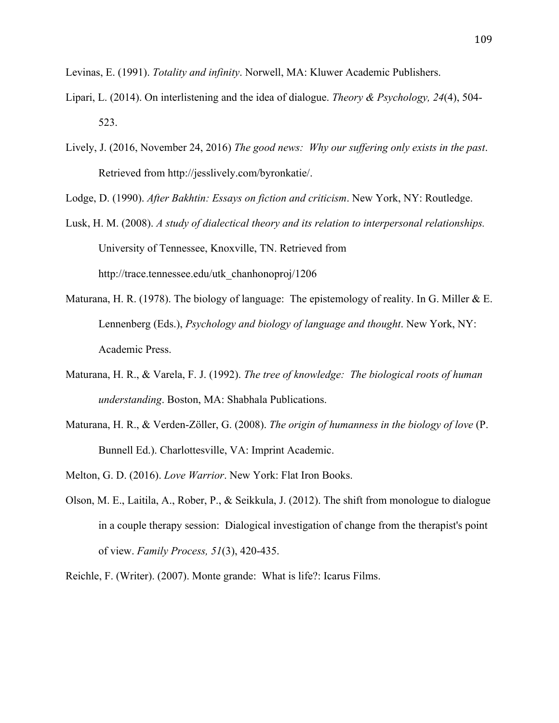Levinas, E. (1991). *Totality and infinity*. Norwell, MA: Kluwer Academic Publishers.

- Lipari, L. (2014). On interlistening and the idea of dialogue. *Theory & Psychology, 24*(4), 504- 523.
- Lively, J. (2016, November 24, 2016) *The good news: Why our suffering only exists in the past*. Retrieved from http://jesslively.com/byronkatie/.

Lodge, D. (1990). *After Bakhtin: Essays on fiction and criticism*. New York, NY: Routledge.

- Lusk, H. M. (2008). *A study of dialectical theory and its relation to interpersonal relationships.* University of Tennessee, Knoxville, TN. Retrieved from http://trace.tennessee.edu/utk\_chanhonoproj/1206
- Maturana, H. R. (1978). The biology of language: The epistemology of reality. In G. Miller & E. Lennenberg (Eds.), *Psychology and biology of language and thought*. New York, NY: Academic Press.
- Maturana, H. R., & Varela, F. J. (1992). *The tree of knowledge: The biological roots of human understanding*. Boston, MA: Shabhala Publications.
- Maturana, H. R., & Verden-Zöller, G. (2008). *The origin of humanness in the biology of love* (P. Bunnell Ed.). Charlottesville, VA: Imprint Academic.
- Melton, G. D. (2016). *Love Warrior*. New York: Flat Iron Books.
- Olson, M. E., Laitila, A., Rober, P., & Seikkula, J. (2012). The shift from monologue to dialogue in a couple therapy session: Dialogical investigation of change from the therapist's point of view. *Family Process, 51*(3), 420-435.

Reichle, F. (Writer). (2007). Monte grande: What is life?: Icarus Films.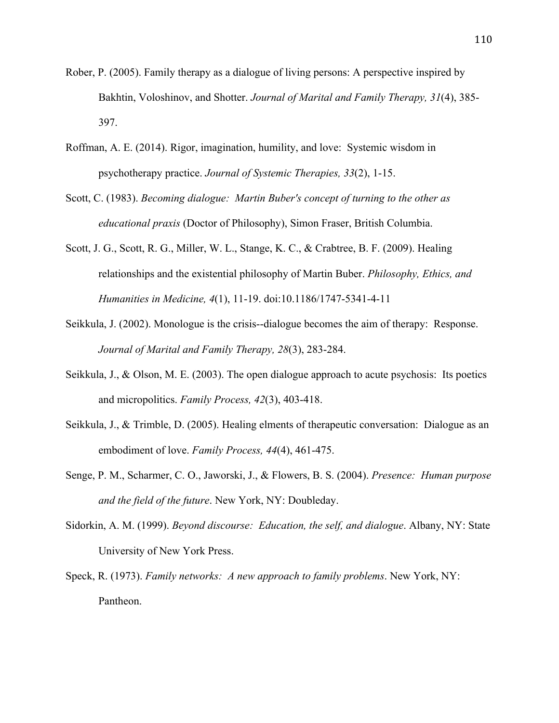- Rober, P. (2005). Family therapy as a dialogue of living persons: A perspective inspired by Bakhtin, Voloshinov, and Shotter. *Journal of Marital and Family Therapy, 31*(4), 385- 397.
- Roffman, A. E. (2014). Rigor, imagination, humility, and love: Systemic wisdom in psychotherapy practice. *Journal of Systemic Therapies, 33*(2), 1-15.
- Scott, C. (1983). *Becoming dialogue: Martin Buber's concept of turning to the other as educational praxis* (Doctor of Philosophy), Simon Fraser, British Columbia.
- Scott, J. G., Scott, R. G., Miller, W. L., Stange, K. C., & Crabtree, B. F. (2009). Healing relationships and the existential philosophy of Martin Buber. *Philosophy, Ethics, and Humanities in Medicine, 4*(1), 11-19. doi:10.1186/1747-5341-4-11
- Seikkula, J. (2002). Monologue is the crisis--dialogue becomes the aim of therapy: Response. *Journal of Marital and Family Therapy, 28*(3), 283-284.
- Seikkula, J., & Olson, M. E. (2003). The open dialogue approach to acute psychosis: Its poetics and micropolitics. *Family Process, 42*(3), 403-418.
- Seikkula, J., & Trimble, D. (2005). Healing elments of therapeutic conversation: Dialogue as an embodiment of love. *Family Process, 44*(4), 461-475.
- Senge, P. M., Scharmer, C. O., Jaworski, J., & Flowers, B. S. (2004). *Presence: Human purpose and the field of the future*. New York, NY: Doubleday.
- Sidorkin, A. M. (1999). *Beyond discourse: Education, the self, and dialogue*. Albany, NY: State University of New York Press.
- Speck, R. (1973). *Family networks: A new approach to family problems*. New York, NY: Pantheon.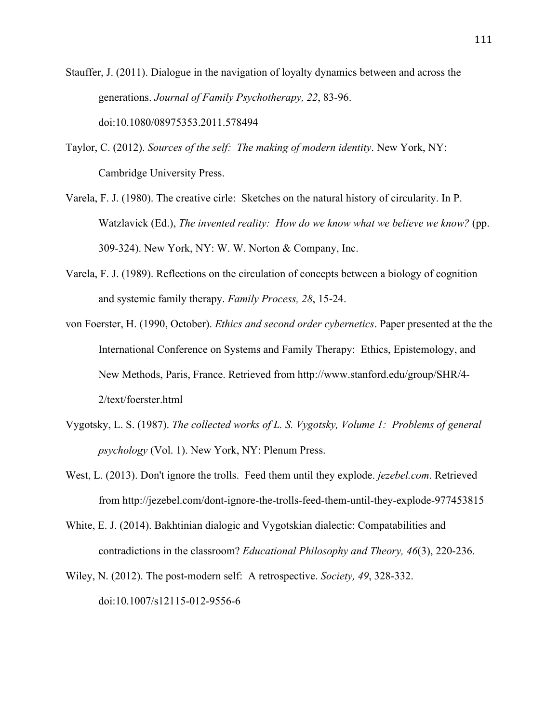Stauffer, J. (2011). Dialogue in the navigation of loyalty dynamics between and across the generations. *Journal of Family Psychotherapy, 22*, 83-96. doi:10.1080/08975353.2011.578494

- Taylor, C. (2012). *Sources of the self: The making of modern identity*. New York, NY: Cambridge University Press.
- Varela, F. J. (1980). The creative cirle: Sketches on the natural history of circularity. In P. Watzlavick (Ed.), *The invented reality: How do we know what we believe we know?* (pp. 309-324). New York, NY: W. W. Norton & Company, Inc.
- Varela, F. J. (1989). Reflections on the circulation of concepts between a biology of cognition and systemic family therapy. *Family Process, 28*, 15-24.
- von Foerster, H. (1990, October). *Ethics and second order cybernetics*. Paper presented at the the International Conference on Systems and Family Therapy: Ethics, Epistemology, and New Methods, Paris, France. Retrieved from http://www.stanford.edu/group/SHR/4- 2/text/foerster.html
- Vygotsky, L. S. (1987). *The collected works of L. S. Vygotsky, Volume 1: Problems of general psychology* (Vol. 1). New York, NY: Plenum Press.
- West, L. (2013). Don't ignore the trolls. Feed them until they explode. *jezebel.com*. Retrieved from http://jezebel.com/dont-ignore-the-trolls-feed-them-until-they-explode-977453815
- White, E. J. (2014). Bakhtinian dialogic and Vygotskian dialectic: Compatabilities and contradictions in the classroom? *Educational Philosophy and Theory, 46*(3), 220-236.
- Wiley, N. (2012). The post-modern self: A retrospective. *Society, 49*, 328-332. doi:10.1007/s12115-012-9556-6